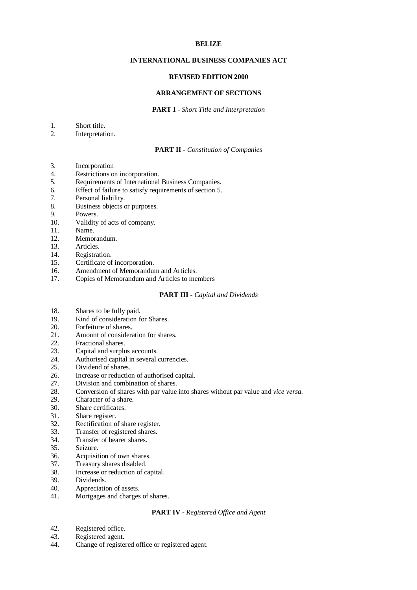### **BELIZE**

## **INTERNATIONAL BUSINESS COMPANIES ACT**

### **REVISED EDITION 2000**

## **ARRANGEMENT OF SECTIONS**

#### **PART I -** *Short Title and Interpretation*

- 1. Short title.
- 2. Interpretation.

## **PART II -** *Constitution of Companies*

- 3. Incorporation
- 4. Restrictions on incorporation.
- 5. Requirements of International Business Companies.
- 6. Effect of failure to satisfy requirements of section 5.
- 7. Personal liability.
- 8. Business objects or purposes.
- 9. Powers.
- 10. Validity of acts of company.
- 11. Name.
- 12. Memorandum.
- 13. Articles.
- 14. Registration.
- 15. Certificate of incorporation.
- 16. Amendment of Memorandum and Articles.
- 17. Copies of Memorandum and Articles to members

### **PART III -** *Capital and Dividends*

- 18. Shares to be fully paid.<br>19. Kind of consideration f
- Kind of consideration for Shares.
- 20. Forfeiture of shares.
- 21. Amount of consideration for shares.
- 22. Fractional shares.<br>23. Capital and surplu
- Capital and surplus accounts.
- 24. Authorised capital in several currencies.
- 25. Dividend of shares.
- 26. Increase or reduction of authorised capital.
- 27. Division and combination of shares.
- 28. Conversion of shares with par value into shares without par value and *vice versa*.
- 29. Character of a share.
- 30. Share certificates.
- 31. Share register.
- 32. Rectification of share register.
- 33. Transfer of registered shares.
- 34. Transfer of bearer shares.
- 35. Seizure.
- 36. Acquisition of own shares.
- 37. Treasury shares disabled.
- 38. Increase or reduction of capital.
- 39. Dividends.
- 40. Appreciation of assets.
- 41. Mortgages and charges of shares.

### **PART IV -** *Registered Office and Agent*

- 42. Registered office.
- 43. Registered agent.
- 44. Change of registered office or registered agent.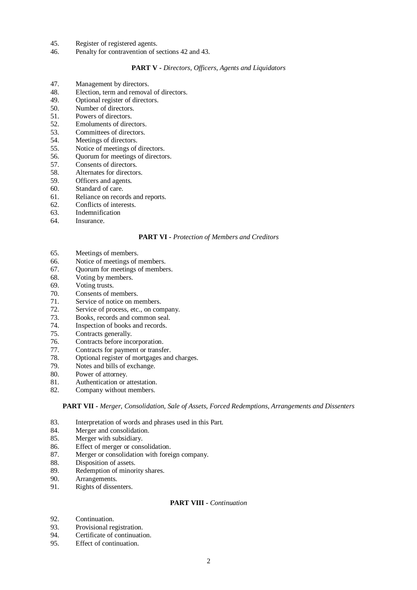- 45. Register of registered agents.
- 46. Penalty for contravention of sections 42 and 43.

# **PART V -** *Directors, Officers, Agents and Liquidators*

- 47. Management by directors.
- 48. Election, term and removal of directors.
- 49. Optional register of directors.
- 50. Number of directors.
- 51. Powers of directors.
- 52. Emoluments of directors.
- 53. Committees of directors.
- 54. Meetings of directors.
- 55. Notice of meetings of directors.
- 56. Quorum for meetings of directors.
- 57. Consents of directors.
- 58. Alternates for directors.
- 59. Officers and agents.
- 60. Standard of care.
- 61. Reliance on records and reports.
- 62. Conflicts of interests.
- 63. Indemnification
- 64. Insurance.

#### **PART VI -** *Protection of Members and Creditors*

- 65. Meetings of members.
- 66. Notice of meetings of members.
- 67. Quorum for meetings of members.
- 68. Voting by members.
- 69. Voting trusts.
- 70. Consents of members.
- 71. Service of notice on members.
- 72. Service of process, etc., on company.
- 73. Books, records and common seal.<br>74. Inspection of books and records.
- Inspection of books and records.
- 75. Contracts generally.
- 76. Contracts before incorporation.
- 77. Contracts for payment or transfer.
- 78. Optional register of mortgages and charges.
- 79. Notes and bills of exchange.
- 80. Power of attorney.
- 81. Authentication or attestation.
- 82. Company without members.

#### **PART VII -** *Merger, Consolidation, Sale of Assets, Forced Redemptions, Arrangements and Dissenters*

- 83. Interpretation of words and phrases used in this Part.
- 84. Merger and consolidation.
- 85. Merger with subsidiary.
- 86. Effect of merger or consolidation.
- 87. Merger or consolidation with foreign company.
- 88. Disposition of assets.
- 89. Redemption of minority shares.<br>90. Arrangements.
- 90. Arrangements.<br>91. Rights of disser
- Rights of dissenters.

## **PART VIII -** *Continuation*

- 92. Continuation.
- 93. Provisional registration.
- 94. Certificate of continuation.
- 95. Effect of continuation.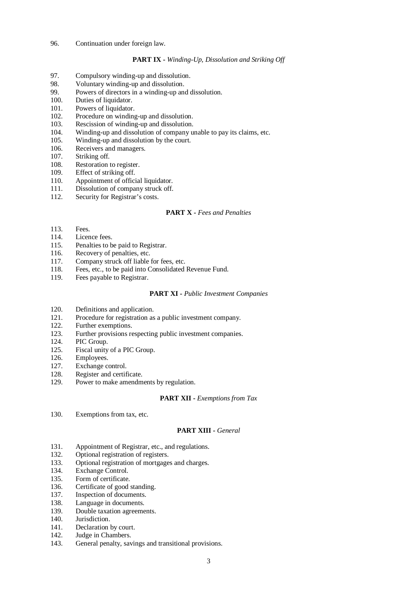## 96. Continuation under foreign law.

## **PART IX -** *Winding-Up, Dissolution and Striking Off*

- 97. Compulsory winding-up and dissolution.
- 98. Voluntary winding-up and dissolution.
- 99. Powers of directors in a winding-up and dissolution.
- 100. Duties of liquidator.
- 101. Powers of liquidator.
- 102. Procedure on winding-up and dissolution.
- 103. Rescission of winding-up and dissolution.
- 104. Winding-up and dissolution of company unable to pay its claims, etc.
- 105. Winding-up and dissolution by the court.
- 106. Receivers and managers.
- 107. Striking off.
- 108. Restoration to register.
- 109. Effect of striking off.
- 110. Appointment of official liquidator.
- 111. Dissolution of company struck off.
- 112. Security for Registrar's costs.

# **PART X -** *Fees and Penalties*

- 113. Fees.
- 114. Licence fees.
- 115. Penalties to be paid to Registrar.
- 116. Recovery of penalties, etc.
- 117. Company struck off liable for fees, etc.
- 118. Fees, etc., to be paid into Consolidated Revenue Fund.
- 119. Fees payable to Registrar.

#### **PART XI -** *Public Investment Companies*

- 120. Definitions and application.<br>121. Procedure for registration as
- 121. Procedure for registration as a public investment company.<br>122. Further exemptions.
- Further exemptions.
- 123. Further provisions respecting public investment companies.
- 124. PIC Group.
- 125. Fiscal unity of a PIC Group.
- 126. Employees.
- 127. Exchange control.
- 128. Register and certificate.
- 129. Power to make amendments by regulation.

#### **PART XII -** *Exemptions from Tax*

130. Exemptions from tax, etc.

### **PART XIII -** *General*

- 131. Appointment of Registrar, etc., and regulations.
- 132. Optional registration of registers.
- 133. Optional registration of mortgages and charges.
- 134. Exchange Control.
- 135. Form of certificate.
- 136. Certificate of good standing.
- 137. Inspection of documents.
- 138. Language in documents.
- 139. Double taxation agreements.
- 140. Jurisdiction.
- 141. Declaration by court.
- 142. Judge in Chambers.
- 143. General penalty, savings and transitional provisions.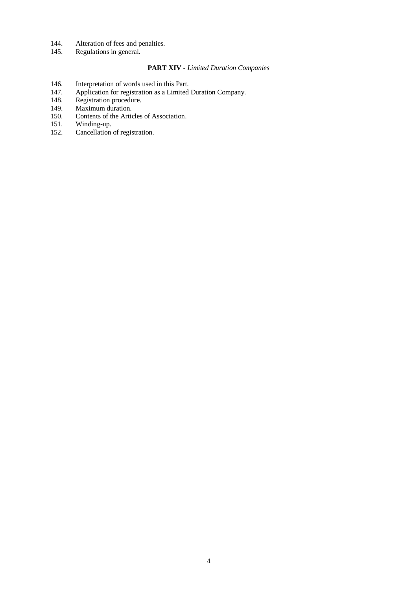- 144. Alteration of fees and penalties.<br>145. Regulations in general.
- Regulations in general.

# **PART XIV -** *Limited Duration Companies*

- 
- 146. Interpretation of words used in this Part.<br>147. Application for registration as a Limited 147. Application for registration as a Limited Duration Company.
- 148. Registration procedure.
- 149. Maximum duration.
- 150. Contents of the Articles of Association.
- 151. Winding-up.
- 152. Cancellation of registration.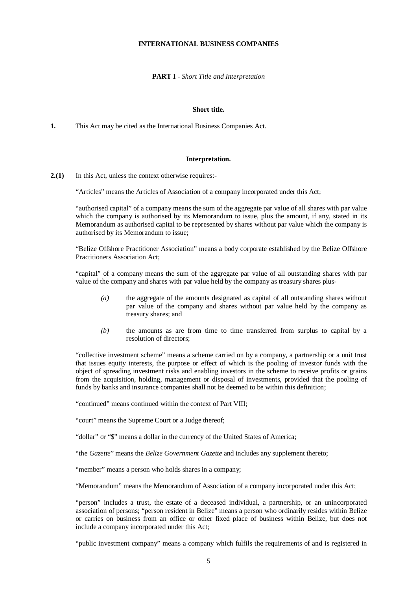### **INTERNATIONAL BUSINESS COMPANIES**

**PART I -** *Short Title and Interpretation* 

### **Short title.**

**1.** This Act may be cited as the International Business Companies Act.

#### **Interpretation.**

**2.(1)** In this Act, unless the context otherwise requires:-

"Articles" means the Articles of Association of a company incorporated under this Act;

"authorised capital" of a company means the sum of the aggregate par value of all shares with par value which the company is authorised by its Memorandum to issue, plus the amount, if any, stated in its Memorandum as authorised capital to be represented by shares without par value which the company is authorised by its Memorandum to issue;

"Belize Offshore Practitioner Association" means a body corporate established by the Belize Offshore Practitioners Association Act;

"capital" of a company means the sum of the aggregate par value of all outstanding shares with par value of the company and shares with par value held by the company as treasury shares plus-

- *(a)* the aggregate of the amounts designated as capital of all outstanding shares without par value of the company and shares without par value held by the company as treasury shares; and
- *(b)* the amounts as are from time to time transferred from surplus to capital by a resolution of directors;

"collective investment scheme" means a scheme carried on by a company, a partnership or a unit trust that issues equity interests, the purpose or effect of which is the pooling of investor funds with the object of spreading investment risks and enabling investors in the scheme to receive profits or grains from the acquisition, holding, management or disposal of investments, provided that the pooling of funds by banks and insurance companies shall not be deemed to be within this definition;

"continued" means continued within the context of Part VIII;

"court" means the Supreme Court or a Judge thereof;

"dollar" or "\$" means a dollar in the currency of the United States of America;

"the *Gazette*" means the *Belize Government Gazette* and includes any supplement thereto;

"member" means a person who holds shares in a company;

"Memorandum" means the Memorandum of Association of a company incorporated under this Act;

"person" includes a trust, the estate of a deceased individual, a partnership, or an unincorporated association of persons; "person resident in Belize" means a person who ordinarily resides within Belize or carries on business from an office or other fixed place of business within Belize, but does not include a company incorporated under this Act;

"public investment company" means a company which fulfils the requirements of and is registered in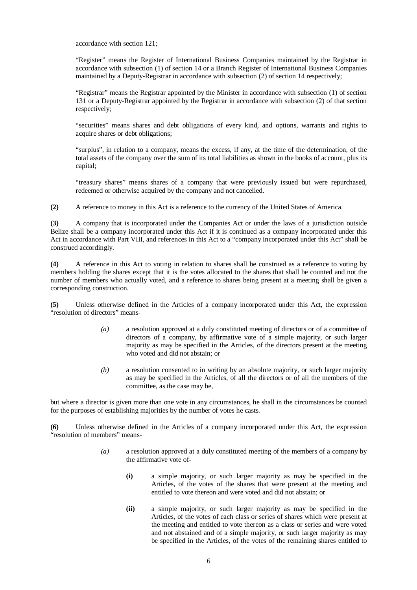accordance with section 121;

"Register" means the Register of International Business Companies maintained by the Registrar in accordance with subsection (1) of section 14 or a Branch Register of International Business Companies maintained by a Deputy-Registrar in accordance with subsection (2) of section 14 respectively;

"Registrar" means the Registrar appointed by the Minister in accordance with subsection (1) of section 131 or a Deputy-Registrar appointed by the Registrar in accordance with subsection (2) of that section respectively;

"securities" means shares and debt obligations of every kind, and options, warrants and rights to acquire shares or debt obligations;

"surplus", in relation to a company, means the excess, if any, at the time of the determination, of the total assets of the company over the sum of its total liabilities as shown in the books of account, plus its capital;

"treasury shares" means shares of a company that were previously issued but were repurchased, redeemed or otherwise acquired by the company and not cancelled.

**(2)** A reference to money in this Act is a reference to the currency of the United States of America.

**(3)** A company that is incorporated under the Companies Act or under the laws of a jurisdiction outside Belize shall be a company incorporated under this Act if it is continued as a company incorporated under this Act in accordance with Part VIII, and references in this Act to a "company incorporated under this Act" shall be construed accordingly.

**(4)** A reference in this Act to voting in relation to shares shall be construed as a reference to voting by members holding the shares except that it is the votes allocated to the shares that shall be counted and not the number of members who actually voted, and a reference to shares being present at a meeting shall be given a corresponding construction.

**(5)** Unless otherwise defined in the Articles of a company incorporated under this Act, the expression "resolution of directors" means-

- *(a)* a resolution approved at a duly constituted meeting of directors or of a committee of directors of a company, by affirmative vote of a simple majority, or such larger majority as may be specified in the Articles, of the directors present at the meeting who voted and did not abstain; or
- *(b)* a resolution consented to in writing by an absolute majority, or such larger majority as may be specified in the Articles, of all the directors or of all the members of the committee, as the case may be,

but where a director is given more than one vote in any circumstances, he shall in the circumstances be counted for the purposes of establishing majorities by the number of votes he casts.

**(6)** Unless otherwise defined in the Articles of a company incorporated under this Act, the expression "resolution of members" means-

- *(a)* a resolution approved at a duly constituted meeting of the members of a company by the affirmative vote of-
	- **(i)** a simple majority, or such larger majority as may be specified in the Articles, of the votes of the shares that were present at the meeting and entitled to vote thereon and were voted and did not abstain; or
	- **(ii)** a simple majority, or such larger majority as may be specified in the Articles, of the votes of each class or series of shares which were present at the meeting and entitled to vote thereon as a class or series and were voted and not abstained and of a simple majority, or such larger majority as may be specified in the Articles, of the votes of the remaining shares entitled to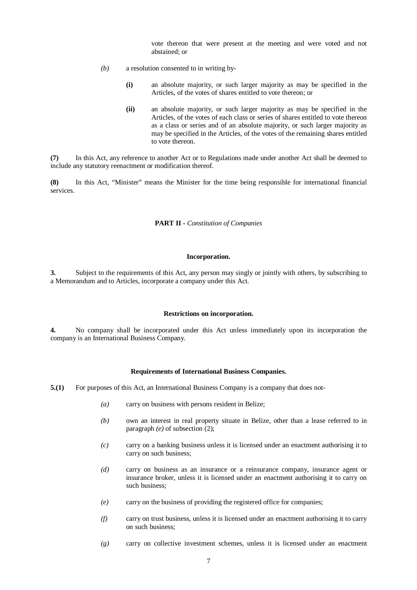vote thereon that were present at the meeting and were voted and not abstained; or

- *(b)* a resolution consented to in writing by-
	- **(i)** an absolute majority, or such larger majority as may be specified in the Articles, of the votes of shares entitled to vote thereon; or
	- **(ii)** an absolute majority, or such larger majority as may be specified in the Articles, of the votes of each class or series of shares entitled to vote thereon as a class or series and of an absolute majority, or such larger majority as may be specified in the Articles, of the votes of the remaining shares entitled to vote thereon.

**(7)** In this Act, any reference to another Act or to Regulations made under another Act shall be deemed to include any statutory reenactment or modification thereof.

**(8)** In this Act, "Minister" means the Minister for the time being responsible for international financial services.

### **PART II -** *Constitution of Companies*

### **Incorporation.**

**3.** Subject to the requirements of this Act, any person may singly or jointly with others, by subscribing to a Memorandum and to Articles, incorporate a company under this Act.

#### **Restrictions on incorporation.**

**4.** No company shall be incorporated under this Act unless immediately upon its incorporation the company is an International Business Company.

#### **Requirements of International Business Companies.**

- **5.(1)** For purposes of this Act, an International Business Company is a company that does not-
	- *(a)* carry on business with persons resident in Belize;
	- *(b)* own an interest in real property situate in Belize, other than a lease referred to in paragraph *(e)* of subsection (2);
	- *(c)* carry on a banking business unless it is licensed under an enactment authorising it to carry on such business;
	- *(d)* carry on business as an insurance or a reinsurance company, insurance agent or insurance broker, unless it is licensed under an enactment authorising it to carry on such business;
	- *(e)* carry on the business of providing the registered office for companies;
	- *(f)* carry on trust business, unless it is licensed under an enactment authorising it to carry on such business;
	- *(g)* carry on collective investment schemes, unless it is licensed under an enactment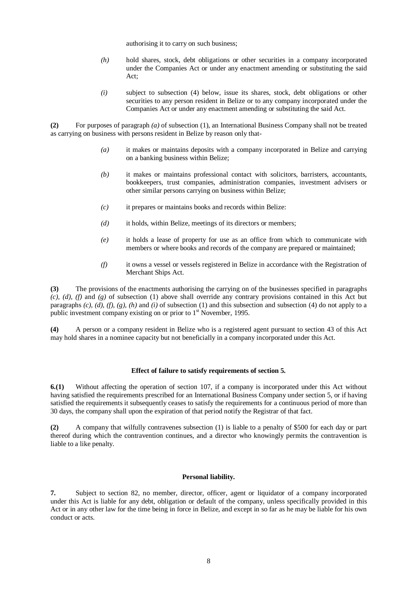authorising it to carry on such business;

- *(h)* hold shares, stock, debt obligations or other securities in a company incorporated under the Companies Act or under any enactment amending or substituting the said Act;
- *(i)* subject to subsection (4) below, issue its shares, stock, debt obligations or other securities to any person resident in Belize or to any company incorporated under the Companies Act or under any enactment amending or substituting the said Act.

**(2)** For purposes of paragraph *(a)* of subsection (1), an International Business Company shall not be treated as carrying on business with persons resident in Belize by reason only that-

- *(a)* it makes or maintains deposits with a company incorporated in Belize and carrying on a banking business within Belize;
- *(b)* it makes or maintains professional contact with solicitors, barristers, accountants, bookkeepers, trust companies, administration companies, investment advisers or other similar persons carrying on business within Belize;
- *(c)* it prepares or maintains books and records within Belize:
- *(d)* it holds, within Belize, meetings of its directors or members;
- *(e)* it holds a lease of property for use as an office from which to communicate with members or where books and records of the company are prepared or maintained;
- *(f)* it owns a vessel or vessels registered in Belize in accordance with the Registration of Merchant Ships Act.

**(3)** The provisions of the enactments authorising the carrying on of the businesses specified in paragraphs *(c), (d), (f)* and *(g)* of subsection (1) above shall override any contrary provisions contained in this Act but paragraphs  $(c)$ ,  $(d)$ ,  $(f)$ ,  $(g)$ ,  $(h)$  and  $(i)$  of subsection  $(1)$  and this subsection and subsection  $(4)$  do not apply to a public investment company existing on or prior to  $1<sup>st</sup>$  November, 1995.

**(4)** A person or a company resident in Belize who is a registered agent pursuant to section 43 of this Act may hold shares in a nominee capacity but not beneficially in a company incorporated under this Act.

### **Effect of failure to satisfy requirements of section 5.**

**6.(1)** Without affecting the operation of section 107, if a company is incorporated under this Act without having satisfied the requirements prescribed for an International Business Company under section 5, or if having satisfied the requirements it subsequently ceases to satisfy the requirements for a continuous period of more than 30 days, the company shall upon the expiration of that period notify the Registrar of that fact.

**(2)** A company that wilfully contravenes subsection (1) is liable to a penalty of \$500 for each day or part thereof during which the contravention continues, and a director who knowingly permits the contravention is liable to a like penalty.

### **Personal liability.**

**7.** Subject to section 82, no member, director, officer, agent or liquidator of a company incorporated under this Act is liable for any debt, obligation or default of the company, unless specifically provided in this Act or in any other law for the time being in force in Belize, and except in so far as he may be liable for his own conduct or acts.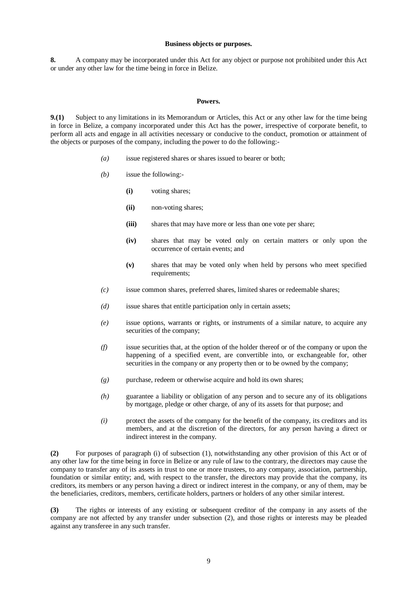### **Business objects or purposes.**

**8.** A company may be incorporated under this Act for any object or purpose not prohibited under this Act or under any other law for the time being in force in Belize.

### **Powers.**

**9.(1)** Subject to any limitations in its Memorandum or Articles, this Act or any other law for the time being in force in Belize, a company incorporated under this Act has the power, irrespective of corporate benefit, to perform all acts and engage in all activities necessary or conducive to the conduct, promotion or attainment of the objects or purposes of the company, including the power to do the following:-

- *(a)* issue registered shares or shares issued to bearer or both;
- *(b)* issue the following:-
	- **(i)** voting shares;
	- **(ii)** non-voting shares;
	- **(iii)** shares that may have more or less than one vote per share;
	- **(iv)** shares that may be voted only on certain matters or only upon the occurrence of certain events; and
	- **(v)** shares that may be voted only when held by persons who meet specified requirements:
- *(c)* issue common shares, preferred shares, limited shares or redeemable shares;
- *(d)* issue shares that entitle participation only in certain assets;
- *(e)* issue options, warrants or rights, or instruments of a similar nature, to acquire any securities of the company;
- *(f)* issue securities that, at the option of the holder thereof or of the company or upon the happening of a specified event, are convertible into, or exchangeable for, other securities in the company or any property then or to be owned by the company;
- *(g)* purchase, redeem or otherwise acquire and hold its own shares;
- *(h)* guarantee a liability or obligation of any person and to secure any of its obligations by mortgage, pledge or other charge, of any of its assets for that purpose; and
- *(i)* protect the assets of the company for the benefit of the company, its creditors and its members, and at the discretion of the directors, for any person having a direct or indirect interest in the company.

**(2)** For purposes of paragraph (i) of subsection (1), notwithstanding any other provision of this Act or of any other law for the time being in force in Belize or any rule of law to the contrary, the directors may cause the company to transfer any of its assets in trust to one or more trustees, to any company, association, partnership, foundation or similar entity; and, with respect to the transfer, the directors may provide that the company, its creditors, its members or any person having a direct or indirect interest in the company, or any of them, may be the beneficiaries, creditors, members, certificate holders, partners or holders of any other similar interest.

**(3)** The rights or interests of any existing or subsequent creditor of the company in any assets of the company are not affected by any transfer under subsection (2), and those rights or interests may be pleaded against any transferee in any such transfer.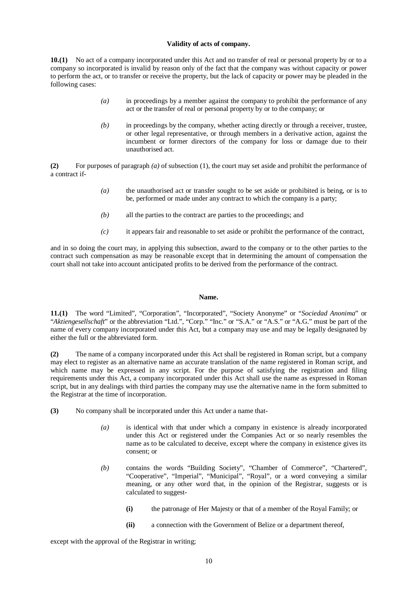## **Validity of acts of company.**

**10.(1)** No act of a company incorporated under this Act and no transfer of real or personal property by or to a company so incorporated is invalid by reason only of the fact that the company was without capacity or power to perform the act, or to transfer or receive the property, but the lack of capacity or power may be pleaded in the following cases:

- *(a)* in proceedings by a member against the company to prohibit the performance of any act or the transfer of real or personal property by or to the company; or
- *(b)* in proceedings by the company, whether acting directly or through a receiver, trustee, or other legal representative, or through members in a derivative action, against the incumbent or former directors of the company for loss or damage due to their unauthorised act.

**(2)** For purposes of paragraph *(a)* of subsection (1), the court may set aside and prohibit the performance of a contract if-

- *(a)* the unauthorised act or transfer sought to be set aside or prohibited is being, or is to be, performed or made under any contract to which the company is a party;
- *(b)* all the parties to the contract are parties to the proceedings; and
- *(c)* it appears fair and reasonable to set aside or prohibit the performance of the contract,

and in so doing the court may, in applying this subsection, award to the company or to the other parties to the contract such compensation as may be reasonable except that in determining the amount of compensation the court shall not take into account anticipated profits to be derived from the performance of the contract.

### **Name.**

**11.(1)** The word "Limited", "Corporation", "Incorporated", "Society Anonyme" or "*Sociedad Anonima*" or "*Aktiengesellschaft*" or the abbreviation "Ltd.", "Corp." "Inc." or "S.A." or "A.S." or "A.G." must be part of the name of every company incorporated under this Act, but a company may use and may be legally designated by either the full or the abbreviated form.

**(2)** The name of a company incorporated under this Act shall be registered in Roman script, but a company may elect to register as an alternative name an accurate translation of the name registered in Roman script, and which name may be expressed in any script. For the purpose of satisfying the registration and filing requirements under this Act, a company incorporated under this Act shall use the name as expressed in Roman script, but in any dealings with third parties the company may use the alternative name in the form submitted to the Registrar at the time of incorporation.

- **(3)** No company shall be incorporated under this Act under a name that-
	- *(a)* is identical with that under which a company in existence is already incorporated under this Act or registered under the Companies Act or so nearly resembles the name as to be calculated to deceive, except where the company in existence gives its consent; or
	- *(b)* contains the words "Building Society", "Chamber of Commerce", "Chartered", "Cooperative", "Imperial", "Municipal", "Royal", or a word conveying a similar meaning, or any other word that, in the opinion of the Registrar, suggests or is calculated to suggest-
		- **(i)** the patronage of Her Majesty or that of a member of the Royal Family; or
		- **(ii)** a connection with the Government of Belize or a department thereof,

except with the approval of the Registrar in writing;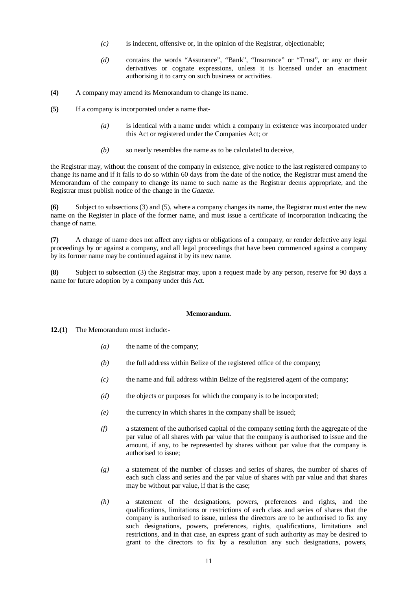- *(c)* is indecent, offensive or, in the opinion of the Registrar, objectionable;
- *(d)* contains the words "Assurance", "Bank", "Insurance" or "Trust", or any or their derivatives or cognate expressions, unless it is licensed under an enactment authorising it to carry on such business or activities.
- **(4)** A company may amend its Memorandum to change its name.
- **(5)** If a company is incorporated under a name that-
	- *(a)* is identical with a name under which a company in existence was incorporated under this Act or registered under the Companies Act; or
	- *(b)* so nearly resembles the name as to be calculated to deceive,

the Registrar may, without the consent of the company in existence, give notice to the last registered company to change its name and if it fails to do so within 60 days from the date of the notice, the Registrar must amend the Memorandum of the company to change its name to such name as the Registrar deems appropriate, and the Registrar must publish notice of the change in the *Gazette*.

**(6)** Subject to subsections (3) and (5), where a company changes its name, the Registrar must enter the new name on the Register in place of the former name, and must issue a certificate of incorporation indicating the change of name.

**(7)** A change of name does not affect any rights or obligations of a company, or render defective any legal proceedings by or against a company, and all legal proceedings that have been commenced against a company by its former name may be continued against it by its new name.

**(8)** Subject to subsection (3) the Registrar may, upon a request made by any person, reserve for 90 days a name for future adoption by a company under this Act.

#### **Memorandum.**

**12.(1)** The Memorandum must include:-

- *(a)* the name of the company;
- *(b)* the full address within Belize of the registered office of the company;
- *(c)* the name and full address within Belize of the registered agent of the company;
- *(d)* the objects or purposes for which the company is to be incorporated;
- *(e)* the currency in which shares in the company shall be issued;
- *(f)* a statement of the authorised capital of the company setting forth the aggregate of the par value of all shares with par value that the company is authorised to issue and the amount, if any, to be represented by shares without par value that the company is authorised to issue;
- *(g)* a statement of the number of classes and series of shares, the number of shares of each such class and series and the par value of shares with par value and that shares may be without par value, if that is the case;
- *(h)* a statement of the designations, powers, preferences and rights, and the qualifications, limitations or restrictions of each class and series of shares that the company is authorised to issue, unless the directors are to be authorised to fix any such designations, powers, preferences, rights, qualifications, limitations and restrictions, and in that case, an express grant of such authority as may be desired to grant to the directors to fix by a resolution any such designations, powers,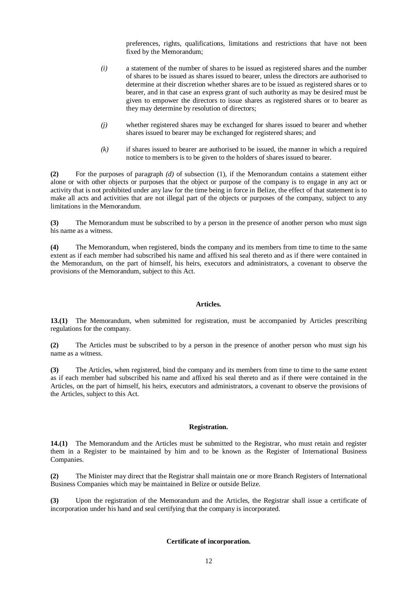preferences, rights, qualifications, limitations and restrictions that have not been fixed by the Memorandum;

- *(i)* a statement of the number of shares to be issued as registered shares and the number of shares to be issued as shares issued to bearer, unless the directors are authorised to determine at their discretion whether shares are to be issued as registered shares or to bearer, and in that case an express grant of such authority as may be desired must be given to empower the directors to issue shares as registered shares or to bearer as they may determine by resolution of directors;
- *(j)* whether registered shares may be exchanged for shares issued to bearer and whether shares issued to bearer may be exchanged for registered shares; and
- *(k)* if shares issued to bearer are authorised to be issued, the manner in which a required notice to members is to be given to the holders of shares issued to bearer.

**(2)** For the purposes of paragraph *(d)* of subsection (1), if the Memorandum contains a statement either alone or with other objects or purposes that the object or purpose of the company is to engage in any act or activity that is not prohibited under any law for the time being in force in Belize, the effect of that statement is to make all acts and activities that are not illegal part of the objects or purposes of the company, subject to any limitations in the Memorandum.

**(3)** The Memorandum must be subscribed to by a person in the presence of another person who must sign his name as a witness.

**(4)** The Memorandum, when registered, binds the company and its members from time to time to the same extent as if each member had subscribed his name and affixed his seal thereto and as if there were contained in the Memorandum, on the part of himself, his heirs, executors and administrators, a covenant to observe the provisions of the Memorandum, subject to this Act.

#### **Articles.**

**13.(1)** The Memorandum, when submitted for registration, must be accompanied by Articles prescribing regulations for the company.

**(2)** The Articles must be subscribed to by a person in the presence of another person who must sign his name as a witness.

**(3)** The Articles, when registered, bind the company and its members from time to time to the same extent as if each member had subscribed his name and affixed his seal thereto and as if there were contained in the Articles, on the part of himself, his heirs, executors and administrators, a covenant to observe the provisions of the Articles, subject to this Act.

### **Registration.**

**14.(1)** The Memorandum and the Articles must be submitted to the Registrar, who must retain and register them in a Register to be maintained by him and to be known as the Register of International Business Companies.

**(2)** The Minister may direct that the Registrar shall maintain one or more Branch Registers of International Business Companies which may be maintained in Belize or outside Belize.

**(3)** Upon the registration of the Memorandum and the Articles, the Registrar shall issue a certificate of incorporation under his hand and seal certifying that the company is incorporated.

# **Certificate of incorporation.**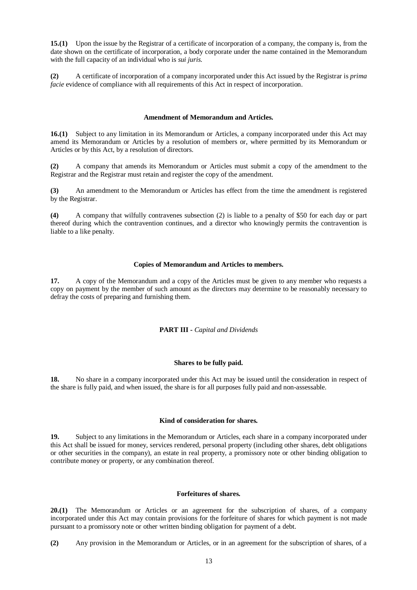**15.(1)** Upon the issue by the Registrar of a certificate of incorporation of a company, the company is, from the date shown on the certificate of incorporation, a body corporate under the name contained in the Memorandum with the full capacity of an individual who is *sui juris.* 

**(2)** A certificate of incorporation of a company incorporated under this Act issued by the Registrar is *prima facie* evidence of compliance with all requirements of this Act in respect of incorporation.

## **Amendment of Memorandum and Articles.**

**16.(1)** Subject to any limitation in its Memorandum or Articles, a company incorporated under this Act may amend its Memorandum or Articles by a resolution of members or, where permitted by its Memorandum or Articles or by this Act, by a resolution of directors.

**(2)** A company that amends its Memorandum or Articles must submit a copy of the amendment to the Registrar and the Registrar must retain and register the copy of the amendment.

**(3)** An amendment to the Memorandum or Articles has effect from the time the amendment is registered by the Registrar.

**(4)** A company that wilfully contravenes subsection (2) is liable to a penalty of \$50 for each day or part thereof during which the contravention continues, and a director who knowingly permits the contravention is liable to a like penalty.

# **Copies of Memorandum and Articles to members.**

**17.** A copy of the Memorandum and a copy of the Articles must be given to any member who requests a copy on payment by the member of such amount as the directors may determine to be reasonably necessary to defray the costs of preparing and furnishing them.

# **PART III -** *Capital and Dividends*

# **Shares to be fully paid.**

**18.** No share in a company incorporated under this Act may be issued until the consideration in respect of the share is fully paid, and when issued, the share is for all purposes fully paid and non-assessable.

#### **Kind of consideration for shares.**

**19.** Subject to any limitations in the Memorandum or Articles, each share in a company incorporated under this Act shall be issued for money, services rendered, personal property (including other shares, debt obligations or other securities in the company), an estate in real property, a promissory note or other binding obligation to contribute money or property, or any combination thereof.

# **Forfeitures of shares.**

**20.(1)** The Memorandum or Articles or an agreement for the subscription of shares, of a company incorporated under this Act may contain provisions for the forfeiture of shares for which payment is not made pursuant to a promissory note or other written binding obligation for payment of a debt.

**(2)** Any provision in the Memorandum or Articles, or in an agreement for the subscription of shares, of a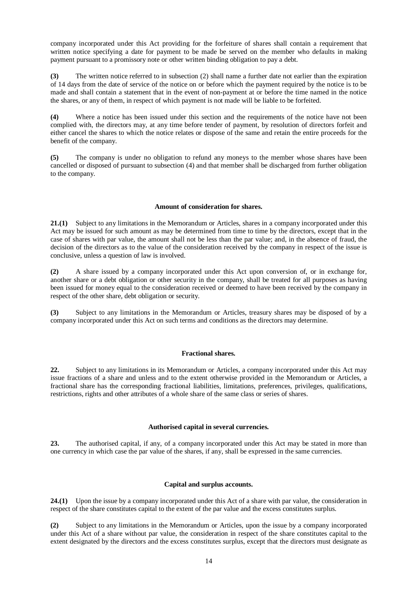company incorporated under this Act providing for the forfeiture of shares shall contain a requirement that written notice specifying a date for payment to be made be served on the member who defaults in making payment pursuant to a promissory note or other written binding obligation to pay a debt.

**(3)** The written notice referred to in subsection (2) shall name a further date not earlier than the expiration of 14 days from the date of service of the notice on or before which the payment required by the notice is to be made and shall contain a statement that in the event of non-payment at or before the time named in the notice the shares, or any of them, in respect of which payment is not made will be liable to be forfeited.

**(4)** Where a notice has been issued under this section and the requirements of the notice have not been complied with, the directors may, at any time before tender of payment, by resolution of directors forfeit and either cancel the shares to which the notice relates or dispose of the same and retain the entire proceeds for the benefit of the company.

**(5)** The company is under no obligation to refund any moneys to the member whose shares have been cancelled or disposed of pursuant to subsection (4) and that member shall be discharged from further obligation to the company.

### **Amount of consideration for shares.**

**21.(1)** Subject to any limitations in the Memorandum or Articles, shares in a company incorporated under this Act may be issued for such amount as may be determined from time to time by the directors, except that in the case of shares with par value, the amount shall not be less than the par value; and, in the absence of fraud, the decision of the directors as to the value of the consideration received by the company in respect of the issue is conclusive, unless a question of law is involved.

**(2)** A share issued by a company incorporated under this Act upon conversion of, or in exchange for, another share or a debt obligation or other security in the company, shall be treated for all purposes as having been issued for money equal to the consideration received or deemed to have been received by the company in respect of the other share, debt obligation or security.

**(3)** Subject to any limitations in the Memorandum or Articles, treasury shares may be disposed of by a company incorporated under this Act on such terms and conditions as the directors may determine.

# **Fractional shares.**

**22.** Subject to any limitations in its Memorandum or Articles, a company incorporated under this Act may issue fractions of a share and unless and to the extent otherwise provided in the Memorandum or Articles, a fractional share has the corresponding fractional liabilities, limitations, preferences, privileges, qualifications, restrictions, rights and other attributes of a whole share of the same class or series of shares.

# **Authorised capital in several currencies.**

**23.** The authorised capital, if any, of a company incorporated under this Act may be stated in more than one currency in which case the par value of the shares, if any, shall be expressed in the same currencies.

# **Capital and surplus accounts.**

**24.(1)** Upon the issue by a company incorporated under this Act of a share with par value, the consideration in respect of the share constitutes capital to the extent of the par value and the excess constitutes surplus.

**(2)** Subject to any limitations in the Memorandum or Articles, upon the issue by a company incorporated under this Act of a share without par value, the consideration in respect of the share constitutes capital to the extent designated by the directors and the excess constitutes surplus, except that the directors must designate as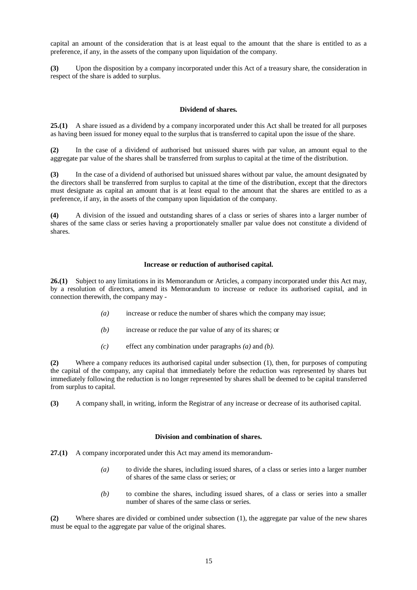capital an amount of the consideration that is at least equal to the amount that the share is entitled to as a preference, if any, in the assets of the company upon liquidation of the company.

**(3)** Upon the disposition by a company incorporated under this Act of a treasury share, the consideration in respect of the share is added to surplus.

## **Dividend of shares.**

**25.(1)** A share issued as a dividend by a company incorporated under this Act shall be treated for all purposes as having been issued for money equal to the surplus that is transferred to capital upon the issue of the share.

**(2)** In the case of a dividend of authorised but unissued shares with par value, an amount equal to the aggregate par value of the shares shall be transferred from surplus to capital at the time of the distribution.

**(3)** In the case of a dividend of authorised but unissued shares without par value, the amount designated by the directors shall be transferred from surplus to capital at the time of the distribution, except that the directors must designate as capital an amount that is at least equal to the amount that the shares are entitled to as a preference, if any, in the assets of the company upon liquidation of the company.

**(4)** A division of the issued and outstanding shares of a class or series of shares into a larger number of shares of the same class or series having a proportionately smaller par value does not constitute a dividend of shares.

### **Increase or reduction of authorised capital.**

**26.(1)** Subject to any limitations in its Memorandum or Articles, a company incorporated under this Act may, by a resolution of directors, amend its Memorandum to increase or reduce its authorised capital, and in connection therewith, the company may -

- *(a)* increase or reduce the number of shares which the company may issue;
- *(b)* increase or reduce the par value of any of its shares; or
- *(c)* effect any combination under paragraphs *(a)* and *(b)*.

**(2)** Where a company reduces its authorised capital under subsection (1), then, for purposes of computing the capital of the company, any capital that immediately before the reduction was represented by shares but immediately following the reduction is no longer represented by shares shall be deemed to be capital transferred from surplus to capital.

**(3)** A company shall, in writing, inform the Registrar of any increase or decrease of its authorised capital.

### **Division and combination of shares.**

**27.(1)** A company incorporated under this Act may amend its memorandum-

- *(a)* to divide the shares, including issued shares, of a class or series into a larger number of shares of the same class or series; or
- *(b)* to combine the shares, including issued shares, of a class or series into a smaller number of shares of the same class or series.

**(2)** Where shares are divided or combined under subsection (1), the aggregate par value of the new shares must be equal to the aggregate par value of the original shares.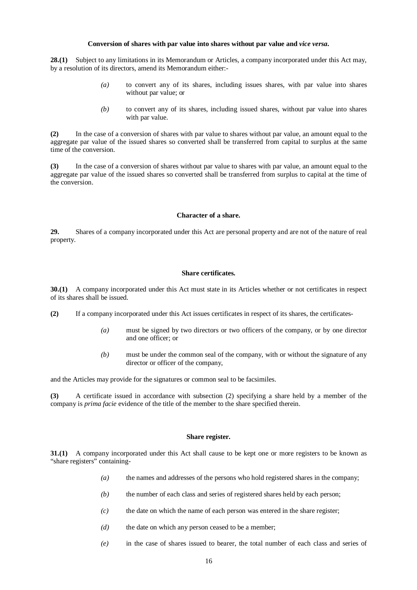### **Conversion of shares with par value into shares without par value and** *vice versa***.**

**28.(1)** Subject to any limitations in its Memorandum or Articles, a company incorporated under this Act may, by a resolution of its directors, amend its Memorandum either:-

- *(a)* to convert any of its shares, including issues shares, with par value into shares without par value; or
- *(b)* to convert any of its shares, including issued shares, without par value into shares with par value.

**(2)** In the case of a conversion of shares with par value to shares without par value, an amount equal to the aggregate par value of the issued shares so converted shall be transferred from capital to surplus at the same time of the conversion.

**(3)** In the case of a conversion of shares without par value to shares with par value, an amount equal to the aggregate par value of the issued shares so converted shall be transferred from surplus to capital at the time of the conversion.

#### **Character of a share.**

**29.** Shares of a company incorporated under this Act are personal property and are not of the nature of real property.

# **Share certificates.**

**30.(1)** A company incorporated under this Act must state in its Articles whether or not certificates in respect of its shares shall be issued.

**(2)** If a company incorporated under this Act issues certificates in respect of its shares, the certificates-

- *(a)* must be signed by two directors or two officers of the company, or by one director and one officer; or
- *(b)* must be under the common seal of the company, with or without the signature of any director or officer of the company,

and the Articles may provide for the signatures or common seal to be facsimiles.

**(3)** A certificate issued in accordance with subsection (2) specifying a share held by a member of the company is *prima facie* evidence of the title of the member to the share specified therein.

## **Share register.**

**31.(1)** A company incorporated under this Act shall cause to be kept one or more registers to be known as "share registers" containing-

- *(a)* the names and addresses of the persons who hold registered shares in the company;
- *(b)* the number of each class and series of registered shares held by each person;
- *(c)* the date on which the name of each person was entered in the share register;
- *(d)* the date on which any person ceased to be a member;
- *(e)* in the case of shares issued to bearer, the total number of each class and series of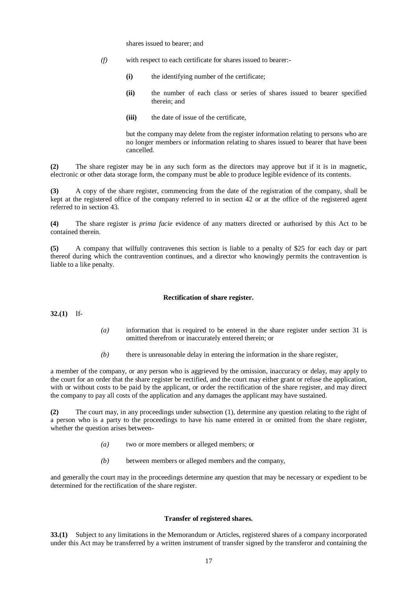shares issued to bearer; and

- *(f)* with respect to each certificate for shares issued to bearer:-
	- **(i)** the identifying number of the certificate;
	- **(ii)** the number of each class or series of shares issued to bearer specified therein; and
	- **(iii)** the date of issue of the certificate,

but the company may delete from the register information relating to persons who are no longer members or information relating to shares issued to bearer that have been cancelled.

**(2)** The share register may be in any such form as the directors may approve but if it is in magnetic, electronic or other data storage form, the company must be able to produce legible evidence of its contents.

**(3)** A copy of the share register, commencing from the date of the registration of the company, shall be kept at the registered office of the company referred to in section 42 or at the office of the registered agent referred to in section 43.

**(4)** The share register is *prima facie* evidence of any matters directed or authorised by this Act to be contained therein.

**(5)** A company that wilfully contravenes this section is liable to a penalty of \$25 for each day or part thereof during which the contravention continues, and a director who knowingly permits the contravention is liable to a like penalty.

### **Rectification of share register.**

**32.(1)** If-

- *(a)* information that is required to be entered in the share register under section 31 is omitted therefrom or inaccurately entered therein; or
- *(b)* there is unreasonable delay in entering the information in the share register,

a member of the company, or any person who is aggrieved by the omission, inaccuracy or delay, may apply to the court for an order that the share register be rectified, and the court may either grant or refuse the application, with or without costs to be paid by the applicant, or order the rectification of the share register, and may direct the company to pay all costs of the application and any damages the applicant may have sustained.

**(2)** The court may, in any proceedings under subsection (1), determine any question relating to the right of a person who is a party to the proceedings to have his name entered in or omitted from the share register, whether the question arises between-

- *(a)* two or more members or alleged members; or
- *(b)* between members or alleged members and the company,

and generally the court may in the proceedings determine any question that may be necessary or expedient to be determined for the rectification of the share register.

## **Transfer of registered shares.**

**33.(1)** Subject to any limitations in the Memorandum or Articles, registered shares of a company incorporated under this Act may be transferred by a written instrument of transfer signed by the transferor and containing the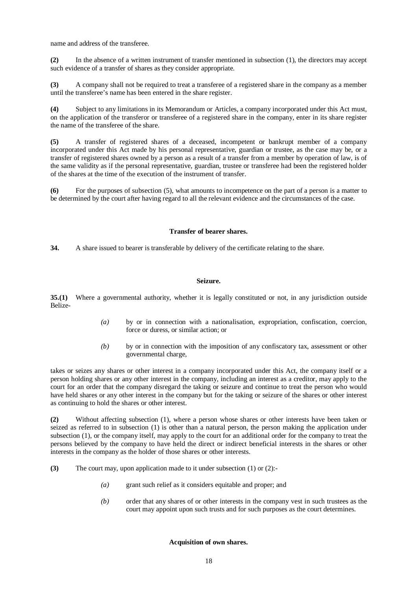name and address of the transferee.

**(2)** In the absence of a written instrument of transfer mentioned in subsection (1), the directors may accept such evidence of a transfer of shares as they consider appropriate.

**(3)** A company shall not be required to treat a transferee of a registered share in the company as a member until the transferee's name has been entered in the share register.

**(4)** Subject to any limitations in its Memorandum or Articles, a company incorporated under this Act must, on the application of the transferor or transferee of a registered share in the company, enter in its share register the name of the transferee of the share.

**(5)** A transfer of registered shares of a deceased, incompetent or bankrupt member of a company incorporated under this Act made by his personal representative, guardian or trustee, as the case may be, or a transfer of registered shares owned by a person as a result of a transfer from a member by operation of law, is of the same validity as if the personal representative, guardian, trustee or transferee had been the registered holder of the shares at the time of the execution of the instrument of transfer.

**(6)** For the purposes of subsection (5), what amounts to incompetence on the part of a person is a matter to be determined by the court after having regard to all the relevant evidence and the circumstances of the case.

### **Transfer of bearer shares.**

**34.** A share issued to bearer is transferable by delivery of the certificate relating to the share.

#### **Seizure.**

**35.(1)** Where a governmental authority, whether it is legally constituted or not, in any jurisdiction outside Belize-

- *(a)* by or in connection with a nationalisation, expropriation, confiscation, coercion, force or duress, or similar action; or
- *(b)* by or in connection with the imposition of any confiscatory tax, assessment or other governmental charge,

takes or seizes any shares or other interest in a company incorporated under this Act, the company itself or a person holding shares or any other interest in the company, including an interest as a creditor, may apply to the court for an order that the company disregard the taking or seizure and continue to treat the person who would have held shares or any other interest in the company but for the taking or seizure of the shares or other interest as continuing to hold the shares or other interest.

**(2)** Without affecting subsection (1), where a person whose shares or other interests have been taken or seized as referred to in subsection (1) is other than a natural person, the person making the application under subsection (1), or the company itself, may apply to the court for an additional order for the company to treat the persons believed by the company to have held the direct or indirect beneficial interests in the shares or other interests in the company as the holder of those shares or other interests.

- **(3)** The court may, upon application made to it under subsection (1) or (2):-
	- *(a)* grant such relief as it considers equitable and proper; and
	- *(b)* order that any shares of or other interests in the company vest in such trustees as the court may appoint upon such trusts and for such purposes as the court determines.

#### **Acquisition of own shares.**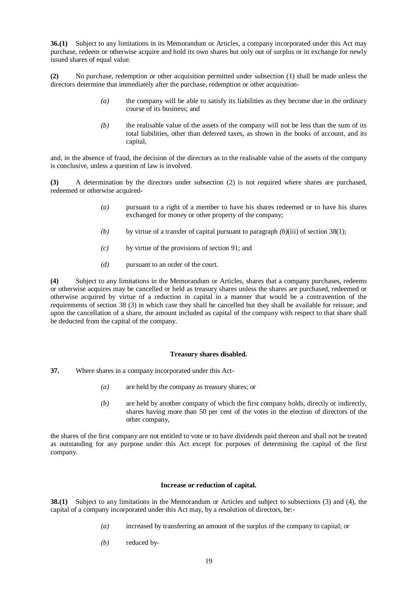**36.(1)** Subject to any limitations in its Memorandum or Articles, a company incorporated under this Act may purchase, redeem or otherwise acquire and hold its own shares but only out of surplus or in exchange for newly issued shares of equal value.

**(2)** No purchase, redemption or other acquisition permitted under subsection (1) shall be made unless the directors determine that immediately after the purchase, redemption or other acquisition-

- *(a)* the company will be able to satisfy its liabilities as they become due in the ordinary course of its business; and
- *(b)* the realisable value of the assets of the company will not be less than the sum of its total liabilities, other than deferred taxes, as shown in the books of account, and its capital,

and, in the absence of fraud, the decision of the directors as to the realisable value of the assets of the company is conclusive, unless a question of law is involved.

**(3)** A determination by the directors under subsection (2) is not required where shares are purchased, redeemed or otherwise acquired-

- *(a)* pursuant to a right of a member to have his shares redeemed or to have his shares exchanged for money or other property of the company;
- *(b)* by virtue of a transfer of capital pursuant to paragraph *(b)*(iii) of section 38(1);
- *(c)* by virtue of the provisions of section 91; and
- *(d)* pursuant to an order of the court.

**(4)** Subject to any limitations in the Memorandum or Articles, shares that a company purchases, redeems or otherwise acquires may be cancelled or held as treasury shares unless the shares are purchased, redeemed or otherwise acquired by virtue of a reduction in capital in a manner that would be a contravention of the requirements of section 38 (3) in which case they shall be cancelled but they shall be available for reissue; and upon the cancellation of a share, the amount included as capital of the company with respect to that share shall be deducted from the capital of the company.

# **Treasury shares disabled.**

- **37.** Where shares in a company incorporated under this Act-
	- *(a)* are held by the company as treasury shares; or
	- *(b)* are held by another company of which the first company holds, directly or indirectly, shares having more than 50 per cent of the votes in the election of directors of the other company,

the shares of the first company are not entitled to vote or to have dividends paid thereon and shall not be treated as outstanding for any purpose under this Act except for purposes of determining the capital of the first company.

#### **Increase or reduction of capital.**

**38.(1)** Subject to any limitations in the Memorandum or Articles and subject to subsections (3) and (4), the capital of a company incorporated under this Act may, by a resolution of directors, be:-

- *(a)* increased by transferring an amount of the surplus of the company to capital; or
- *(b)* reduced by-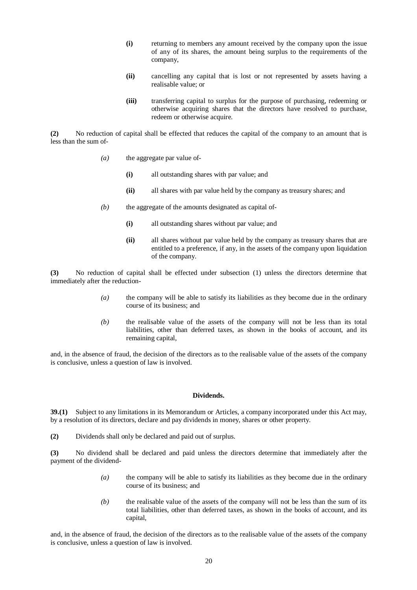- **(i)** returning to members any amount received by the company upon the issue of any of its shares, the amount being surplus to the requirements of the company,
- **(ii)** cancelling any capital that is lost or not represented by assets having a realisable value; or
- **(iii)** transferring capital to surplus for the purpose of purchasing, redeeming or otherwise acquiring shares that the directors have resolved to purchase, redeem or otherwise acquire.

**(2)** No reduction of capital shall be effected that reduces the capital of the company to an amount that is less than the sum of-

- *(a)* the aggregate par value of-
	- **(i)** all outstanding shares with par value; and
	- **(ii)** all shares with par value held by the company as treasury shares; and
- *(b)* the aggregate of the amounts designated as capital of-
	- **(i)** all outstanding shares without par value; and
	- **(ii)** all shares without par value held by the company as treasury shares that are entitled to a preference, if any, in the assets of the company upon liquidation of the company.

**(3)** No reduction of capital shall be effected under subsection (1) unless the directors determine that immediately after the reduction-

- *(a)* the company will be able to satisfy its liabilities as they become due in the ordinary course of its business; and
- *(b)* the realisable value of the assets of the company will not be less than its total liabilities, other than deferred taxes, as shown in the books of account, and its remaining capital,

and, in the absence of fraud, the decision of the directors as to the realisable value of the assets of the company is conclusive, unless a question of law is involved.

### **Dividends.**

**39.(1)** Subject to any limitations in its Memorandum or Articles, a company incorporated under this Act may, by a resolution of its directors, declare and pay dividends in money, shares or other property.

**(2)** Dividends shall only be declared and paid out of surplus.

**(3)** No dividend shall be declared and paid unless the directors determine that immediately after the payment of the dividend-

- *(a)* the company will be able to satisfy its liabilities as they become due in the ordinary course of its business; and
- *(b)* the realisable value of the assets of the company will not be less than the sum of its total liabilities, other than deferred taxes, as shown in the books of account, and its capital,

and, in the absence of fraud, the decision of the directors as to the realisable value of the assets of the company is conclusive, unless a question of law is involved.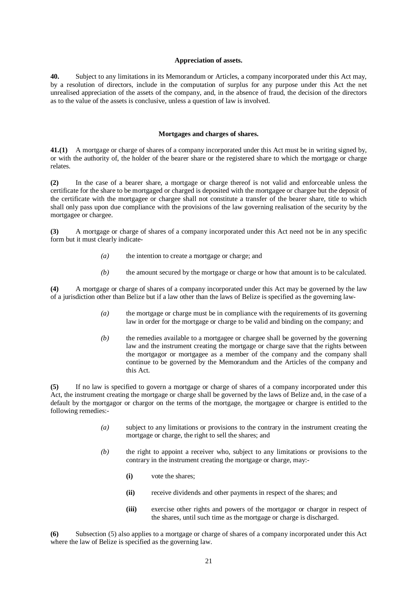#### **Appreciation of assets.**

**40.** Subject to any limitations in its Memorandum or Articles, a company incorporated under this Act may, by a resolution of directors, include in the computation of surplus for any purpose under this Act the net unrealised appreciation of the assets of the company, and, in the absence of fraud, the decision of the directors as to the value of the assets is conclusive, unless a question of law is involved.

#### **Mortgages and charges of shares.**

**41.(1)** A mortgage or charge of shares of a company incorporated under this Act must be in writing signed by, or with the authority of, the holder of the bearer share or the registered share to which the mortgage or charge relates.

**(2)** In the case of a bearer share, a mortgage or charge thereof is not valid and enforceable unless the certificate for the share to be mortgaged or charged is deposited with the mortgagee or chargee but the deposit of the certificate with the mortgagee or chargee shall not constitute a transfer of the bearer share, title to which shall only pass upon due compliance with the provisions of the law governing realisation of the security by the mortgagee or chargee.

**(3)** A mortgage or charge of shares of a company incorporated under this Act need not be in any specific form but it must clearly indicate-

- *(a)* the intention to create a mortgage or charge; and
- *(b)* the amount secured by the mortgage or charge or how that amount is to be calculated.

**(4)** A mortgage or charge of shares of a company incorporated under this Act may be governed by the law of a jurisdiction other than Belize but if a law other than the laws of Belize is specified as the governing law-

- *(a)* the mortgage or charge must be in compliance with the requirements of its governing law in order for the mortgage or charge to be valid and binding on the company; and
- *(b)* the remedies available to a mortgagee or chargee shall be governed by the governing law and the instrument creating the mortgage or charge save that the rights between the mortgagor or mortgagee as a member of the company and the company shall continue to be governed by the Memorandum and the Articles of the company and this Act.

**(5)** If no law is specified to govern a mortgage or charge of shares of a company incorporated under this Act, the instrument creating the mortgage or charge shall be governed by the laws of Belize and, in the case of a default by the mortgagor or chargor on the terms of the mortgage, the mortgagee or chargee is entitled to the following remedies:-

- *(a)* subject to any limitations or provisions to the contrary in the instrument creating the mortgage or charge, the right to sell the shares; and
- *(b)* the right to appoint a receiver who, subject to any limitations or provisions to the contrary in the instrument creating the mortgage or charge, may:-
	- **(i)** vote the shares;
	- **(ii)** receive dividends and other payments in respect of the shares; and
	- **(iii)** exercise other rights and powers of the mortgagor or chargor in respect of the shares, until such time as the mortgage or charge is discharged.

**(6)** Subsection (5) also applies to a mortgage or charge of shares of a company incorporated under this Act where the law of Belize is specified as the governing law.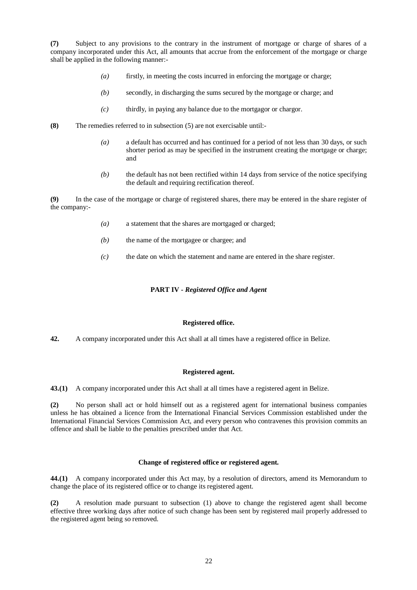**(7)** Subject to any provisions to the contrary in the instrument of mortgage or charge of shares of a company incorporated under this Act, all amounts that accrue from the enforcement of the mortgage or charge shall be applied in the following manner:-

- *(a)* firstly, in meeting the costs incurred in enforcing the mortgage or charge;
- *(b)* secondly, in discharging the sums secured by the mortgage or charge; and
- *(c)* thirdly, in paying any balance due to the mortgagor or chargor.
- **(8)** The remedies referred to in subsection (5) are not exercisable until:-
	- *(a)* a default has occurred and has continued for a period of not less than 30 days, or such shorter period as may be specified in the instrument creating the mortgage or charge; and
	- *(b)* the default has not been rectified within 14 days from service of the notice specifying the default and requiring rectification thereof.

**(9)** In the case of the mortgage or charge of registered shares, there may be entered in the share register of the company:-

- *(a)* a statement that the shares are mortgaged or charged;
- *(b)* the name of the mortgagee or chargee; and
- *(c)* the date on which the statement and name are entered in the share register.

# **PART IV -** *Registered Office and Agent*

#### **Registered office.**

**42.** A company incorporated under this Act shall at all times have a registered office in Belize.

### **Registered agent.**

**43.(1)** A company incorporated under this Act shall at all times have a registered agent in Belize.

**(2)** No person shall act or hold himself out as a registered agent for international business companies unless he has obtained a licence from the International Financial Services Commission established under the International Financial Services Commission Act, and every person who contravenes this provision commits an offence and shall be liable to the penalties prescribed under that Act.

#### **Change of registered office or registered agent.**

**44.(1)** A company incorporated under this Act may, by a resolution of directors, amend its Memorandum to change the place of its registered office or to change its registered agent.

**(2)** A resolution made pursuant to subsection (1) above to change the registered agent shall become effective three working days after notice of such change has been sent by registered mail properly addressed to the registered agent being so removed.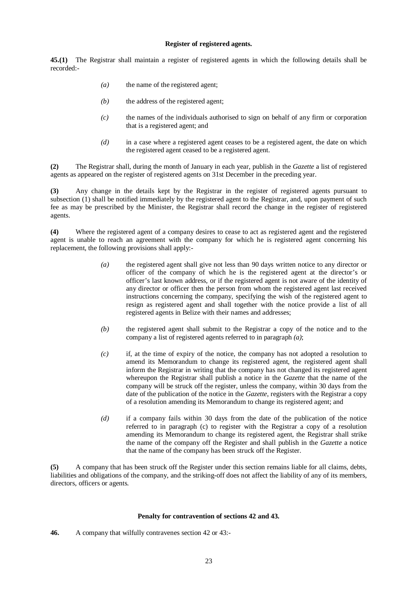### **Register of registered agents.**

**45.(1)** The Registrar shall maintain a register of registered agents in which the following details shall be recorded:-

- *(a)* the name of the registered agent;
- *(b)* the address of the registered agent;
- *(c)* the names of the individuals authorised to sign on behalf of any firm or corporation that is a registered agent; and
- *(d)* in a case where a registered agent ceases to be a registered agent, the date on which the registered agent ceased to be a registered agent.

**(2)** The Registrar shall, during the month of January in each year, publish in the *Gazette* a list of registered agents as appeared on the register of registered agents on 31st December in the preceding year.

**(3)** Any change in the details kept by the Registrar in the register of registered agents pursuant to subsection (1) shall be notified immediately by the registered agent to the Registrar, and, upon payment of such fee as may be prescribed by the Minister, the Registrar shall record the change in the register of registered agents.

**(4)** Where the registered agent of a company desires to cease to act as registered agent and the registered agent is unable to reach an agreement with the company for which he is registered agent concerning his replacement, the following provisions shall apply:-

- *(a)* the registered agent shall give not less than 90 days written notice to any director or officer of the company of which he is the registered agent at the director's or officer's last known address, or if the registered agent is not aware of the identity of any director or officer then the person from whom the registered agent last received instructions concerning the company, specifying the wish of the registered agent to resign as registered agent and shall together with the notice provide a list of all registered agents in Belize with their names and addresses;
- *(b)* the registered agent shall submit to the Registrar a copy of the notice and to the company a list of registered agents referred to in paragraph *(a)*;
- *(c)* if, at the time of expiry of the notice, the company has not adopted a resolution to amend its Memorandum to change its registered agent, the registered agent shall inform the Registrar in writing that the company has not changed its registered agent whereupon the Registrar shall publish a notice in the *Gazette* that the name of the company will be struck off the register, unless the company, within 30 days from the date of the publication of the notice in the *Gazette*, registers with the Registrar a copy of a resolution amending its Memorandum to change its registered agent; and
- *(d)* if a company fails within 30 days from the date of the publication of the notice referred to in paragraph (c) to register with the Registrar a copy of a resolution amending its Memorandum to change its registered agent, the Registrar shall strike the name of the company off the Register and shall publish in the *Gazette* a notice that the name of the company has been struck off the Register.

**(5)** A company that has been struck off the Register under this section remains liable for all claims, debts, liabilities and obligations of the company, and the striking-off does not affect the liability of any of its members, directors, officers or agents.

# **Penalty for contravention of sections 42 and 43.**

**46.** A company that wilfully contravenes section 42 or 43:-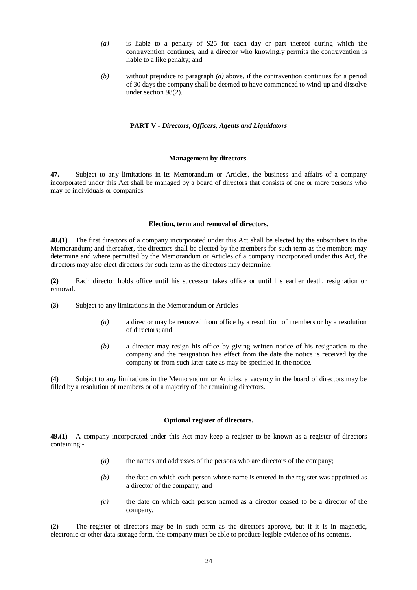- *(a)* is liable to a penalty of \$25 for each day or part thereof during which the contravention continues, and a director who knowingly permits the contravention is liable to a like penalty; and
- *(b)* without prejudice to paragraph *(a)* above, if the contravention continues for a period of 30 days the company shall be deemed to have commenced to wind-up and dissolve under section 98(2).

#### **PART V -** *Directors, Officers, Agents and Liquidators*

### **Management by directors.**

**47.** Subject to any limitations in its Memorandum or Articles, the business and affairs of a company incorporated under this Act shall be managed by a board of directors that consists of one or more persons who may be individuals or companies.

#### **Election, term and removal of directors.**

**48.(1)** The first directors of a company incorporated under this Act shall be elected by the subscribers to the Memorandum; and thereafter, the directors shall be elected by the members for such term as the members may determine and where permitted by the Memorandum or Articles of a company incorporated under this Act, the directors may also elect directors for such term as the directors may determine.

**(2)** Each director holds office until his successor takes office or until his earlier death, resignation or removal.

- **(3)** Subject to any limitations in the Memorandum or Articles-
	- *(a)* a director may be removed from office by a resolution of members or by a resolution of directors; and
	- *(b)* a director may resign his office by giving written notice of his resignation to the company and the resignation has effect from the date the notice is received by the company or from such later date as may be specified in the notice.

**(4)** Subject to any limitations in the Memorandum or Articles, a vacancy in the board of directors may be filled by a resolution of members or of a majority of the remaining directors.

## **Optional register of directors.**

**49.(1)** A company incorporated under this Act may keep a register to be known as a register of directors containing:-

- *(a)* the names and addresses of the persons who are directors of the company;
- *(b)* the date on which each person whose name is entered in the register was appointed as a director of the company; and
- *(c)* the date on which each person named as a director ceased to be a director of the company.

**(2)** The register of directors may be in such form as the directors approve, but if it is in magnetic, electronic or other data storage form, the company must be able to produce legible evidence of its contents.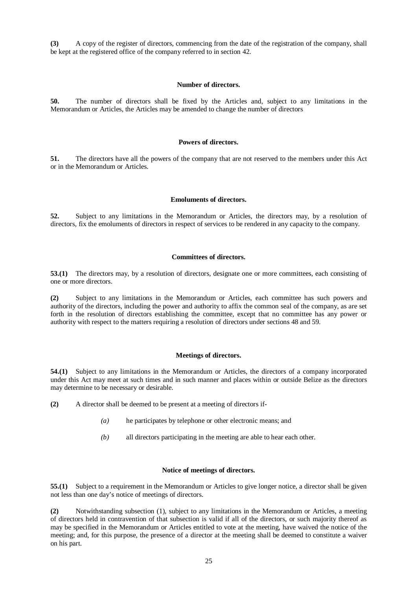**(3)** A copy of the register of directors, commencing from the date of the registration of the company, shall be kept at the registered office of the company referred to in section 42.

### **Number of directors.**

**50.** The number of directors shall be fixed by the Articles and, subject to any limitations in the Memorandum or Articles, the Articles may be amended to change the number of directors

#### **Powers of directors.**

**51.** The directors have all the powers of the company that are not reserved to the members under this Act or in the Memorandum or Articles.

#### **Emoluments of directors.**

**52.** Subject to any limitations in the Memorandum or Articles, the directors may, by a resolution of directors, fix the emoluments of directors in respect of services to be rendered in any capacity to the company.

## **Committees of directors.**

**53.(1)** The directors may, by a resolution of directors, designate one or more committees, each consisting of one or more directors.

**(2)** Subject to any limitations in the Memorandum or Articles, each committee has such powers and authority of the directors, including the power and authority to affix the common seal of the company, as are set forth in the resolution of directors establishing the committee, except that no committee has any power or authority with respect to the matters requiring a resolution of directors under sections 48 and 59.

### **Meetings of directors.**

**54.(1)** Subject to any limitations in the Memorandum or Articles, the directors of a company incorporated under this Act may meet at such times and in such manner and places within or outside Belize as the directors may determine to be necessary or desirable.

- **(2)** A director shall be deemed to be present at a meeting of directors if-
	- *(a)* he participates by telephone or other electronic means; and
	- *(b)* all directors participating in the meeting are able to hear each other.

### **Notice of meetings of directors.**

**55.(1)** Subject to a requirement in the Memorandum or Articles to give longer notice, a director shall be given not less than one day's notice of meetings of directors.

**(2)** Notwithstanding subsection (1), subject to any limitations in the Memorandum or Articles, a meeting of directors held in contravention of that subsection is valid if all of the directors, or such majority thereof as may be specified in the Memorandum or Articles entitled to vote at the meeting, have waived the notice of the meeting; and, for this purpose, the presence of a director at the meeting shall be deemed to constitute a waiver on his part.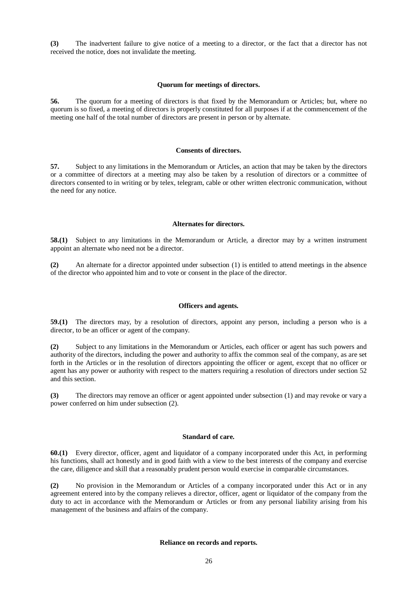**(3)** The inadvertent failure to give notice of a meeting to a director, or the fact that a director has not received the notice, does not invalidate the meeting.

### **Quorum for meetings of directors.**

**56.** The quorum for a meeting of directors is that fixed by the Memorandum or Articles; but, where no quorum is so fixed, a meeting of directors is properly constituted for all purposes if at the commencement of the meeting one half of the total number of directors are present in person or by alternate.

## **Consents of directors.**

**57.** Subject to any limitations in the Memorandum or Articles, an action that may be taken by the directors or a committee of directors at a meeting may also be taken by a resolution of directors or a committee of directors consented to in writing or by telex, telegram, cable or other written electronic communication, without the need for any notice.

#### **Alternates for directors.**

**58.(1)** Subject to any limitations in the Memorandum or Article, a director may by a written instrument appoint an alternate who need not be a director.

**(2)** An alternate for a director appointed under subsection (1) is entitled to attend meetings in the absence of the director who appointed him and to vote or consent in the place of the director.

#### **Officers and agents.**

**59.(1)** The directors may, by a resolution of directors, appoint any person, including a person who is a director, to be an officer or agent of the company.

**(2)** Subject to any limitations in the Memorandum or Articles, each officer or agent has such powers and authority of the directors, including the power and authority to affix the common seal of the company, as are set forth in the Articles or in the resolution of directors appointing the officer or agent, except that no officer or agent has any power or authority with respect to the matters requiring a resolution of directors under section 52 and this section.

**(3)** The directors may remove an officer or agent appointed under subsection (1) and may revoke or vary a power conferred on him under subsection (2).

## **Standard of care.**

**60.(1)** Every director, officer, agent and liquidator of a company incorporated under this Act, in performing his functions, shall act honestly and in good faith with a view to the best interests of the company and exercise the care, diligence and skill that a reasonably prudent person would exercise in comparable circumstances.

**(2)** No provision in the Memorandum or Articles of a company incorporated under this Act or in any agreement entered into by the company relieves a director, officer, agent or liquidator of the company from the duty to act in accordance with the Memorandum or Articles or from any personal liability arising from his management of the business and affairs of the company.

#### **Reliance on records and reports.**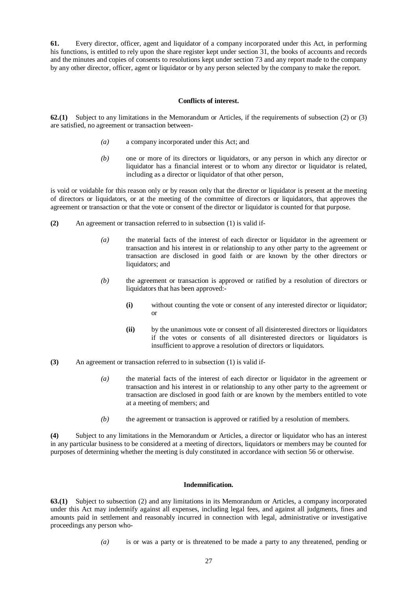**61.** Every director, officer, agent and liquidator of a company incorporated under this Act, in performing his functions, is entitled to rely upon the share register kept under section 31, the books of accounts and records and the minutes and copies of consents to resolutions kept under section 73 and any report made to the company by any other director, officer, agent or liquidator or by any person selected by the company to make the report.

### **Conflicts of interest.**

**62.(1)** Subject to any limitations in the Memorandum or Articles, if the requirements of subsection (2) or (3) are satisfied, no agreement or transaction between-

- *(a)* a company incorporated under this Act; and
- *(b)* one or more of its directors or liquidators, or any person in which any director or liquidator has a financial interest or to whom any director or liquidator is related, including as a director or liquidator of that other person,

is void or voidable for this reason only or by reason only that the director or liquidator is present at the meeting of directors or liquidators, or at the meeting of the committee of directors or liquidators, that approves the agreement or transaction or that the vote or consent of the director or liquidator is counted for that purpose.

- **(2)** An agreement or transaction referred to in subsection (1) is valid if-
	- *(a)* the material facts of the interest of each director or liquidator in the agreement or transaction and his interest in or relationship to any other party to the agreement or transaction are disclosed in good faith or are known by the other directors or liquidators; and
	- *(b)* the agreement or transaction is approved or ratified by a resolution of directors or liquidators that has been approved:-
		- **(i)** without counting the vote or consent of any interested director or liquidator; or
		- **(ii)** by the unanimous vote or consent of all disinterested directors or liquidators if the votes or consents of all disinterested directors or liquidators is insufficient to approve a resolution of directors or liquidators.
- **(3)** An agreement or transaction referred to in subsection (1) is valid if-
	- *(a)* the material facts of the interest of each director or liquidator in the agreement or transaction and his interest in or relationship to any other party to the agreement or transaction are disclosed in good faith or are known by the members entitled to vote at a meeting of members; and
	- *(b)* the agreement or transaction is approved or ratified by a resolution of members.

**(4)** Subject to any limitations in the Memorandum or Articles, a director or liquidator who has an interest in any particular business to be considered at a meeting of directors, liquidators or members may be counted for purposes of determining whether the meeting is duly constituted in accordance with section 56 or otherwise.

### **Indemnification.**

**63.(1)** Subject to subsection (2) and any limitations in its Memorandum or Articles, a company incorporated under this Act may indemnify against all expenses, including legal fees, and against all judgments, fines and amounts paid in settlement and reasonably incurred in connection with legal, administrative or investigative proceedings any person who-

*(a)* is or was a party or is threatened to be made a party to any threatened, pending or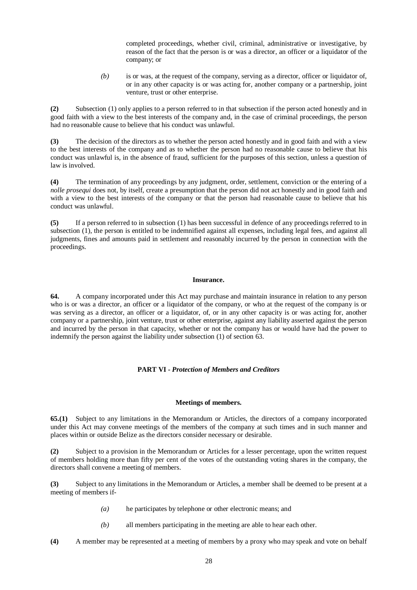completed proceedings, whether civil, criminal, administrative or investigative, by reason of the fact that the person is or was a director, an officer or a liquidator of the company; or

*(b)* is or was, at the request of the company, serving as a director, officer or liquidator of, or in any other capacity is or was acting for, another company or a partnership, joint venture, trust or other enterprise.

**(2)** Subsection (1) only applies to a person referred to in that subsection if the person acted honestly and in good faith with a view to the best interests of the company and, in the case of criminal proceedings, the person had no reasonable cause to believe that his conduct was unlawful.

**(3)** The decision of the directors as to whether the person acted honestly and in good faith and with a view to the best interests of the company and as to whether the person had no reasonable cause to believe that his conduct was unlawful is, in the absence of fraud, sufficient for the purposes of this section, unless a question of law is involved.

**(4)** The termination of any proceedings by any judgment, order, settlement, conviction or the entering of a *nolle prosequi* does not, by itself, create a presumption that the person did not act honestly and in good faith and with a view to the best interests of the company or that the person had reasonable cause to believe that his conduct was unlawful.

**(5)** If a person referred to in subsection (1) has been successful in defence of any proceedings referred to in subsection (1), the person is entitled to be indemnified against all expenses, including legal fees, and against all judgments, fines and amounts paid in settlement and reasonably incurred by the person in connection with the proceedings.

### **Insurance.**

**64.** A company incorporated under this Act may purchase and maintain insurance in relation to any person who is or was a director, an officer or a liquidator of the company, or who at the request of the company is or was serving as a director, an officer or a liquidator, of, or in any other capacity is or was acting for, another company or a partnership, joint venture, trust or other enterprise, against any liability asserted against the person and incurred by the person in that capacity, whether or not the company has or would have had the power to indemnify the person against the liability under subsection (1) of section 63.

# **PART VI -** *Protection of Members and Creditors*

# **Meetings of members.**

**65.(1)** Subject to any limitations in the Memorandum or Articles, the directors of a company incorporated under this Act may convene meetings of the members of the company at such times and in such manner and places within or outside Belize as the directors consider necessary or desirable.

**(2)** Subject to a provision in the Memorandum or Articles for a lesser percentage, upon the written request of members holding more than fifty per cent of the votes of the outstanding voting shares in the company, the directors shall convene a meeting of members.

**(3)** Subject to any limitations in the Memorandum or Articles, a member shall be deemed to be present at a meeting of members if-

- *(a)* he participates by telephone or other electronic means; and
- *(b)* all members participating in the meeting are able to hear each other.
- **(4)** A member may be represented at a meeting of members by a proxy who may speak and vote on behalf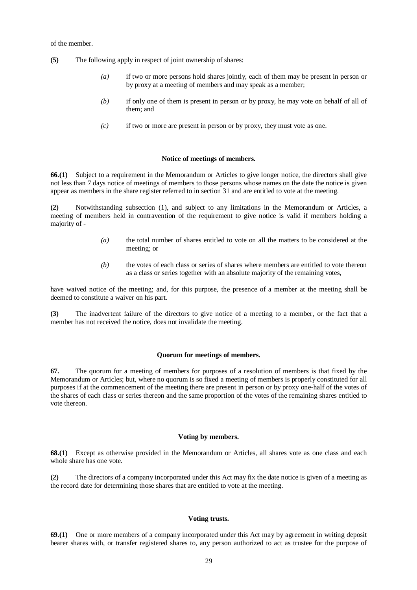of the member.

- **(5)** The following apply in respect of joint ownership of shares:
	- *(a)* if two or more persons hold shares jointly, each of them may be present in person or by proxy at a meeting of members and may speak as a member;
	- *(b)* if only one of them is present in person or by proxy, he may vote on behalf of all of them; and
	- *(c)* if two or more are present in person or by proxy, they must vote as one.

## **Notice of meetings of members.**

**66.(1)** Subject to a requirement in the Memorandum or Articles to give longer notice, the directors shall give not less than 7 days notice of meetings of members to those persons whose names on the date the notice is given appear as members in the share register referred to in section 31 and are entitled to vote at the meeting.

**(2)** Notwithstanding subsection (1), and subject to any limitations in the Memorandum or Articles, a meeting of members held in contravention of the requirement to give notice is valid if members holding a majority of -

- *(a)* the total number of shares entitled to vote on all the matters to be considered at the meeting; or
- *(b)* the votes of each class or series of shares where members are entitled to vote thereon as a class or series together with an absolute majority of the remaining votes,

have waived notice of the meeting; and, for this purpose, the presence of a member at the meeting shall be deemed to constitute a waiver on his part.

**(3)** The inadvertent failure of the directors to give notice of a meeting to a member, or the fact that a member has not received the notice, does not invalidate the meeting.

### **Quorum for meetings of members.**

**67.** The quorum for a meeting of members for purposes of a resolution of members is that fixed by the Memorandum or Articles; but, where no quorum is so fixed a meeting of members is properly constituted for all purposes if at the commencement of the meeting there are present in person or by proxy one-half of the votes of the shares of each class or series thereon and the same proportion of the votes of the remaining shares entitled to vote thereon.

## **Voting by members.**

**68.(1)** Except as otherwise provided in the Memorandum or Articles, all shares vote as one class and each whole share has one vote.

**(2)** The directors of a company incorporated under this Act may fix the date notice is given of a meeting as the record date for determining those shares that are entitled to vote at the meeting.

## **Voting trusts.**

**69.(1)** One or more members of a company incorporated under this Act may by agreement in writing deposit bearer shares with, or transfer registered shares to, any person authorized to act as trustee for the purpose of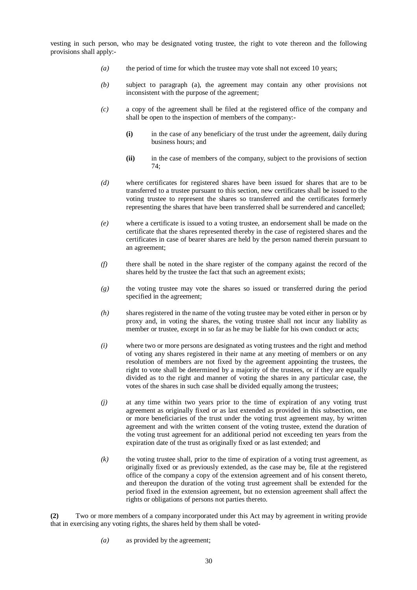vesting in such person, who may be designated voting trustee, the right to vote thereon and the following provisions shall apply:-

- *(a)* the period of time for which the trustee may vote shall not exceed 10 years;
- *(b)* subject to paragraph (a), the agreement may contain any other provisions not inconsistent with the purpose of the agreement;
- *(c)* a copy of the agreement shall be filed at the registered office of the company and shall be open to the inspection of members of the company:-
	- **(i)** in the case of any beneficiary of the trust under the agreement, daily during business hours; and
	- **(ii)** in the case of members of the company, subject to the provisions of section  $74.$
- *(d)* where certificates for registered shares have been issued for shares that are to be transferred to a trustee pursuant to this section, new certificates shall be issued to the voting trustee to represent the shares so transferred and the certificates formerly representing the shares that have been transferred shall be surrendered and cancelled;
- *(e)* where a certificate is issued to a voting trustee, an endorsement shall be made on the certificate that the shares represented thereby in the case of registered shares and the certificates in case of bearer shares are held by the person named therein pursuant to an agreement;
- *(f)* there shall be noted in the share register of the company against the record of the shares held by the trustee the fact that such an agreement exists;
- *(g)* the voting trustee may vote the shares so issued or transferred during the period specified in the agreement;
- *(h)* shares registered in the name of the voting trustee may be voted either in person or by proxy and, in voting the shares, the voting trustee shall not incur any liability as member or trustee, except in so far as he may be liable for his own conduct or acts;
- *(i)* where two or more persons are designated as voting trustees and the right and method of voting any shares registered in their name at any meeting of members or on any resolution of members are not fixed by the agreement appointing the trustees, the right to vote shall be determined by a majority of the trustees, or if they are equally divided as to the right and manner of voting the shares in any particular case, the votes of the shares in such case shall be divided equally among the trustees;
- *(j)* at any time within two years prior to the time of expiration of any voting trust agreement as originally fixed or as last extended as provided in this subsection, one or more beneficiaries of the trust under the voting trust agreement may, by written agreement and with the written consent of the voting trustee, extend the duration of the voting trust agreement for an additional period not exceeding ten years from the expiration date of the trust as originally fixed or as last extended; and
- *(k)* the voting trustee shall, prior to the time of expiration of a voting trust agreement, as originally fixed or as previously extended, as the case may be, file at the registered office of the company a copy of the extension agreement and of his consent thereto, and thereupon the duration of the voting trust agreement shall be extended for the period fixed in the extension agreement, but no extension agreement shall affect the rights or obligations of persons not parties thereto.

**(2)** Two or more members of a company incorporated under this Act may by agreement in writing provide that in exercising any voting rights, the shares held by them shall be voted-

*(a)* as provided by the agreement;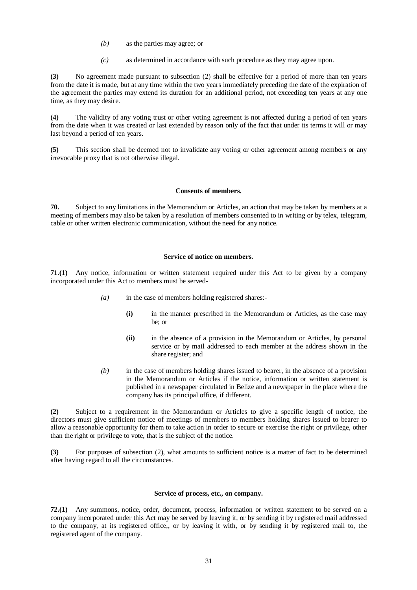- *(b)* as the parties may agree; or
- *(c)* as determined in accordance with such procedure as they may agree upon.

**(3)** No agreement made pursuant to subsection (2) shall be effective for a period of more than ten years from the date it is made, but at any time within the two years immediately preceding the date of the expiration of the agreement the parties may extend its duration for an additional period, not exceeding ten years at any one time, as they may desire.

**(4)** The validity of any voting trust or other voting agreement is not affected during a period of ten years from the date when it was created or last extended by reason only of the fact that under its terms it will or may last beyond a period of ten years.

**(5)** This section shall be deemed not to invalidate any voting or other agreement among members or any irrevocable proxy that is not otherwise illegal.

### **Consents of members.**

**70.** Subject to any limitations in the Memorandum or Articles, an action that may be taken by members at a meeting of members may also be taken by a resolution of members consented to in writing or by telex, telegram, cable or other written electronic communication, without the need for any notice.

# **Service of notice on members.**

**71.(1)** Any notice, information or written statement required under this Act to be given by a company incorporated under this Act to members must be served-

- *(a)* in the case of members holding registered shares:-
	- **(i)** in the manner prescribed in the Memorandum or Articles, as the case may be; or
	- **(ii)** in the absence of a provision in the Memorandum or Articles, by personal service or by mail addressed to each member at the address shown in the share register; and
- *(b)* in the case of members holding shares issued to bearer, in the absence of a provision in the Memorandum or Articles if the notice, information or written statement is published in a newspaper circulated in Belize and a newspaper in the place where the company has its principal office, if different.

**(2)** Subject to a requirement in the Memorandum or Articles to give a specific length of notice, the directors must give sufficient notice of meetings of members to members holding shares issued to bearer to allow a reasonable opportunity for them to take action in order to secure or exercise the right or privilege, other than the right or privilege to vote, that is the subject of the notice.

**(3)** For purposes of subsection (2), what amounts to sufficient notice is a matter of fact to be determined after having regard to all the circumstances.

#### **Service of process, etc., on company.**

**72.(1)** Any summons, notice, order, document, process, information or written statement to be served on a company incorporated under this Act may be served by leaving it, or by sending it by registered mail addressed to the company, at its registered office,, or by leaving it with, or by sending it by registered mail to, the registered agent of the company.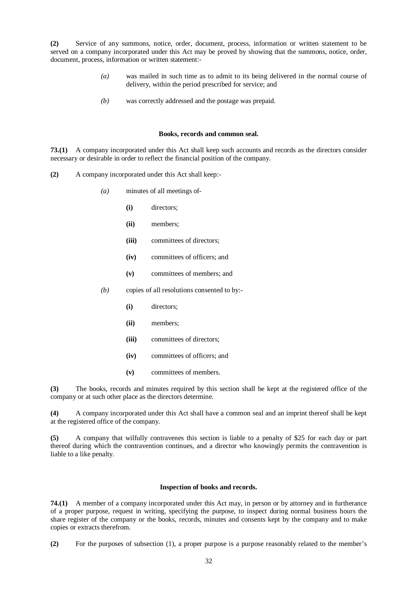**(2)** Service of any summons, notice, order, document, process, information or written statement to be served on a company incorporated under this Act may be proved by showing that the summons, notice, order, document, process, information or written statement:-

- *(a)* was mailed in such time as to admit to its being delivered in the normal course of delivery, within the period prescribed for service; and
- *(b)* was correctly addressed and the postage was prepaid.

#### **Books, records and common seal.**

**73.(1)** A company incorporated under this Act shall keep such accounts and records as the directors consider necessary or desirable in order to reflect the financial position of the company.

- **(2)** A company incorporated under this Act shall keep:-
	- *(a)* minutes of all meetings of-
		- **(i)** directors;
		- **(ii)** members;
		- **(iii)** committees of directors;
		- **(iv)** committees of officers; and
		- **(v)** committees of members; and
	- *(b)* copies of all resolutions consented to by:-
		- **(i)** directors;
		- **(ii)** members;
		- **(iii)** committees of directors;
		- **(iv)** committees of officers; and
		- **(v)** committees of members.

**(3)** The books, records and minutes required by this section shall be kept at the registered office of the company or at such other place as the directors determine.

**(4)** A company incorporated under this Act shall have a common seal and an imprint thereof shall be kept at the registered office of the company.

**(5)** A company that wilfully contravenes this section is liable to a penalty of \$25 for each day or part thereof during which the contravention continues, and a director who knowingly permits the contravention is liable to a like penalty.

#### **Inspection of books and records.**

**74.(1)** A member of a company incorporated under this Act may, in person or by attorney and in furtherance of a proper purpose, request in writing, specifying the purpose, to inspect during normal business hours the share register of the company or the books, records, minutes and consents kept by the company and to make copies or extracts therefrom.

**(2)** For the purposes of subsection (1), a proper purpose is a purpose reasonably related to the member's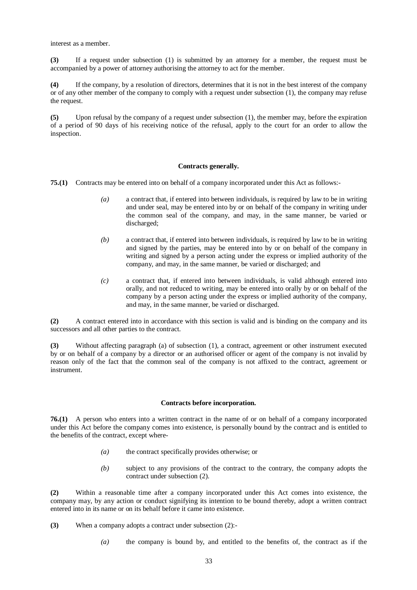interest as a member.

**(3)** If a request under subsection (1) is submitted by an attorney for a member, the request must be accompanied by a power of attorney authorising the attorney to act for the member.

**(4)** If the company, by a resolution of directors, determines that it is not in the best interest of the company or of any other member of the company to comply with a request under subsection (1), the company may refuse the request.

**(5)** Upon refusal by the company of a request under subsection (1), the member may, before the expiration of a period of 90 days of his receiving notice of the refusal, apply to the court for an order to allow the inspection.

### **Contracts generally.**

**75.(1)** Contracts may be entered into on behalf of a company incorporated under this Act as follows:-

- *(a)* a contract that, if entered into between individuals, is required by law to be in writing and under seal, may be entered into by or on behalf of the company in writing under the common seal of the company, and may, in the same manner, be varied or discharged;
- *(b)* a contract that, if entered into between individuals, is required by law to be in writing and signed by the parties, may be entered into by or on behalf of the company in writing and signed by a person acting under the express or implied authority of the company, and may, in the same manner, be varied or discharged; and
- *(c)* a contract that, if entered into between individuals, is valid although entered into orally, and not reduced to writing, may be entered into orally by or on behalf of the company by a person acting under the express or implied authority of the company, and may, in the same manner, be varied or discharged.

**(2)** A contract entered into in accordance with this section is valid and is binding on the company and its successors and all other parties to the contract.

**(3)** Without affecting paragraph (a) of subsection (1), a contract, agreement or other instrument executed by or on behalf of a company by a director or an authorised officer or agent of the company is not invalid by reason only of the fact that the common seal of the company is not affixed to the contract, agreement or instrument.

#### **Contracts before incorporation.**

**76.(1)** A person who enters into a written contract in the name of or on behalf of a company incorporated under this Act before the company comes into existence, is personally bound by the contract and is entitled to the benefits of the contract, except where-

- *(a)* the contract specifically provides otherwise; or
- *(b)* subject to any provisions of the contract to the contrary, the company adopts the contract under subsection (2).

**(2)** Within a reasonable time after a company incorporated under this Act comes into existence, the company may, by any action or conduct signifying its intention to be bound thereby, adopt a written contract entered into in its name or on its behalf before it came into existence.

- **(3)** When a company adopts a contract under subsection (2):-
	- *(a)* the company is bound by, and entitled to the benefits of, the contract as if the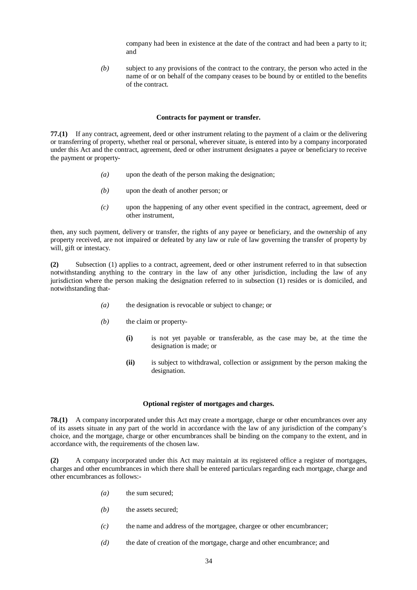company had been in existence at the date of the contract and had been a party to it; and

*(b)* subject to any provisions of the contract to the contrary, the person who acted in the name of or on behalf of the company ceases to be bound by or entitled to the benefits of the contract.

#### **Contracts for payment or transfer.**

**77.(1)** If any contract, agreement, deed or other instrument relating to the payment of a claim or the delivering or transferring of property, whether real or personal, wherever situate, is entered into by a company incorporated under this Act and the contract, agreement, deed or other instrument designates a payee or beneficiary to receive the payment or property-

- *(a)* upon the death of the person making the designation;
- *(b)* upon the death of another person; or
- *(c)* upon the happening of any other event specified in the contract, agreement, deed or other instrument,

then, any such payment, delivery or transfer, the rights of any payee or beneficiary, and the ownership of any property received, are not impaired or defeated by any law or rule of law governing the transfer of property by will, gift or intestacy.

**(2)** Subsection (1) applies to a contract, agreement, deed or other instrument referred to in that subsection notwithstanding anything to the contrary in the law of any other jurisdiction, including the law of any jurisdiction where the person making the designation referred to in subsection (1) resides or is domiciled, and notwithstanding that-

- *(a)* the designation is revocable or subject to change; or
- *(b)* the claim or property-
	- **(i)** is not yet payable or transferable, as the case may be, at the time the designation is made; or
	- **(ii)** is subject to withdrawal, collection or assignment by the person making the designation.

#### **Optional register of mortgages and charges.**

**78.(1)** A company incorporated under this Act may create a mortgage, charge or other encumbrances over any of its assets situate in any part of the world in accordance with the law of any jurisdiction of the company's choice, and the mortgage, charge or other encumbrances shall be binding on the company to the extent, and in accordance with, the requirements of the chosen law.

**(2)** A company incorporated under this Act may maintain at its registered office a register of mortgages, charges and other encumbrances in which there shall be entered particulars regarding each mortgage, charge and other encumbrances as follows:-

- *(a)* the sum secured;
- *(b)* the assets secured;
- *(c)* the name and address of the mortgagee, chargee or other encumbrancer;
- *(d)* the date of creation of the mortgage, charge and other encumbrance; and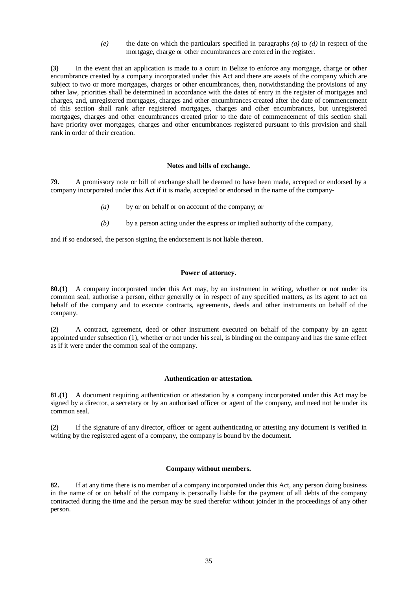*(e)* the date on which the particulars specified in paragraphs *(a)* to *(d)* in respect of the mortgage, charge or other encumbrances are entered in the register.

**(3)** In the event that an application is made to a court in Belize to enforce any mortgage, charge or other encumbrance created by a company incorporated under this Act and there are assets of the company which are subject to two or more mortgages, charges or other encumbrances, then, notwithstanding the provisions of any other law, priorities shall be determined in accordance with the dates of entry in the register of mortgages and charges, and, unregistered mortgages, charges and other encumbrances created after the date of commencement of this section shall rank after registered mortgages, charges and other encumbrances, but unregistered mortgages, charges and other encumbrances created prior to the date of commencement of this section shall have priority over mortgages, charges and other encumbrances registered pursuant to this provision and shall rank in order of their creation.

# **Notes and bills of exchange.**

**79.** A promissory note or bill of exchange shall be deemed to have been made, accepted or endorsed by a company incorporated under this Act if it is made, accepted or endorsed in the name of the company-

- *(a)* by or on behalf or on account of the company; or
- *(b)* by a person acting under the express or implied authority of the company,

and if so endorsed, the person signing the endorsement is not liable thereon.

# **Power of attorney.**

**80.(1)** A company incorporated under this Act may, by an instrument in writing, whether or not under its common seal, authorise a person, either generally or in respect of any specified matters, as its agent to act on behalf of the company and to execute contracts, agreements, deeds and other instruments on behalf of the company.

**(2)** A contract, agreement, deed or other instrument executed on behalf of the company by an agent appointed under subsection (1), whether or not under his seal, is binding on the company and has the same effect as if it were under the common seal of the company.

### **Authentication or attestation.**

**81.(1)** A document requiring authentication or attestation by a company incorporated under this Act may be signed by a director, a secretary or by an authorised officer or agent of the company, and need not be under its common seal.

**(2)** If the signature of any director, officer or agent authenticating or attesting any document is verified in writing by the registered agent of a company, the company is bound by the document.

### **Company without members.**

**82.** If at any time there is no member of a company incorporated under this Act, any person doing business in the name of or on behalf of the company is personally liable for the payment of all debts of the company contracted during the time and the person may be sued therefor without joinder in the proceedings of any other person.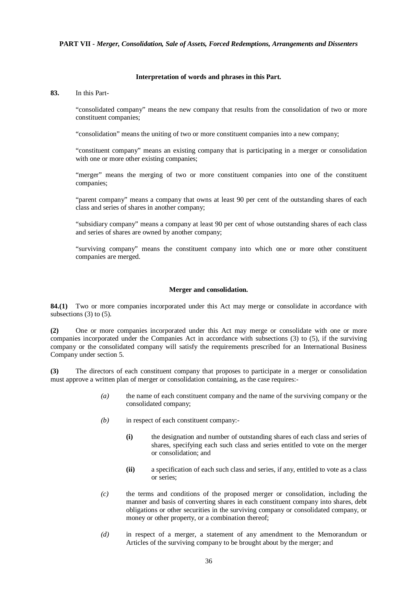### **PART VII -** *Merger, Consolidation, Sale of Assets, Forced Redemptions, Arrangements and Dissenters*

### **Interpretation of words and phrases in this Part.**

### **83.** In this Part-

"consolidated company" means the new company that results from the consolidation of two or more constituent companies;

"consolidation" means the uniting of two or more constituent companies into a new company;

"constituent company" means an existing company that is participating in a merger or consolidation with one or more other existing companies:

"merger" means the merging of two or more constituent companies into one of the constituent companies;

"parent company" means a company that owns at least 90 per cent of the outstanding shares of each class and series of shares in another company;

"subsidiary company" means a company at least 90 per cent of whose outstanding shares of each class and series of shares are owned by another company;

"surviving company" means the constituent company into which one or more other constituent companies are merged.

### **Merger and consolidation.**

**84.(1)** Two or more companies incorporated under this Act may merge or consolidate in accordance with subsections  $(3)$  to  $(5)$ .

**(2)** One or more companies incorporated under this Act may merge or consolidate with one or more companies incorporated under the Companies Act in accordance with subsections (3) to (5), if the surviving company or the consolidated company will satisfy the requirements prescribed for an International Business Company under section 5.

**(3)** The directors of each constituent company that proposes to participate in a merger or consolidation must approve a written plan of merger or consolidation containing, as the case requires:-

- *(a)* the name of each constituent company and the name of the surviving company or the consolidated company;
- *(b)* in respect of each constituent company:-
	- **(i)** the designation and number of outstanding shares of each class and series of shares, specifying each such class and series entitled to vote on the merger or consolidation; and
	- **(ii)** a specification of each such class and series, if any, entitled to vote as a class or series;
- *(c)* the terms and conditions of the proposed merger or consolidation, including the manner and basis of converting shares in each constituent company into shares, debt obligations or other securities in the surviving company or consolidated company, or money or other property, or a combination thereof;
- *(d)* in respect of a merger, a statement of any amendment to the Memorandum or Articles of the surviving company to be brought about by the merger; and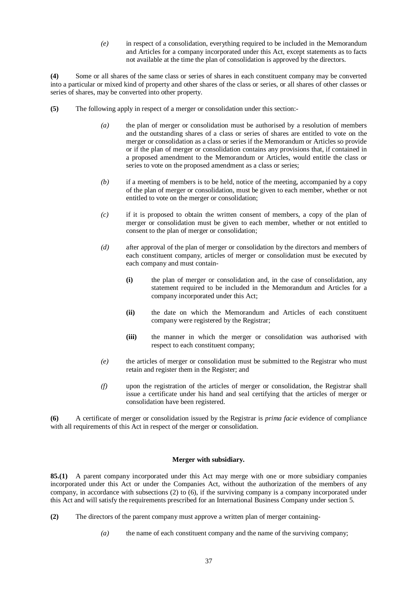*(e)* in respect of a consolidation, everything required to be included in the Memorandum and Articles for a company incorporated under this Act, except statements as to facts not available at the time the plan of consolidation is approved by the directors.

**(4)** Some or all shares of the same class or series of shares in each constituent company may be converted into a particular or mixed kind of property and other shares of the class or series, or all shares of other classes or series of shares, may be converted into other property.

- **(5)** The following apply in respect of a merger or consolidation under this section:-
	- *(a)* the plan of merger or consolidation must be authorised by a resolution of members and the outstanding shares of a class or series of shares are entitled to vote on the merger or consolidation as a class or series if the Memorandum or Articles so provide or if the plan of merger or consolidation contains any provisions that, if contained in a proposed amendment to the Memorandum or Articles, would entitle the class or series to vote on the proposed amendment as a class or series;
	- *(b)* if a meeting of members is to be held, notice of the meeting, accompanied by a copy of the plan of merger or consolidation, must be given to each member, whether or not entitled to vote on the merger or consolidation;
	- *(c)* if it is proposed to obtain the written consent of members, a copy of the plan of merger or consolidation must be given to each member, whether or not entitled to consent to the plan of merger or consolidation;
	- *(d)* after approval of the plan of merger or consolidation by the directors and members of each constituent company, articles of merger or consolidation must be executed by each company and must contain-
		- **(i)** the plan of merger or consolidation and, in the case of consolidation, any statement required to be included in the Memorandum and Articles for a company incorporated under this Act;
		- **(ii)** the date on which the Memorandum and Articles of each constituent company were registered by the Registrar;
		- **(iii)** the manner in which the merger or consolidation was authorised with respect to each constituent company;
	- *(e)* the articles of merger or consolidation must be submitted to the Registrar who must retain and register them in the Register; and
	- *(f)* upon the registration of the articles of merger or consolidation, the Registrar shall issue a certificate under his hand and seal certifying that the articles of merger or consolidation have been registered.

**(6)** A certificate of merger or consolidation issued by the Registrar is *prima facie* evidence of compliance with all requirements of this Act in respect of the merger or consolidation.

# **Merger with subsidiary.**

**85.(1)** A parent company incorporated under this Act may merge with one or more subsidiary companies incorporated under this Act or under the Companies Act, without the authorization of the members of any company, in accordance with subsections (2) to (6), if the surviving company is a company incorporated under this Act and will satisfy the requirements prescribed for an International Business Company under section 5.

- **(2)** The directors of the parent company must approve a written plan of merger containing-
	- *(a)* the name of each constituent company and the name of the surviving company;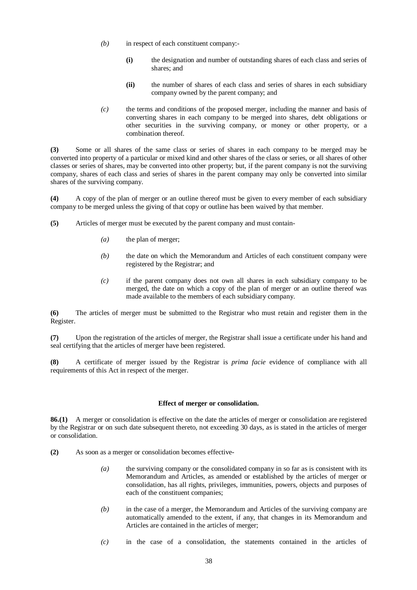- *(b)* in respect of each constituent company:-
	- **(i)** the designation and number of outstanding shares of each class and series of shares; and
	- **(ii)** the number of shares of each class and series of shares in each subsidiary company owned by the parent company; and
- *(c)* the terms and conditions of the proposed merger, including the manner and basis of converting shares in each company to be merged into shares, debt obligations or other securities in the surviving company, or money or other property, or a combination thereof.

**(3)** Some or all shares of the same class or series of shares in each company to be merged may be converted into property of a particular or mixed kind and other shares of the class or series, or all shares of other classes or series of shares, may be converted into other property; but, if the parent company is not the surviving company, shares of each class and series of shares in the parent company may only be converted into similar shares of the surviving company.

**(4)** A copy of the plan of merger or an outline thereof must be given to every member of each subsidiary company to be merged unless the giving of that copy or outline has been waived by that member.

- **(5)** Articles of merger must be executed by the parent company and must contain-
	- *(a)* the plan of merger;
	- *(b)* the date on which the Memorandum and Articles of each constituent company were registered by the Registrar; and
	- *(c)* if the parent company does not own all shares in each subsidiary company to be merged, the date on which a copy of the plan of merger or an outline thereof was made available to the members of each subsidiary company.

**(6)** The articles of merger must be submitted to the Registrar who must retain and register them in the Register.

**(7)** Upon the registration of the articles of merger, the Registrar shall issue a certificate under his hand and seal certifying that the articles of merger have been registered.

**(8)** A certificate of merger issued by the Registrar is *prima facie* evidence of compliance with all requirements of this Act in respect of the merger.

## **Effect of merger or consolidation.**

**86.(1)** A merger or consolidation is effective on the date the articles of merger or consolidation are registered by the Registrar or on such date subsequent thereto, not exceeding 30 days, as is stated in the articles of merger or consolidation.

- **(2)** As soon as a merger or consolidation becomes effective-
	- *(a)* the surviving company or the consolidated company in so far as is consistent with its Memorandum and Articles, as amended or established by the articles of merger or consolidation, has all rights, privileges, immunities, powers, objects and purposes of each of the constituent companies;
	- *(b)* in the case of a merger, the Memorandum and Articles of the surviving company are automatically amended to the extent, if any, that changes in its Memorandum and Articles are contained in the articles of merger;
	- *(c)* in the case of a consolidation, the statements contained in the articles of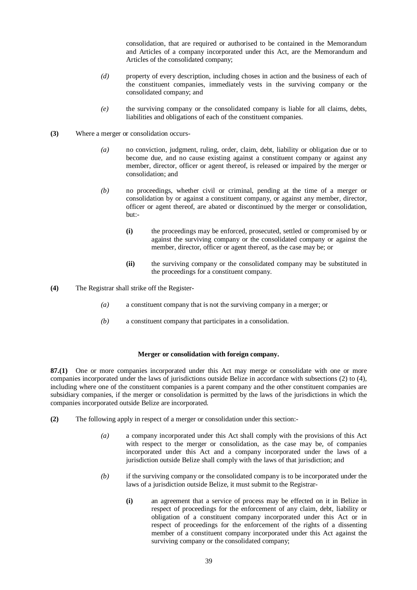consolidation, that are required or authorised to be contained in the Memorandum and Articles of a company incorporated under this Act, are the Memorandum and Articles of the consolidated company;

- *(d)* property of every description, including choses in action and the business of each of the constituent companies, immediately vests in the surviving company or the consolidated company; and
- *(e)* the surviving company or the consolidated company is liable for all claims, debts, liabilities and obligations of each of the constituent companies.
- **(3)** Where a merger or consolidation occurs-
	- *(a)* no conviction, judgment, ruling, order, claim, debt, liability or obligation due or to become due, and no cause existing against a constituent company or against any member, director, officer or agent thereof, is released or impaired by the merger or consolidation; and
	- *(b)* no proceedings, whether civil or criminal, pending at the time of a merger or consolidation by or against a constituent company, or against any member, director, officer or agent thereof, are abated or discontinued by the merger or consolidation, but:-
		- **(i)** the proceedings may be enforced, prosecuted, settled or compromised by or against the surviving company or the consolidated company or against the member, director, officer or agent thereof, as the case may be; or
		- **(ii)** the surviving company or the consolidated company may be substituted in the proceedings for a constituent company.
- **(4)** The Registrar shall strike off the Register-
	- *(a)* a constituent company that is not the surviving company in a merger; or
	- *(b)* a constituent company that participates in a consolidation.

# **Merger or consolidation with foreign company.**

**87.(1)** One or more companies incorporated under this Act may merge or consolidate with one or more companies incorporated under the laws of jurisdictions outside Belize in accordance with subsections (2) to (4), including where one of the constituent companies is a parent company and the other constituent companies are subsidiary companies, if the merger or consolidation is permitted by the laws of the jurisdictions in which the companies incorporated outside Belize are incorporated.

- **(2)** The following apply in respect of a merger or consolidation under this section:-
	- *(a)* a company incorporated under this Act shall comply with the provisions of this Act with respect to the merger or consolidation, as the case may be, of companies incorporated under this Act and a company incorporated under the laws of a jurisdiction outside Belize shall comply with the laws of that jurisdiction; and
	- *(b)* if the surviving company or the consolidated company is to be incorporated under the laws of a jurisdiction outside Belize, it must submit to the Registrar-
		- **(i)** an agreement that a service of process may be effected on it in Belize in respect of proceedings for the enforcement of any claim, debt, liability or obligation of a constituent company incorporated under this Act or in respect of proceedings for the enforcement of the rights of a dissenting member of a constituent company incorporated under this Act against the surviving company or the consolidated company;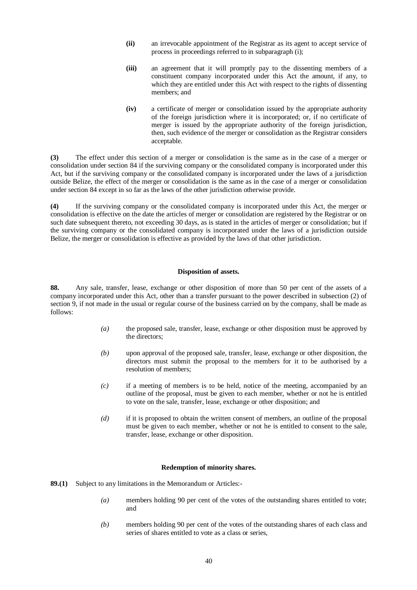- **(ii)** an irrevocable appointment of the Registrar as its agent to accept service of process in proceedings referred to in subparagraph (i);
- **(iii)** an agreement that it will promptly pay to the dissenting members of a constituent company incorporated under this Act the amount, if any, to which they are entitled under this Act with respect to the rights of dissenting members; and
- **(iv)** a certificate of merger or consolidation issued by the appropriate authority of the foreign jurisdiction where it is incorporated; or, if no certificate of merger is issued by the appropriate authority of the foreign jurisdiction, then, such evidence of the merger or consolidation as the Registrar considers acceptable.

**(3)** The effect under this section of a merger or consolidation is the same as in the case of a merger or consolidation under section 84 if the surviving company or the consolidated company is incorporated under this Act, but if the surviving company or the consolidated company is incorporated under the laws of a jurisdiction outside Belize, the effect of the merger or consolidation is the same as in the case of a merger or consolidation under section 84 except in so far as the laws of the other jurisdiction otherwise provide.

**(4)** If the surviving company or the consolidated company is incorporated under this Act, the merger or consolidation is effective on the date the articles of merger or consolidation are registered by the Registrar or on such date subsequent thereto, not exceeding 30 days, as is stated in the articles of merger or consolidation; but if the surviving company or the consolidated company is incorporated under the laws of a jurisdiction outside Belize, the merger or consolidation is effective as provided by the laws of that other jurisdiction.

# **Disposition of assets.**

**88.** Any sale, transfer, lease, exchange or other disposition of more than 50 per cent of the assets of a company incorporated under this Act, other than a transfer pursuant to the power described in subsection (2) of section 9, if not made in the usual or regular course of the business carried on by the company, shall be made as follows:

- *(a)* the proposed sale, transfer, lease, exchange or other disposition must be approved by the directors;
- *(b)* upon approval of the proposed sale, transfer, lease, exchange or other disposition, the directors must submit the proposal to the members for it to be authorised by a resolution of members;
- *(c)* if a meeting of members is to be held, notice of the meeting, accompanied by an outline of the proposal, must be given to each member, whether or not he is entitled to vote on the sale, transfer, lease, exchange or other disposition; and
- *(d)* if it is proposed to obtain the written consent of members, an outline of the proposal must be given to each member, whether or not he is entitled to consent to the sale, transfer, lease, exchange or other disposition.

# **Redemption of minority shares.**

- **89.(1)** Subject to any limitations in the Memorandum or Articles:-
	- *(a)* members holding 90 per cent of the votes of the outstanding shares entitled to vote; and
	- *(b)* members holding 90 per cent of the votes of the outstanding shares of each class and series of shares entitled to vote as a class or series,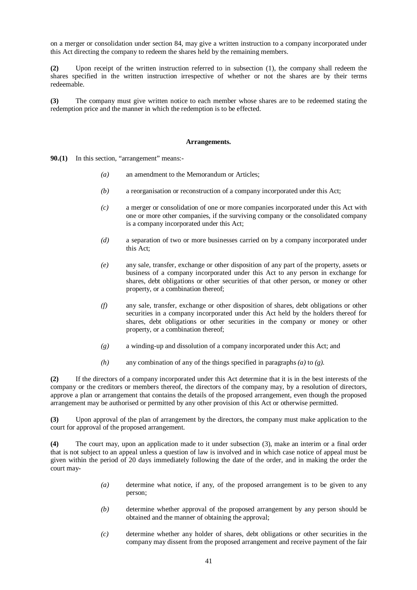on a merger or consolidation under section 84, may give a written instruction to a company incorporated under this Act directing the company to redeem the shares held by the remaining members.

**(2)** Upon receipt of the written instruction referred to in subsection (1), the company shall redeem the shares specified in the written instruction irrespective of whether or not the shares are by their terms redeemable.

**(3)** The company must give written notice to each member whose shares are to be redeemed stating the redemption price and the manner in which the redemption is to be effected.

## **Arrangements.**

**90.(1)** In this section, "arrangement" means:-

- *(a)* an amendment to the Memorandum or Articles;
- *(b)* a reorganisation or reconstruction of a company incorporated under this Act;
- *(c)* a merger or consolidation of one or more companies incorporated under this Act with one or more other companies, if the surviving company or the consolidated company is a company incorporated under this Act;
- *(d)* a separation of two or more businesses carried on by a company incorporated under this Act;
- *(e)* any sale, transfer, exchange or other disposition of any part of the property, assets or business of a company incorporated under this Act to any person in exchange for shares, debt obligations or other securities of that other person, or money or other property, or a combination thereof;
- *(f)* any sale, transfer, exchange or other disposition of shares, debt obligations or other securities in a company incorporated under this Act held by the holders thereof for shares, debt obligations or other securities in the company or money or other property, or a combination thereof;
- *(g)* a winding-up and dissolution of a company incorporated under this Act; and
- *(h)* any combination of any of the things specified in paragraphs *(a)* to *(g)*.

**(2)** If the directors of a company incorporated under this Act determine that it is in the best interests of the company or the creditors or members thereof, the directors of the company may, by a resolution of directors, approve a plan or arrangement that contains the details of the proposed arrangement, even though the proposed arrangement may be authorised or permitted by any other provision of this Act or otherwise permitted.

**(3)** Upon approval of the plan of arrangement by the directors, the company must make application to the court for approval of the proposed arrangement.

**(4)** The court may, upon an application made to it under subsection (3), make an interim or a final order that is not subject to an appeal unless a question of law is involved and in which case notice of appeal must be given within the period of 20 days immediately following the date of the order, and in making the order the court may-

- *(a)* determine what notice, if any, of the proposed arrangement is to be given to any person;
- *(b)* determine whether approval of the proposed arrangement by any person should be obtained and the manner of obtaining the approval;
- *(c)* determine whether any holder of shares, debt obligations or other securities in the company may dissent from the proposed arrangement and receive payment of the fair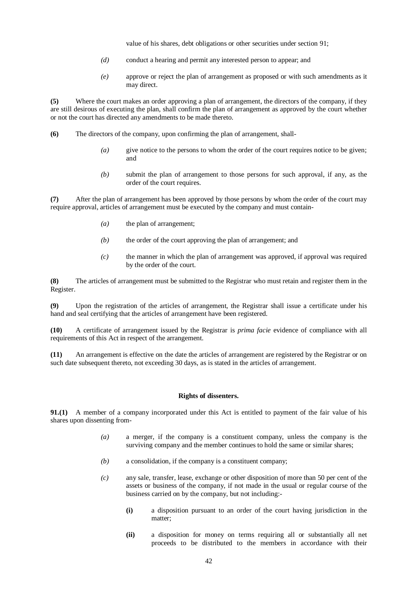value of his shares, debt obligations or other securities under section 91;

- *(d)* conduct a hearing and permit any interested person to appear; and
- *(e)* approve or reject the plan of arrangement as proposed or with such amendments as it may direct.

**(5)** Where the court makes an order approving a plan of arrangement, the directors of the company, if they are still desirous of executing the plan, shall confirm the plan of arrangement as approved by the court whether or not the court has directed any amendments to be made thereto.

- **(6)** The directors of the company, upon confirming the plan of arrangement, shall-
	- *(a)* give notice to the persons to whom the order of the court requires notice to be given; and
	- *(b)* submit the plan of arrangement to those persons for such approval, if any, as the order of the court requires.

**(7)** After the plan of arrangement has been approved by those persons by whom the order of the court may require approval, articles of arrangement must be executed by the company and must contain-

- *(a)* the plan of arrangement;
- *(b)* the order of the court approving the plan of arrangement; and
- *(c)* the manner in which the plan of arrangement was approved, if approval was required by the order of the court.

**(8)** The articles of arrangement must be submitted to the Registrar who must retain and register them in the Register.

**(9)** Upon the registration of the articles of arrangement, the Registrar shall issue a certificate under his hand and seal certifying that the articles of arrangement have been registered.

**(10)** A certificate of arrangement issued by the Registrar is *prima facie* evidence of compliance with all requirements of this Act in respect of the arrangement.

**(11)** An arrangement is effective on the date the articles of arrangement are registered by the Registrar or on such date subsequent thereto, not exceeding 30 days, as is stated in the articles of arrangement.

## **Rights of dissenters.**

**91.(1)** A member of a company incorporated under this Act is entitled to payment of the fair value of his shares upon dissenting from-

- *(a)* a merger, if the company is a constituent company, unless the company is the surviving company and the member continues to hold the same or similar shares;
- *(b)* a consolidation, if the company is a constituent company;
- *(c)* any sale, transfer, lease, exchange or other disposition of more than 50 per cent of the assets or business of the company, if not made in the usual or regular course of the business carried on by the company, but not including:-
	- **(i)** a disposition pursuant to an order of the court having jurisdiction in the matter;
	- **(ii)** a disposition for money on terms requiring all or substantially all net proceeds to be distributed to the members in accordance with their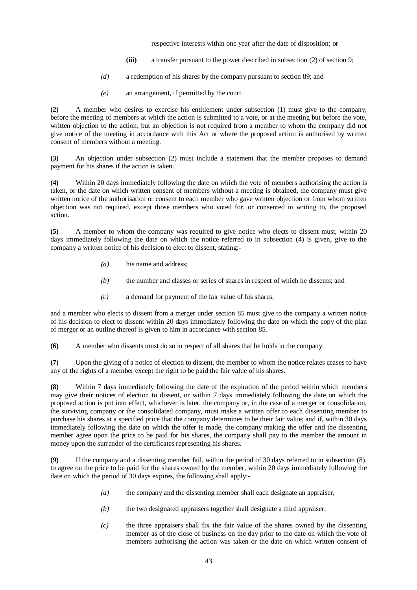respective interests within one year after the date of disposition; or

- **(iii)** a transfer pursuant to the power described in subsection (2) of section 9;
- *(d)* a redemption of his shares by the company pursuant to section 89; and
- *(e)* an arrangement, if permitted by the court.

**(2)** A member who desires to exercise his entitlement under subsection (1) must give to the company, before the meeting of members at which the action is submitted to a vote, or at the meeting but before the vote, written objection to the action; but an objection is not required from a member to whom the company did not give notice of the meeting in accordance with this Act or where the proposed action is authorised by written consent of members without a meeting.

**(3)** An objection under subsection (2) must include a statement that the member proposes to demand payment for his shares if the action is taken.

**(4)** Within 20 days immediately following the date on which the vote of members authorising the action is taken, or the date on which written consent of members without a meeting is obtained, the company must give written notice of the authorisation or consent to each member who gave written objection or from whom written objection was not required, except those members who voted for, or consented in writing to, the proposed action.

**(5)** A member to whom the company was required to give notice who elects to dissent must, within 20 days immediately following the date on which the notice referred to in subsection (4) is given, give to the company a written notice of his decision to elect to dissent, stating:-

- *(a)* his name and address;
- *(b)* the number and classes or series of shares in respect of which he dissents; and
- *(c)* a demand for payment of the fair value of his shares,

and a member who elects to dissent from a merger under section 85 must give to the company a written notice of his decision to elect to dissent within 20 days immediately following the date on which the copy of the plan of merger or an outline thereof is given to him in accordance with section 85.

**(6)** A member who dissents must do so in respect of all shares that he holds in the company.

**(7)** Upon the giving of a notice of election to dissent, the member to whom the notice relates ceases to have any of the rights of a member except the right to be paid the fair value of his shares.

**(8)** Within 7 days immediately following the date of the expiration of the period within which members may give their notices of election to dissent, or within 7 days immediately following the date on which the proposed action is put into effect, whichever is later, the company or, in the case of a merger or consolidation, the surviving company or the consolidated company, must make a written offer to each dissenting member to purchase his shares at a specified price that the company determines to be their fair value; and if, within 30 days immediately following the date on which the offer is made, the company making the offer and the dissenting member agree upon the price to be paid for his shares, the company shall pay to the member the amount in money upon the surrender of the certificates representing his shares.

**(9)** If the company and a dissenting member fail, within the period of 30 days referred to in subsection (8), to agree on the price to be paid for the shares owned by the member, within 20 days immediately following the date on which the period of 30 days expires, the following shall apply:-

- *(a)* the company and the dissenting member shall each designate an appraiser;
- *(b)* the two designated appraisers together shall designate a third appraiser;
- *(c)* the three appraisers shall fix the fair value of the shares owned by the dissenting member as of the close of business on the day prior to the date on which the vote of members authorising the action was taken or the date on which written consent of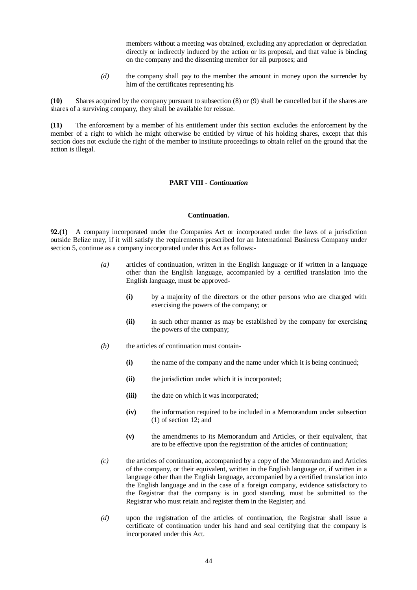members without a meeting was obtained, excluding any appreciation or depreciation directly or indirectly induced by the action or its proposal, and that value is binding on the company and the dissenting member for all purposes; and

*(d)* the company shall pay to the member the amount in money upon the surrender by him of the certificates representing his

**(10)** Shares acquired by the company pursuant to subsection (8) or (9) shall be cancelled but if the shares are shares of a surviving company, they shall be available for reissue.

**(11)** The enforcement by a member of his entitlement under this section excludes the enforcement by the member of a right to which he might otherwise be entitled by virtue of his holding shares, except that this section does not exclude the right of the member to institute proceedings to obtain relief on the ground that the action is illegal.

# **PART VIII -** *Continuation*

#### **Continuation.**

**92.(1)** A company incorporated under the Companies Act or incorporated under the laws of a jurisdiction outside Belize may, if it will satisfy the requirements prescribed for an International Business Company under section 5, continue as a company incorporated under this Act as follows:-

- *(a)* articles of continuation, written in the English language or if written in a language other than the English language, accompanied by a certified translation into the English language, must be approved-
	- **(i)** by a majority of the directors or the other persons who are charged with exercising the powers of the company; or
	- **(ii)** in such other manner as may be established by the company for exercising the powers of the company;
- *(b)* the articles of continuation must contain-
	- **(i)** the name of the company and the name under which it is being continued;
	- **(ii)** the jurisdiction under which it is incorporated;
	- **(iii)** the date on which it was incorporated;
	- **(iv)** the information required to be included in a Memorandum under subsection (1) of section 12; and
	- **(v)** the amendments to its Memorandum and Articles, or their equivalent, that are to be effective upon the registration of the articles of continuation;
- *(c)* the articles of continuation, accompanied by a copy of the Memorandum and Articles of the company, or their equivalent, written in the English language or, if written in a language other than the English language, accompanied by a certified translation into the English language and in the case of a foreign company, evidence satisfactory to the Registrar that the company is in good standing, must be submitted to the Registrar who must retain and register them in the Register; and
- *(d)* upon the registration of the articles of continuation, the Registrar shall issue a certificate of continuation under his hand and seal certifying that the company is incorporated under this Act.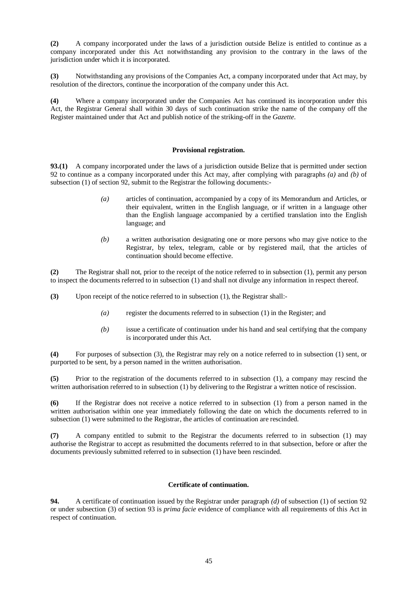**(2)** A company incorporated under the laws of a jurisdiction outside Belize is entitled to continue as a company incorporated under this Act notwithstanding any provision to the contrary in the laws of the jurisdiction under which it is incorporated.

**(3)** Notwithstanding any provisions of the Companies Act, a company incorporated under that Act may, by resolution of the directors, continue the incorporation of the company under this Act.

**(4)** Where a company incorporated under the Companies Act has continued its incorporation under this Act, the Registrar General shall within 30 days of such continuation strike the name of the company off the Register maintained under that Act and publish notice of the striking-off in the *Gazette*.

## **Provisional registration.**

**93.(1)** A company incorporated under the laws of a jurisdiction outside Belize that is permitted under section 92 to continue as a company incorporated under this Act may, after complying with paragraphs *(a)* and *(b)* of subsection (1) of section 92, submit to the Registrar the following documents:-

- *(a)* articles of continuation, accompanied by a copy of its Memorandum and Articles, or their equivalent, written in the English language, or if written in a language other than the English language accompanied by a certified translation into the English language; and
- *(b)* a written authorisation designating one or more persons who may give notice to the Registrar, by telex, telegram, cable or by registered mail, that the articles of continuation should become effective.

**(2)** The Registrar shall not, prior to the receipt of the notice referred to in subsection (1), permit any person to inspect the documents referred to in subsection (1) and shall not divulge any information in respect thereof.

**(3)** Upon receipt of the notice referred to in subsection (1), the Registrar shall:-

- *(a)* register the documents referred to in subsection (1) in the Register; and
- *(b)* issue a certificate of continuation under his hand and seal certifying that the company is incorporated under this Act.

**(4)** For purposes of subsection (3), the Registrar may rely on a notice referred to in subsection (1) sent, or purported to be sent, by a person named in the written authorisation.

**(5)** Prior to the registration of the documents referred to in subsection (1), a company may rescind the written authorisation referred to in subsection (1) by delivering to the Registrar a written notice of rescission.

**(6)** If the Registrar does not receive a notice referred to in subsection (1) from a person named in the written authorisation within one year immediately following the date on which the documents referred to in subsection (1) were submitted to the Registrar, the articles of continuation are rescinded.

**(7)** A company entitled to submit to the Registrar the documents referred to in subsection (1) may authorise the Registrar to accept as resubmitted the documents referred to in that subsection, before or after the documents previously submitted referred to in subsection (1) have been rescinded.

# **Certificate of continuation.**

**94.** A certificate of continuation issued by the Registrar under paragraph *(d)* of subsection (1) of section 92 or under subsection (3) of section 93 is *prima facie* evidence of compliance with all requirements of this Act in respect of continuation.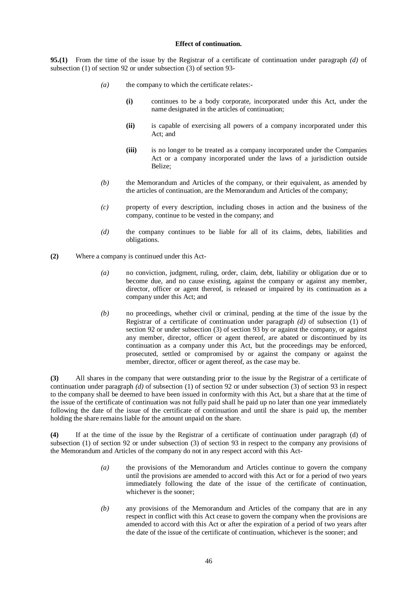## **Effect of continuation.**

**95.(1)** From the time of the issue by the Registrar of a certificate of continuation under paragraph *(d)* of subsection (1) of section 92 or under subsection (3) of section 93-

- *(a)* the company to which the certificate relates:-
	- **(i)** continues to be a body corporate, incorporated under this Act, under the name designated in the articles of continuation;
	- **(ii)** is capable of exercising all powers of a company incorporated under this Act; and
	- **(iii)** is no longer to be treated as a company incorporated under the Companies Act or a company incorporated under the laws of a jurisdiction outside Belize;
- *(b)* the Memorandum and Articles of the company, or their equivalent, as amended by the articles of continuation, are the Memorandum and Articles of the company;
- *(c)* property of every description, including choses in action and the business of the company, continue to be vested in the company; and
- *(d)* the company continues to be liable for all of its claims, debts, liabilities and obligations.
- **(2)** Where a company is continued under this Act-
	- *(a)* no conviction, judgment, ruling, order, claim, debt, liability or obligation due or to become due, and no cause existing, against the company or against any member, director, officer or agent thereof, is released or impaired by its continuation as a company under this Act; and
	- *(b)* no proceedings, whether civil or criminal, pending at the time of the issue by the Registrar of a certificate of continuation under paragraph *(d)* of subsection (1) of section 92 or under subsection (3) of section 93 by or against the company, or against any member, director, officer or agent thereof, are abated or discontinued by its continuation as a company under this Act, but the proceedings may be enforced, prosecuted, settled or compromised by or against the company or against the member, director, officer or agent thereof, as the case may be.

**(3)** All shares in the company that were outstanding prior to the issue by the Registrar of a certificate of continuation under paragraph *(d)* of subsection (1) of section 92 or under subsection (3) of section 93 in respect to the company shall be deemed to have been issued in conformity with this Act, but a share that at the time of the issue of the certificate of continuation was not fully paid shall he paid up no later than one year immediately following the date of the issue of the certificate of continuation and until the share is paid up, the member holding the share remains liable for the amount unpaid on the share.

**(4)** If at the time of the issue by the Registrar of a certificate of continuation under paragraph (d) of subsection (1) of section 92 or under subsection (3) of section 93 in respect to the company any provisions of the Memorandum and Articles of the company do not in any respect accord with this Act-

- *(a)* the provisions of the Memorandum and Articles continue to govern the company until the provisions are amended to accord with this Act or for a period of two years immediately following the date of the issue of the certificate of continuation, whichever is the sooner;
- *(b)* any provisions of the Memorandum and Articles of the company that are in any respect in conflict with this Act cease to govern the company when the provisions are amended to accord with this Act or after the expiration of a period of two years after the date of the issue of the certificate of continuation, whichever is the sooner; and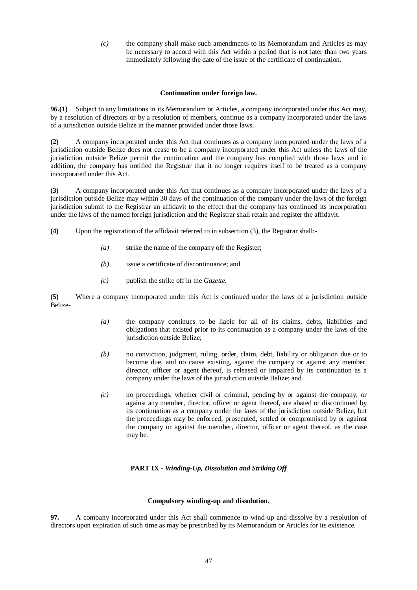*(c)* the company shall make such amendments to its Memorandum and Articles as may be necessary to accord with this Act within a period that is not later than two years immediately following the date of the issue of the certificate of continuation.

# **Continuation under foreign law.**

**96.(1)** Subject to any limitations in its Memorandum or Articles, a company incorporated under this Act may, by a resolution of directors or by a resolution of members, continue as a company incorporated under the laws of a jurisdiction outside Belize in the manner provided under those laws.

**(2)** A company incorporated under this Act that continues as a company incorporated under the laws of a jurisdiction outside Belize does not cease to be a company incorporated under this Act unless the laws of the jurisdiction outside Belize permit the continuation and the company has complied with those laws and in addition, the company has notified the Registrar that it no longer requires itself to be treated as a company incorporated under this Act.

**(3)** A company incorporated under this Act that continues as a company incorporated under the laws of a jurisdiction outside Belize may within 30 days of the continuation of the company under the laws of the foreign jurisdiction submit to the Registrar an affidavit to the effect that the company has continued its incorporation under the laws of the named foreign jurisdiction and the Registrar shall retain and register the affidavit.

- **(4)** Upon the registration of the affidavit referred to in subsection (3), the Registrar shall:-
	- *(a)* strike the name of the company off the Register;
	- *(b)* issue a certificate of discontinuance; and
	- *(c)* publish the strike off in the *Gazette.*

**(5)** Where a company incorporated under this Act is continued under the laws of a jurisdiction outside Belize-

- *(a)* the company continues to be liable for all of its claims, debts, liabilities and obligations that existed prior to its continuation as a company under the laws of the jurisdiction outside Belize;
- *(b)* no conviction, judgment, ruling, order, claim, debt, liability or obligation due or to become due, and no cause existing, against the company or against any member, director, officer or agent thereof, is released or impaired by its continuation as a company under the laws of the jurisdiction outside Belize; and
- *(c)* no proceedings, whether civil or criminal, pending by or against the company, or against any member, director, officer or agent thereof, are abated or discontinued by its continuation as a company under the laws of the jurisdiction outside Belize, but the proceedings may be enforced, prosecuted, settled or compromised by or against the company or against the member, director, officer or agent thereof, as the case may be.

# **PART IX -** *Winding-Up, Dissolution and Striking Off*

# **Compulsory winding-up and dissolution.**

**97.** A company incorporated under this Act shall commence to wind-up and dissolve by a resolution of directors upon expiration of such time as may be prescribed by its Memorandum or Articles for its existence.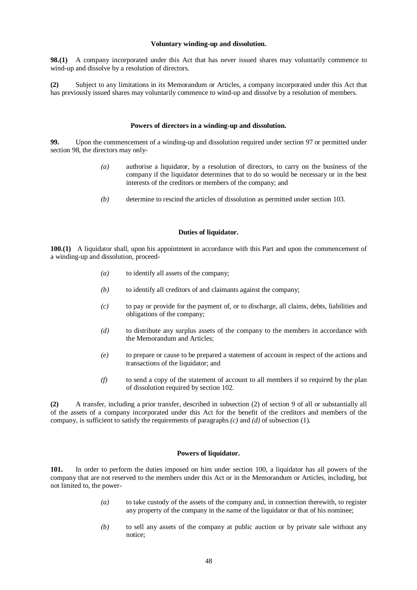#### **Voluntary winding-up and dissolution.**

**98.(1)** A company incorporated under this Act that has never issued shares may voluntarily commence to wind-up and dissolve by a resolution of directors.

**(2)** Subject to any limitations in its Memorandum or Articles, a company incorporated under this Act that has previously issued shares may voluntarily commence to wind-up and dissolve by a resolution of members.

## **Powers of directors in a winding-up and dissolution.**

**99.** Upon the commencement of a winding-up and dissolution required under section 97 or permitted under section 98, the directors may only-

- *(a)* authorise a liquidator, by a resolution of directors, to carry on the business of the company if the liquidator determines that to do so would be necessary or in the best interests of the creditors or members of the company; and
- *(b)* determine to rescind the articles of dissolution as permitted under section 103.

#### **Duties of liquidator.**

**100.(1)** A liquidator shall, upon his appointment in accordance with this Part and upon the commencement of a winding-up and dissolution, proceed-

- *(a)* to identify all assets of the company;
- *(b)* to identify all creditors of and claimants against the company;
- *(c)* to pay or provide for the payment of, or to discharge, all claims, debts, liabilities and obligations of the company;
- *(d)* to distribute any surplus assets of the company to the members in accordance with the Memorandum and Articles;
- *(e)* to prepare or cause to be prepared a statement of account in respect of the actions and transactions of the liquidator; and
- *(f)* to send a copy of the statement of account to all members if so required by the plan of dissolution required by section 102.

**(2)** A transfer, including a prior transfer, described in subsection (2) of section 9 of all or substantially all of the assets of a company incorporated under this Act for the benefit of the creditors and members of the company, is sufficient to satisfy the requirements of paragraphs *(c)* and *(d)* of subsection (1).

#### **Powers of liquidator.**

**101.** In order to perform the duties imposed on him under section 100, a liquidator has all powers of the company that are not reserved to the members under this Act or in the Memorandum or Articles, including, but not limited to, the power-

- *(a)* to take custody of the assets of the company and, in connection therewith, to register any property of the company in the name of the liquidator or that of his nominee;
- *(b)* to sell any assets of the company at public auction or by private sale without any notice;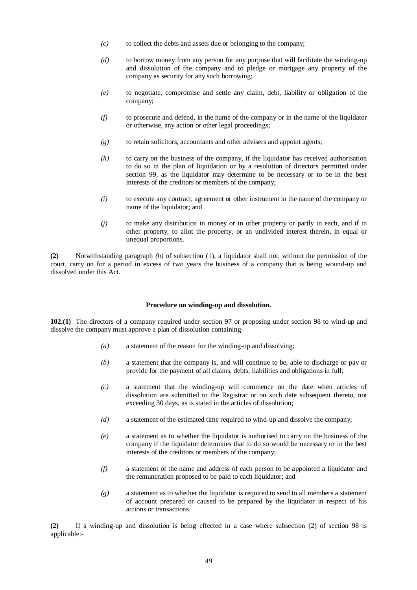- *(c)* to collect the debts and assets due or belonging to the company;
- *(d)* to borrow money from any person for any purpose that will facilitate the winding-up and dissolution of the company and to pledge or mortgage any property of the company as security for any such borrowing;
- *(e)* to negotiate, compromise and settle any claim, debt, liability or obligation of the company;
- *(f)* to prosecute and defend, in the name of the company or in the name of the liquidator or otherwise, any action or other legal proceedings;
- *(g)* to retain solicitors, accountants and other advisers and appoint agents;
- *(h)* to carry on the business of the company, if the liquidator has received authorisation to do so in the plan of liquidation or by a resolution of directors permitted under section 99, as the liquidator may determine to be necessary or to be in the best interests of the creditors or members of the company;
- *(i)* to execute any contract, agreement or other instrument in the name of the company or name of the liquidator; and
- *(j)* to make any distribution in money or in other property or partly in each, and if in other property, to allot the property, or an undivided interest therein, in equal or unequal proportions.

**(2)** Notwithstanding paragraph *(h)* of subsection (1), a liquidator shall not, without the permission of the court, carry on for a period in excess of two years the business of a company that is being wound-up and dissolved under this Act.

#### **Procedure on winding-up and dissolution.**

**102.(1)** The directors of a company required under section 97 or proposing under section 98 to wind-up and dissolve the company must approve a plan of dissolution containing-

- *(a)* a statement of the reason for the winding-up and dissolving;
- *(b)* a statement that the company is, and will continue to be, able to discharge or pay or provide for the payment of all claims, debts, liabilities and obligations in full;
- *(c)* a statement that the winding-up will commence on the date when articles of dissolution are submitted to the Registrar or on such date subsequent thereto, not exceeding 30 days, as is stated in the articles of dissolution;
- *(d)* a statement of the estimated time required to wind-up and dissolve the company;
- *(e)* a statement as to whether the liquidator is authorised to carry on the business of the company if the liquidator determines that to do so would be necessary or in the best interests of the creditors or members of the company;
- *(f)* a statement of the name and address of each person to be appointed a liquidator and the remuneration proposed to be paid to each liquidator; and
- *(g)* a statement as to whether the liquidator is required to send to all members a statement of account prepared or caused to be prepared by the liquidator in respect of his actions or transactions.

**(2)** If a winding-up and dissolution is being effected in a case where subsection (2) of section 98 is applicable:-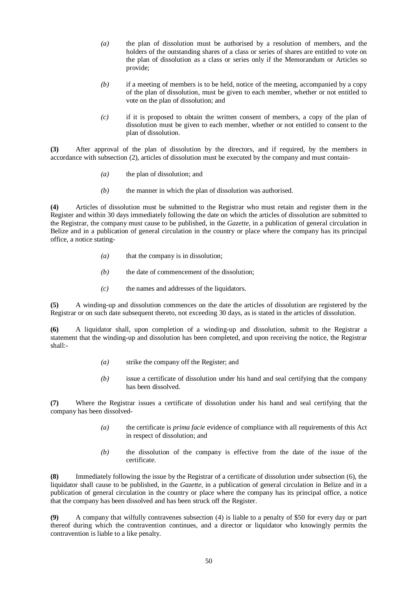- *(a)* the plan of dissolution must be authorised by a resolution of members, and the holders of the outstanding shares of a class or series of shares are entitled to vote on the plan of dissolution as a class or series only if the Memorandum or Articles so provide;
- *(b)* if a meeting of members is to be held, notice of the meeting, accompanied by a copy of the plan of dissolution, must be given to each member, whether or not entitled to vote on the plan of dissolution; and
- *(c)* if it is proposed to obtain the written consent of members, a copy of the plan of dissolution must be given to each member, whether or not entitled to consent to the plan of dissolution.

**(3)** After approval of the plan of dissolution by the directors, and if required, by the members in accordance with subsection (2), articles of dissolution must be executed by the company and must contain-

- *(a)* the plan of dissolution; and
- *(b)* the manner in which the plan of dissolution was authorised.

**(4)** Articles of dissolution must be submitted to the Registrar who must retain and register them in the Register and within 30 days immediately following the date on which the articles of dissolution are submitted to the Registrar, the company must cause to be published, in the *Gazette,* in a publication of general circulation in Belize and in a publication of general circulation in the country or place where the company has its principal office, a notice stating-

- *(a)* that the company is in dissolution;
- *(b)* the date of commencement of the dissolution;
- *(c)* the names and addresses of the liquidators.

**(5)** A winding-up and dissolution commences on the date the articles of dissolution are registered by the Registrar or on such date subsequent thereto, not exceeding 30 days, as is stated in the articles of dissolution.

**(6)** A liquidator shall, upon completion of a winding-up and dissolution, submit to the Registrar a statement that the winding-up and dissolution has been completed, and upon receiving the notice, the Registrar shall:-

- *(a)* strike the company off the Register; and
- *(b)* issue a certificate of dissolution under his hand and seal certifying that the company has been dissolved.

**(7)** Where the Registrar issues a certificate of dissolution under his hand and seal certifying that the company has been dissolved-

- *(a)* the certificate is *prima facie* evidence of compliance with all requirements of this Act in respect of dissolution; and
- *(b)* the dissolution of the company is effective from the date of the issue of the certificate.

**(8)** Immediately following the issue by the Registrar of a certificate of dissolution under subsection (6), the liquidator shall cause to be published, in the *Gazette,* in a publication of general circulation in Belize and in a publication of general circulation in the country or place where the company has its principal office, a notice that the company has been dissolved and has been struck off the Register.

**(9)** A company that wilfully contravenes subsection (4) is liable to a penalty of \$50 for every day or part thereof during which the contravention continues, and a director or liquidator who knowingly permits the contravention is liable to a like penalty.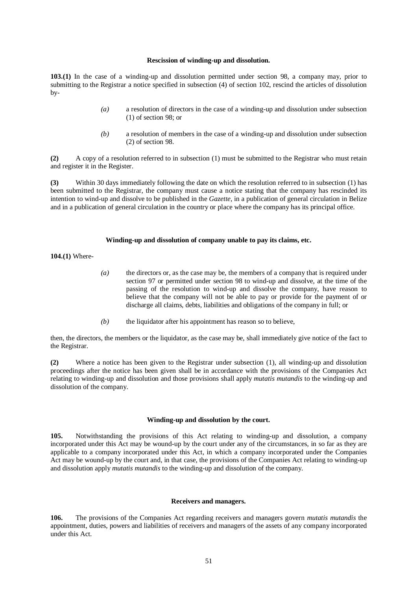#### **Rescission of winding-up and dissolution.**

**103.(1)** In the case of a winding-up and dissolution permitted under section 98, a company may, prior to submitting to the Registrar a notice specified in subsection (4) of section 102, rescind the articles of dissolution by-

- *(a)* a resolution of directors in the case of a winding-up and dissolution under subsection (1) of section 98; or
- *(b)* a resolution of members in the case of a winding-up and dissolution under subsection (2) of section 98.

**(2)** A copy of a resolution referred to in subsection (1) must be submitted to the Registrar who must retain and register it in the Register.

**(3)** Within 30 days immediately following the date on which the resolution referred to in subsection (1) has been submitted to the Registrar, the company must cause a notice stating that the company has rescinded its intention to wind-up and dissolve to be published in the *Gazette,* in a publication of general circulation in Belize and in a publication of general circulation in the country or place where the company has its principal office.

#### **Winding-up and dissolution of company unable to pay its claims, etc.**

**104.(1)** Where-

- *(a)* the directors or, as the case may be, the members of a company that is required under section 97 or permitted under section 98 to wind-up and dissolve, at the time of the passing of the resolution to wind-up and dissolve the company, have reason to believe that the company will not be able to pay or provide for the payment of or discharge all claims, debts, liabilities and obligations of the company in full; or
- *(b)* the liquidator after his appointment has reason so to believe,

then, the directors, the members or the liquidator, as the case may be, shall immediately give notice of the fact to the Registrar.

**(2)** Where a notice has been given to the Registrar under subsection (1), all winding-up and dissolution proceedings after the notice has been given shall be in accordance with the provisions of the Companies Act relating to winding-up and dissolution and those provisions shall apply *mutatis mutandis* to the winding-up and dissolution of the company.

#### **Winding-up and dissolution by the court.**

**105.** Notwithstanding the provisions of this Act relating to winding-up and dissolution, a company incorporated under this Act may be wound-up by the court under any of the circumstances, in so far as they are applicable to a company incorporated under this Act, in which a company incorporated under the Companies Act may be wound-up by the court and, in that case, the provisions of the Companies Act relating to winding-up and dissolution apply *mutatis mutandis* to the winding-up and dissolution of the company.

## **Receivers and managers.**

**106.** The provisions of the Companies Act regarding receivers and managers govern *mutatis mutandis* the appointment, duties, powers and liabilities of receivers and managers of the assets of any company incorporated under this Act.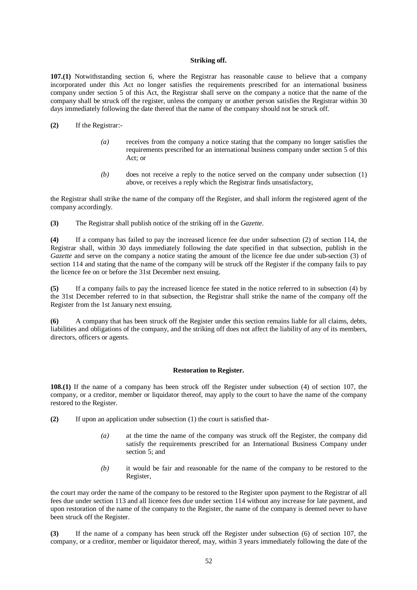## **Striking off.**

**107.(1)** Notwithstanding section 6, where the Registrar has reasonable cause to believe that a company incorporated under this Act no longer satisfies the requirements prescribed for an international business company under section 5 of this Act, the Registrar shall serve on the company a notice that the name of the company shall be struck off the register, unless the company or another person satisfies the Registrar within 30 days immediately following the date thereof that the name of the company should not be struck off.

- **(2)** If the Registrar:-
	- *(a)* receives from the company a notice stating that the company no longer satisfies the requirements prescribed for an international business company under section 5 of this Act; or
	- *(b)* does not receive a reply to the notice served on the company under subsection (1) above, or receives a reply which the Registrar finds unsatisfactory,

the Registrar shall strike the name of the company off the Register, and shall inform the registered agent of the company accordingly.

**(3)** The Registrar shall publish notice of the striking off in the *Gazette*.

**(4)** If a company has failed to pay the increased licence fee due under subsection (2) of section 114, the Registrar shall, within 30 days immediately following the date specified in that subsection, publish in the *Gazette* and serve on the company a notice stating the amount of the licence fee due under sub-section (3) of section 114 and stating that the name of the company will be struck off the Register if the company fails to pay the licence fee on or before the 31st December next ensuing.

**(5)** If a company fails to pay the increased licence fee stated in the notice referred to in subsection (4) by the 31st December referred to in that subsection, the Registrar shall strike the name of the company off the Register from the 1st January next ensuing.

**(6)** A company that has been struck off the Register under this section remains liable for all claims, debts, liabilities and obligations of the company, and the striking off does not affect the liability of any of its members, directors, officers or agents.

#### **Restoration to Register.**

**108.(1)** If the name of a company has been struck off the Register under subsection (4) of section 107, the company, or a creditor, member or liquidator thereof, may apply to the court to have the name of the company restored to the Register.

- **(2)** If upon an application under subsection (1) the court is satisfied that-
	- *(a)* at the time the name of the company was struck off the Register, the company did satisfy the requirements prescribed for an International Business Company under section 5: and
	- *(b)* it would be fair and reasonable for the name of the company to be restored to the Register,

the court may order the name of the company to be restored to the Register upon payment to the Registrar of all fees due under section 113 and all licence fees due under section 114 without any increase for late payment, and upon restoration of the name of the company to the Register, the name of the company is deemed never to have been struck off the Register.

**(3)** If the name of a company has been struck off the Register under subsection (6) of section 107, the company, or a creditor, member or liquidator thereof, may, within 3 years immediately following the date of the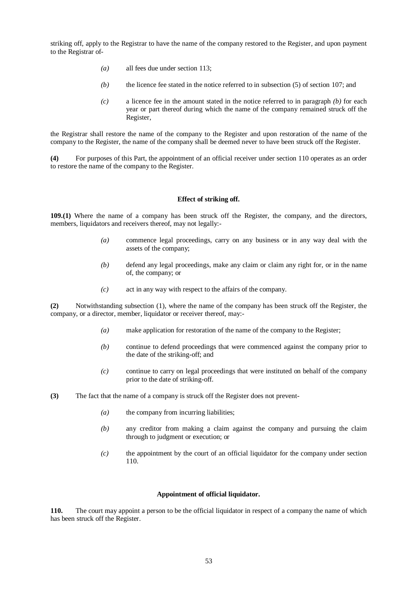striking off, apply to the Registrar to have the name of the company restored to the Register, and upon payment to the Registrar of-

- *(a)* all fees due under section 113;
- *(b)* the licence fee stated in the notice referred to in subsection (5) of section 107; and
- *(c)* a licence fee in the amount stated in the notice referred to in paragraph *(b)* for each year or part thereof during which the name of the company remained struck off the Register,

the Registrar shall restore the name of the company to the Register and upon restoration of the name of the company to the Register, the name of the company shall be deemed never to have been struck off the Register.

**(4)** For purposes of this Part, the appointment of an official receiver under section 110 operates as an order to restore the name of the company to the Register.

## **Effect of striking off.**

**109.(1)** Where the name of a company has been struck off the Register, the company, and the directors, members, liquidators and receivers thereof, may not legally:-

- *(a)* commence legal proceedings, carry on any business or in any way deal with the assets of the company;
- *(b)* defend any legal proceedings, make any claim or claim any right for, or in the name of, the company; or
- *(c)* act in any way with respect to the affairs of the company.

**(2)** Notwithstanding subsection (1), where the name of the company has been struck off the Register, the company, or a director, member, liquidator or receiver thereof, may:-

- *(a)* make application for restoration of the name of the company to the Register;
- *(b)* continue to defend proceedings that were commenced against the company prior to the date of the striking-off; and
- *(c)* continue to carry on legal proceedings that were instituted on behalf of the company prior to the date of striking-off.
- **(3)** The fact that the name of a company is struck off the Register does not prevent-
	- *(a)* the company from incurring liabilities;
	- *(b)* any creditor from making a claim against the company and pursuing the claim through to judgment or execution; or
	- *(c)* the appointment by the court of an official liquidator for the company under section 110.

## **Appointment of official liquidator.**

**110.** The court may appoint a person to be the official liquidator in respect of a company the name of which has been struck off the Register.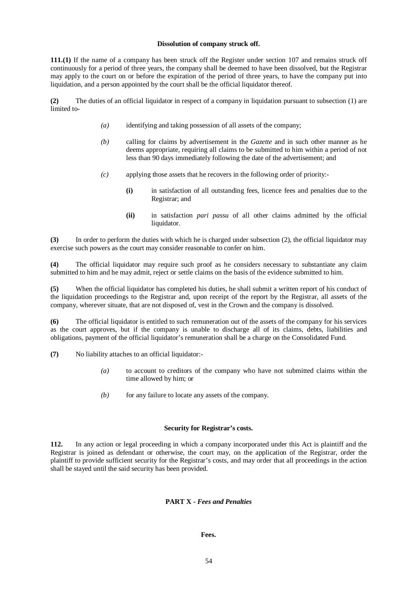## **Dissolution of company struck off.**

**111.(1)** If the name of a company has been struck off the Register under section 107 and remains struck off continuously for a period of three years, the company shall be deemed to have been dissolved, but the Registrar may apply to the court on or before the expiration of the period of three years, to have the company put into liquidation, and a person appointed by the court shall be the official liquidator thereof.

**(2)** The duties of an official liquidator in respect of a company in liquidation pursuant to subsection (1) are limited to-

- *(a)* identifying and taking possession of all assets of the company;
- *(b)* calling for claims by advertisement in the *Gazette* and in such other manner as he deems appropriate, requiring all claims to be submitted to him within a period of not less than 90 days immediately following the date of the advertisement; and
- *(c)* applying those assets that he recovers in the following order of priority:-
	- **(i)** in satisfaction of all outstanding fees, licence fees and penalties due to the Registrar; and
	- **(ii)** in satisfaction *pari passu* of all other claims admitted by the official liquidator.

**(3)** In order to perform the duties with which he is charged under subsection (2), the official liquidator may exercise such powers as the court may consider reasonable to confer on him.

**(4)** The official liquidator may require such proof as he considers necessary to substantiate any claim submitted to him and he may admit, reject or settle claims on the basis of the evidence submitted to him.

**(5)** When the official liquidator has completed his duties, he shall submit a written report of his conduct of the liquidation proceedings to the Registrar and, upon receipt of the report by the Registrar, all assets of the company, wherever situate, that are not disposed of, vest in the Crown and the company is dissolved.

**(6)** The official liquidator is entitled to such remuneration out of the assets of the company for his services as the court approves, but if the company is unable to discharge all of its claims, debts, liabilities and obligations, payment of the official liquidator's remuneration shall be a charge on the Consolidated Fund.

**(7)** No liability attaches to an official liquidator:-

- *(a)* to account to creditors of the company who have not submitted claims within the time allowed by him; or
- *(b)* for any failure to locate any assets of the company.

# **Security for Registrar's costs.**

**112.** In any action or legal proceeding in which a company incorporated under this Act is plaintiff and the Registrar is joined as defendant or otherwise, the court may, on the application of the Registrar, order the plaintiff to provide sufficient security for the Registrar's costs, and may order that all proceedings in the action shall be stayed until the said security has been provided.

# **PART X -** *Fees and Penalties*

# **Fees.**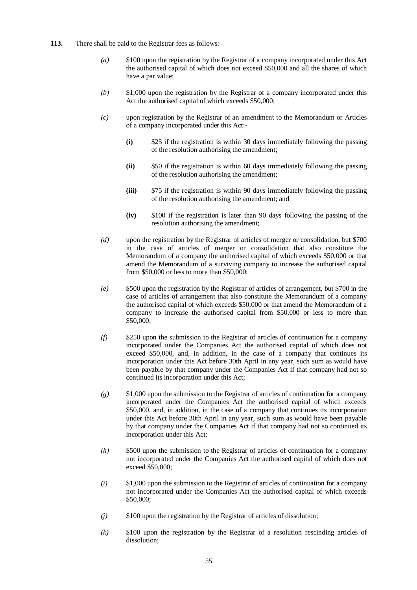- **113.** There shall be paid to the Registrar fees as follows:-
	- *(a)* \$100 upon the registration by the Registrar of a company incorporated under this Act the authorised capital of which does not exceed \$50,000 and all the shares of which have a par value;
	- *(b)* \$1,000 upon the registration by the Registrar of a company incorporated under this Act the authorised capital of which exceeds \$50,000;
	- *(c)* upon registration by the Registrar of an amendment to the Memorandum or Articles of a company incorporated under this Act:-
		- **(i)** \$25 if the registration is within 30 days immediately following the passing of the resolution authorising the amendment;
		- **(ii)** \$50 if the registration is within 60 days immediately following the passing of the resolution authorising the amendment;
		- **(iii)** \$75 if the registration is within 90 days immediately following the passing of the resolution authorising the amendment; and
		- **(iv)** \$100 if the registration is later than 90 days following the passing of the resolution authorising the amendment;
	- *(d)* upon the registration by the Registrar of articles of merger or consolidation, but \$700 in the case of articles of merger or consolidation that also constitute the Memorandum of a company the authorised capital of which exceeds \$50,000 or that amend the Memorandum of a surviving company to increase the authorised capital from \$50,000 or less to more than \$50,000;
	- *(e)* \$500 upon the registration by the Registrar of articles of arrangement, but \$700 in the case of articles of arrangement that also constitute the Memorandum of a company the authorised capital of which exceeds \$50,000 or that amend the Memorandum of a company to increase the authorised capital from \$50,000 or less to more than \$50,000;
	- *(f)* \$250 upon the submission to the Registrar of articles of continuation for a company incorporated under the Companies Act the authorised capital of which does not exceed \$50,000, and, in addition, in the case of a company that continues its incorporation under this Act before 30th April in any year, such sum as would have been payable by that company under the Companies Act if that company had not so continued its incorporation under this Act;
	- *(g)* \$1,000 upon the submission to the Registrar of articles of continuation for a company incorporated under the Companies Act the authorised capital of which exceeds \$50,000, and, in addition, in the case of a company that continues its incorporation under this Act before 30th April in any year, such sum as would have been payable by that company under the Companies Act if that company had not so continued its incorporation under this Act;
	- *(h)* \$500 upon the submission to the Registrar of articles of continuation for a company not incorporated under the Companies Act the authorised capital of which does not exceed \$50,000;
	- *(i)* \$1,000 upon the submission to the Registrar of articles of continuation for a company not incorporated under the Companies Act the authorised capital of which exceeds \$50,000;
	- *(j)* \$100 upon the registration by the Registrar of articles of dissolution;
	- *(k)* \$100 upon the registration by the Registrar of a resolution rescinding articles of dissolution;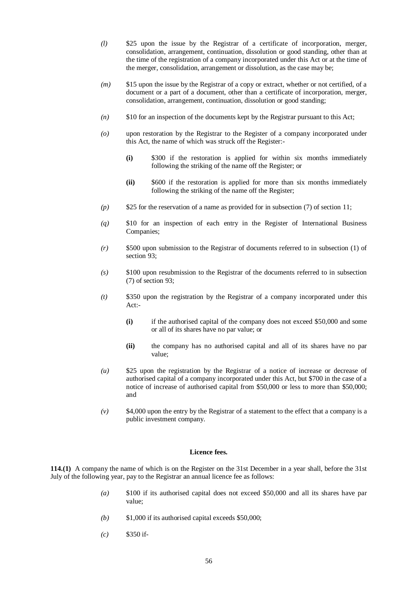- *(l)* \$25 upon the issue by the Registrar of a certificate of incorporation, merger, consolidation, arrangement, continuation, dissolution or good standing, other than at the time of the registration of a company incorporated under this Act or at the time of the merger, consolidation, arrangement or dissolution, as the case may be;
- *(m)* \$15 upon the issue by the Registrar of a copy or extract, whether or not certified, of a document or a part of a document, other than a certificate of incorporation, merger, consolidation, arrangement, continuation, dissolution or good standing;
- *(n)* \$10 for an inspection of the documents kept by the Registrar pursuant to this Act;
- *(o)* upon restoration by the Registrar to the Register of a company incorporated under this Act, the name of which was struck off the Register:-
	- **(i)** \$300 if the restoration is applied for within six months immediately following the striking of the name off the Register; or
	- **(ii)** \$600 if the restoration is applied for more than six months immediately following the striking of the name off the Register;
- *(p)* \$25 for the reservation of a name as provided for in subsection (7) of section 11;
- *(q)* \$10 for an inspection of each entry in the Register of International Business Companies;
- *(r)* \$500 upon submission to the Registrar of documents referred to in subsection (1) of section 93:
- *(s)* \$100 upon resubmission to the Registrar of the documents referred to in subsection (7) of section 93;
- *(t)* \$350 upon the registration by the Registrar of a company incorporated under this Act:-
	- **(i)** if the authorised capital of the company does not exceed \$50,000 and some or all of its shares have no par value; or
	- **(ii)** the company has no authorised capital and all of its shares have no par value;
- *(u)* \$25 upon the registration by the Registrar of a notice of increase or decrease of authorised capital of a company incorporated under this Act, but \$700 in the case of a notice of increase of authorised capital from \$50,000 or less to more than \$50,000; and
- *(v)* \$4,000 upon the entry by the Registrar of a statement to the effect that a company is a public investment company.

#### **Licence fees.**

**114.(1)** A company the name of which is on the Register on the 31st December in a year shall, before the 31st July of the following year, pay to the Registrar an annual licence fee as follows:

- *(a)* \$100 if its authorised capital does not exceed \$50,000 and all its shares have par value;
- *(b)* \$1,000 if its authorised capital exceeds \$50,000;
- *(c)* \$350 if-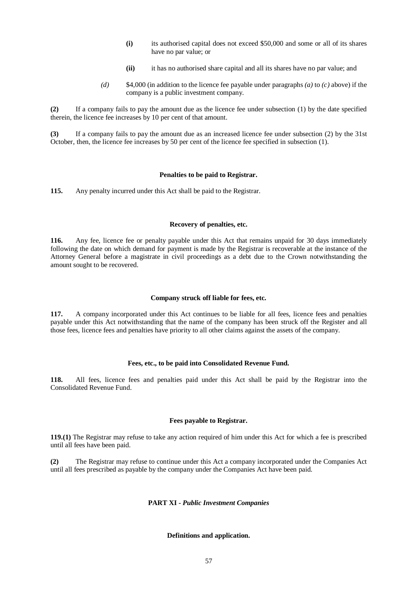- **(i)** its authorised capital does not exceed \$50,000 and some or all of its shares have no par value; or
- **(ii)** it has no authorised share capital and all its shares have no par value; and
- *(d)* \$4,000 (in addition to the licence fee payable under paragraphs *(a)* to *(c)* above) if the company is a public investment company.

**(2)** If a company fails to pay the amount due as the licence fee under subsection (1) by the date specified therein, the licence fee increases by 10 per cent of that amount.

**(3)** If a company fails to pay the amount due as an increased licence fee under subsection (2) by the 31st October, then, the licence fee increases by 50 per cent of the licence fee specified in subsection (1).

#### **Penalties to be paid to Registrar.**

**115.** Any penalty incurred under this Act shall be paid to the Registrar.

#### **Recovery of penalties, etc.**

**116.** Any fee, licence fee or penalty payable under this Act that remains unpaid for 30 days immediately following the date on which demand for payment is made by the Registrar is recoverable at the instance of the Attorney General before a magistrate in civil proceedings as a debt due to the Crown notwithstanding the amount sought to be recovered.

## **Company struck off liable for fees, etc.**

**117.** A company incorporated under this Act continues to be liable for all fees, licence fees and penalties payable under this Act notwithstanding that the name of the company has been struck off the Register and all those fees, licence fees and penalties have priority to all other claims against the assets of the company.

## **Fees, etc., to be paid into Consolidated Revenue Fund.**

**118.** All fees, licence fees and penalties paid under this Act shall be paid by the Registrar into the Consolidated Revenue Fund.

#### **Fees payable to Registrar.**

**119.(1)** The Registrar may refuse to take any action required of him under this Act for which a fee is prescribed until all fees have been paid.

**(2)** The Registrar may refuse to continue under this Act a company incorporated under the Companies Act until all fees prescribed as payable by the company under the Companies Act have been paid.

## **PART XI -** *Public Investment Companies*

## **Definitions and application.**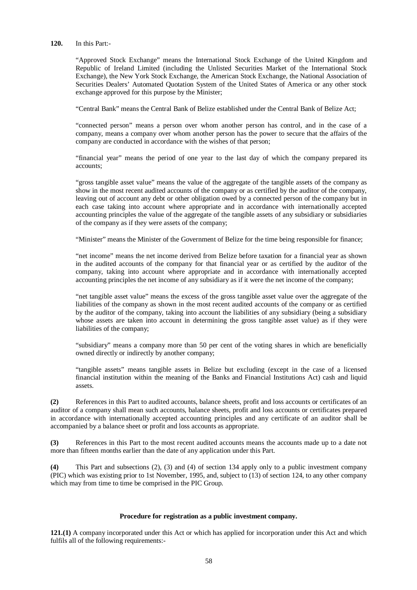## **120.** In this Part:-

"Approved Stock Exchange" means the International Stock Exchange of the United Kingdom and Republic of Ireland Limited (including the Unlisted Securities Market of the International Stock Exchange), the New York Stock Exchange, the American Stock Exchange, the National Association of Securities Dealers' Automated Quotation System of the United States of America or any other stock exchange approved for this purpose by the Minister;

"Central Bank" means the Central Bank of Belize established under the Central Bank of Belize Act;

"connected person" means a person over whom another person has control, and in the case of a company, means a company over whom another person has the power to secure that the affairs of the company are conducted in accordance with the wishes of that person;

"financial year" means the period of one year to the last day of which the company prepared its accounts;

"gross tangible asset value" means the value of the aggregate of the tangible assets of the company as show in the most recent audited accounts of the company or as certified by the auditor of the company, leaving out of account any debt or other obligation owed by a connected person of the company but in each case taking into account where appropriate and in accordance with internationally accepted accounting principles the value of the aggregate of the tangible assets of any subsidiary or subsidiaries of the company as if they were assets of the company;

"Minister" means the Minister of the Government of Belize for the time being responsible for finance;

"net income" means the net income derived from Belize before taxation for a financial year as shown in the audited accounts of the company for that financial year or as certified by the auditor of the company, taking into account where appropriate and in accordance with internationally accepted accounting principles the net income of any subsidiary as if it were the net income of the company;

"net tangible asset value" means the excess of the gross tangible asset value over the aggregate of the liabilities of the company as shown in the most recent audited accounts of the company or as certified by the auditor of the company, taking into account the liabilities of any subsidiary (being a subsidiary whose assets are taken into account in determining the gross tangible asset value) as if they were liabilities of the company;

"subsidiary" means a company more than 50 per cent of the voting shares in which are beneficially owned directly or indirectly by another company;

"tangible assets" means tangible assets in Belize but excluding (except in the case of a licensed financial institution within the meaning of the Banks and Financial Institutions Act) cash and liquid assets.

**(2)** References in this Part to audited accounts, balance sheets, profit and loss accounts or certificates of an auditor of a company shall mean such accounts, balance sheets, profit and loss accounts or certificates prepared in accordance with internationally accepted accounting principles and any certificate of an auditor shall be accompanied by a balance sheet or profit and loss accounts as appropriate.

**(3)** References in this Part to the most recent audited accounts means the accounts made up to a date not more than fifteen months earlier than the date of any application under this Part.

**(4)** This Part and subsections (2), (3) and (4) of section 134 apply only to a public investment company (PIC) which was existing prior to 1st November, 1995, and, subject to (13) of section 124, to any other company which may from time to time be comprised in the PIC Group.

#### **Procedure for registration as a public investment company.**

**121.(1)** A company incorporated under this Act or which has applied for incorporation under this Act and which fulfils all of the following requirements:-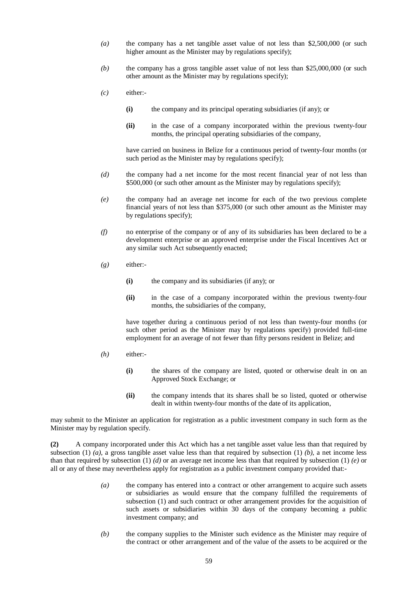- *(a)* the company has a net tangible asset value of not less than \$2,500,000 (or such higher amount as the Minister may by regulations specify);
- *(b)* the company has a gross tangible asset value of not less than \$25,000,000 (or such other amount as the Minister may by regulations specify);
- *(c)* either:-
	- **(i)** the company and its principal operating subsidiaries (if any); or
	- **(ii)** in the case of a company incorporated within the previous twenty-four months, the principal operating subsidiaries of the company,

have carried on business in Belize for a continuous period of twenty-four months (or such period as the Minister may by regulations specify):

- *(d)* the company had a net income for the most recent financial year of not less than \$500,000 (or such other amount as the Minister may by regulations specify);
- *(e)* the company had an average net income for each of the two previous complete financial years of not less than \$375,000 (or such other amount as the Minister may by regulations specify);
- *(f)* no enterprise of the company or of any of its subsidiaries has been declared to be a development enterprise or an approved enterprise under the Fiscal Incentives Act or any similar such Act subsequently enacted:
- *(g)* either:-
	- **(i)** the company and its subsidiaries (if any); or
	- **(ii)** in the case of a company incorporated within the previous twenty-four months, the subsidiaries of the company,

have together during a continuous period of not less than twenty-four months (or such other period as the Minister may by regulations specify) provided full-time employment for an average of not fewer than fifty persons resident in Belize; and

- $(h)$  either:-
	- **(i)** the shares of the company are listed, quoted or otherwise dealt in on an Approved Stock Exchange; or
	- **(ii)** the company intends that its shares shall be so listed, quoted or otherwise dealt in within twenty-four months of the date of its application,

may submit to the Minister an application for registration as a public investment company in such form as the Minister may by regulation specify.

**(2)** A company incorporated under this Act which has a net tangible asset value less than that required by subsection (1)  $(a)$ , a gross tangible asset value less than that required by subsection (1)  $(b)$ , a net income less than that required by subsection (1) *(d)* or an average net income less than that required by subsection (1) *(e)* or all or any of these may nevertheless apply for registration as a public investment company provided that:-

- *(a)* the company has entered into a contract or other arrangement to acquire such assets or subsidiaries as would ensure that the company fulfilled the requirements of subsection (1) and such contract or other arrangement provides for the acquisition of such assets or subsidiaries within 30 days of the company becoming a public investment company; and
- *(b)* the company supplies to the Minister such evidence as the Minister may require of the contract or other arrangement and of the value of the assets to be acquired or the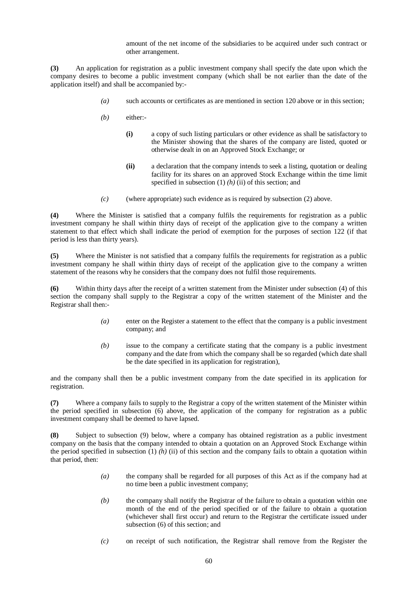amount of the net income of the subsidiaries to be acquired under such contract or other arrangement.

**(3)** An application for registration as a public investment company shall specify the date upon which the company desires to become a public investment company (which shall be not earlier than the date of the application itself) and shall be accompanied by:-

- *(a)* such accounts or certificates as are mentioned in section 120 above or in this section;
- *(b)* either:-
	- **(i)** a copy of such listing particulars or other evidence as shall be satisfactory to the Minister showing that the shares of the company are listed, quoted or otherwise dealt in on an Approved Stock Exchange; or
	- **(ii)** a declaration that the company intends to seek a listing, quotation or dealing facility for its shares on an approved Stock Exchange within the time limit specified in subsection (1) *(h)* (ii) of this section; and
- *(c)* (where appropriate) such evidence as is required by subsection (2) above.

**(4)** Where the Minister is satisfied that a company fulfils the requirements for registration as a public investment company he shall within thirty days of receipt of the application give to the company a written statement to that effect which shall indicate the period of exemption for the purposes of section 122 (if that period is less than thirty years).

**(5)** Where the Minister is not satisfied that a company fulfils the requirements for registration as a public investment company he shall within thirty days of receipt of the application give to the company a written statement of the reasons why he considers that the company does not fulfil those requirements.

**(6)** Within thirty days after the receipt of a written statement from the Minister under subsection (4) of this section the company shall supply to the Registrar a copy of the written statement of the Minister and the Registrar shall then:-

- *(a)* enter on the Register a statement to the effect that the company is a public investment company; and
- *(b)* issue to the company a certificate stating that the company is a public investment company and the date from which the company shall be so regarded (which date shall be the date specified in its application for registration),

and the company shall then be a public investment company from the date specified in its application for registration.

**(7)** Where a company fails to supply to the Registrar a copy of the written statement of the Minister within the period specified in subsection (6) above, the application of the company for registration as a public investment company shall be deemed to have lapsed.

**(8)** Subject to subsection (9) below, where a company has obtained registration as a public investment company on the basis that the company intended to obtain a quotation on an Approved Stock Exchange within the period specified in subsection  $(1)$   $(h)$   $(ii)$  of this section and the company fails to obtain a quotation within that period, then:

- *(a)* the company shall be regarded for all purposes of this Act as if the company had at no time been a public investment company;
- *(b)* the company shall notify the Registrar of the failure to obtain a quotation within one month of the end of the period specified or of the failure to obtain a quotation (whichever shall first occur) and return to the Registrar the certificate issued under subsection (6) of this section; and
- *(c)* on receipt of such notification, the Registrar shall remove from the Register the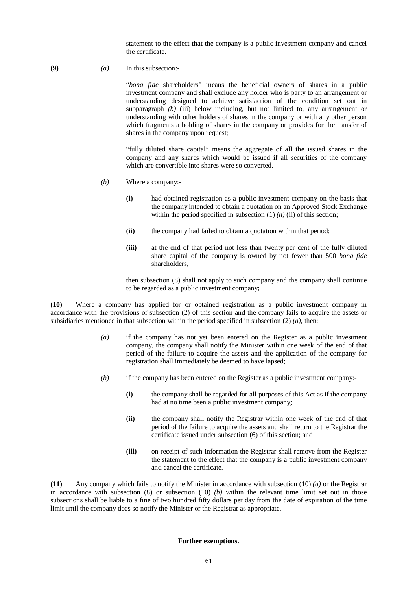statement to the effect that the company is a public investment company and cancel the certificate.

(9)  $(a)$  In this subsection:-

"*bona fide* shareholders" means the beneficial owners of shares in a public investment company and shall exclude any holder who is party to an arrangement or understanding designed to achieve satisfaction of the condition set out in subparagraph *(b)* (iii) below including, but not limited to, any arrangement or understanding with other holders of shares in the company or with any other person which fragments a holding of shares in the company or provides for the transfer of shares in the company upon request;

"fully diluted share capital" means the aggregate of all the issued shares in the company and any shares which would be issued if all securities of the company which are convertible into shares were so converted.

- *(b)* Where a company:-
	- **(i)** had obtained registration as a public investment company on the basis that the company intended to obtain a quotation on an Approved Stock Exchange within the period specified in subsection  $(1)$   $(h)$   $(ii)$  of this section;
	- **(ii)** the company had failed to obtain a quotation within that period;
	- **(iii)** at the end of that period not less than twenty per cent of the fully diluted share capital of the company is owned by not fewer than 500 *bona fide*  shareholders,

then subsection (8) shall not apply to such company and the company shall continue to be regarded as a public investment company;

**(10)** Where a company has applied for or obtained registration as a public investment company in accordance with the provisions of subsection (2) of this section and the company fails to acquire the assets or subsidiaries mentioned in that subsection within the period specified in subsection (2) *(a),* then:

- *(a)* if the company has not yet been entered on the Register as a public investment company, the company shall notify the Minister within one week of the end of that period of the failure to acquire the assets and the application of the company for registration shall immediately be deemed to have lapsed;
- *(b)* if the company has been entered on the Register as a public investment company:-
	- **(i)** the company shall be regarded for all purposes of this Act as if the company had at no time been a public investment company;
	- **(ii)** the company shall notify the Registrar within one week of the end of that period of the failure to acquire the assets and shall return to the Registrar the certificate issued under subsection (6) of this section; and
	- **(iii)** on receipt of such information the Registrar shall remove from the Register the statement to the effect that the company is a public investment company and cancel the certificate.

**(11)** Any company which fails to notify the Minister in accordance with subsection (10) *(a)* or the Registrar in accordance with subsection (8) or subsection (10) *(b)* within the relevant time limit set out in those subsections shall be liable to a fine of two hundred fifty dollars per day from the date of expiration of the time limit until the company does so notify the Minister or the Registrar as appropriate.

# **Further exemptions.**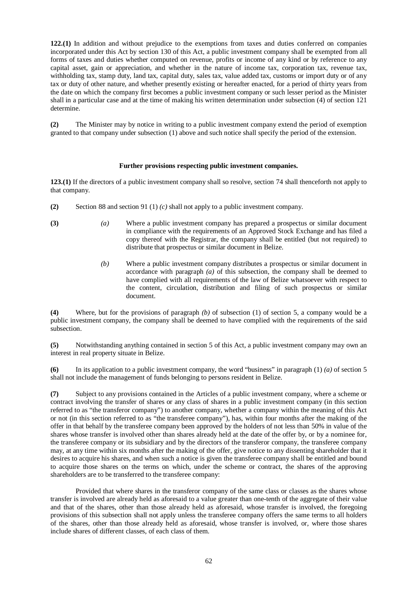**122.(1)** In addition and without prejudice to the exemptions from taxes and duties conferred on companies incorporated under this Act by section 130 of this Act, a public investment company shall be exempted from all forms of taxes and duties whether computed on revenue, profits or income of any kind or by reference to any capital asset, gain or appreciation, and whether in the nature of income tax, corporation tax, revenue tax, withholding tax, stamp duty, land tax, capital duty, sales tax, value added tax, customs or import duty or of any tax or duty of other nature, and whether presently existing or hereafter enacted, for a period of thirty years from the date on which the company first becomes a public investment company or such lesser period as the Minister shall in a particular case and at the time of making his written determination under subsection (4) of section 121 determine.

**(2)** The Minister may by notice in writing to a public investment company extend the period of exemption granted to that company under subsection (1) above and such notice shall specify the period of the extension.

## **Further provisions respecting public investment companies.**

**123.(1)** If the directors of a public investment company shall so resolve, section 74 shall thenceforth not apply to that company.

- **(2)** Section 88 and section 91 (1) *(c)* shall not apply to a public investment company.
- **(3)** *(a)* Where a public investment company has prepared a prospectus or similar document in compliance with the requirements of an Approved Stock Exchange and has filed a copy thereof with the Registrar, the company shall be entitled (but not required) to distribute that prospectus or similar document in Belize.
	- *(b)* Where a public investment company distributes a prospectus or similar document in accordance with paragraph *(a)* of this subsection, the company shall be deemed to have complied with all requirements of the law of Belize whatsoever with respect to the content, circulation, distribution and filing of such prospectus or similar document.

**(4)** Where, but for the provisions of paragraph *(b)* of subsection (1) of section 5, a company would be a public investment company, the company shall be deemed to have complied with the requirements of the said subsection.

**(5)** Notwithstanding anything contained in section 5 of this Act, a public investment company may own an interest in real property situate in Belize.

**(6)** In its application to a public investment company, the word "business" in paragraph (1) *(a)* of section 5 shall not include the management of funds belonging to persons resident in Belize.

**(7)** Subject to any provisions contained in the Articles of a public investment company, where a scheme or contract involving the transfer of shares or any class of shares in a public investment company (in this section referred to as "the transferor company") to another company, whether a company within the meaning of this Act or not (in this section referred to as "the transferee company"), has, within four months after the making of the offer in that behalf by the transferee company been approved by the holders of not less than 50% in value of the shares whose transfer is involved other than shares already held at the date of the offer by, or by a nominee for, the transferee company or its subsidiary and by the directors of the transferor company, the transferee company may, at any time within six months after the making of the offer, give notice to any dissenting shareholder that it desires to acquire his shares, and when such a notice is given the transferee company shall be entitled and bound to acquire those shares on the terms on which, under the scheme or contract, the shares of the approving shareholders are to be transferred to the transferee company:

Provided that where shares in the transferor company of the same class or classes as the shares whose transfer is involved are already held as aforesaid to a value greater than one-tenth of the aggregate of their value and that of the shares, other than those already held as aforesaid, whose transfer is involved, the foregoing provisions of this subsection shall not apply unless the transferee company offers the same terms to all holders of the shares, other than those already held as aforesaid, whose transfer is involved, or, where those shares include shares of different classes, of each class of them.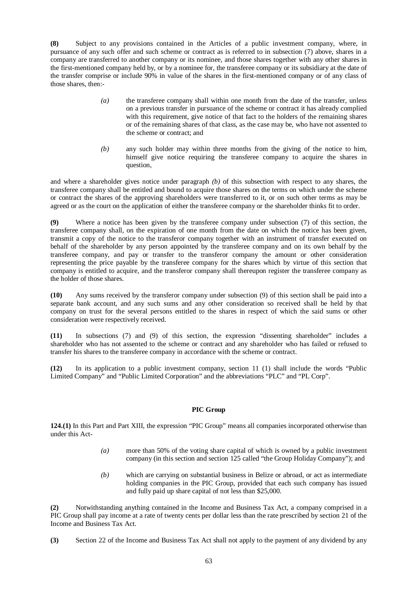**(8)** Subject to any provisions contained in the Articles of a public investment company, where, in pursuance of any such offer and such scheme or contract as is referred to in subsection (7) above, shares in a company are transferred to another company or its nominee, and those shares together with any other shares in the first-mentioned company held by, or by a nominee for, the transferee company or its subsidiary at the date of the transfer comprise or include 90% in value of the shares in the first-mentioned company or of any class of those shares, then:-

- *(a)* the transferee company shall within one month from the date of the transfer, unless on a previous transfer in pursuance of the scheme or contract it has already complied with this requirement, give notice of that fact to the holders of the remaining shares or of the remaining shares of that class, as the case may be, who have not assented to the scheme or contract; and
- *(b)* any such holder may within three months from the giving of the notice to him, himself give notice requiring the transferee company to acquire the shares in question,

and where a shareholder gives notice under paragraph *(b)* of this subsection with respect to any shares, the transferee company shall be entitled and bound to acquire those shares on the terms on which under the scheme or contract the shares of the approving shareholders were transferred to it, or on such other terms as may be agreed or as the court on the application of either the transferee company or the shareholder thinks fit to order.

**(9)** Where a notice has been given by the transferee company under subsection (7) of this section, the transferee company shall, on the expiration of one month from the date on which the notice has been given, transmit a copy of the notice to the transferor company together with an instrument of transfer executed on behalf of the shareholder by any person appointed by the transferee company and on its own behalf by the transferee company, and pay or transfer to the transferor company the amount or other consideration representing the price payable by the transferee company for the shares which by virtue of this section that company is entitled to acquire, and the transferor company shall thereupon register the transferee company as the holder of those shares.

**(10)** Any sums received by the transferor company under subsection (9) of this section shall be paid into a separate bank account, and any such sums and any other consideration so received shall be held by that company on trust for the several persons entitled to the shares in respect of which the said sums or other consideration were respectively received.

**(11)** In subsections (7) and (9) of this section, the expression "dissenting shareholder" includes a shareholder who has not assented to the scheme or contract and any shareholder who has failed or refused to transfer his shares to the transferee company in accordance with the scheme or contract.

**(12)** In its application to a public investment company, section 11 (1) shall include the words "Public Limited Company" and "Public Limited Corporation" and the abbreviations "PLC" and "PL Corp".

# **PIC Group**

**124.(1)** In this Part and Part XIII, the expression "PIC Group" means all companies incorporated otherwise than under this Act-

- *(a)* more than 50% of the voting share capital of which is owned by a public investment company (in this section and section 125 called "the Group Holiday Company"); and
- *(b)* which are carrying on substantial business in Belize or abroad, or act as intermediate holding companies in the PIC Group, provided that each such company has issued and fully paid up share capital of not less than \$25,000.

**(2)** Notwithstanding anything contained in the Income and Business Tax Act, a company comprised in a PIC Group shall pay income at a rate of twenty cents per dollar less than the rate prescribed by section 21 of the Income and Business Tax Act.

**(3)** Section 22 of the Income and Business Tax Act shall not apply to the payment of any dividend by any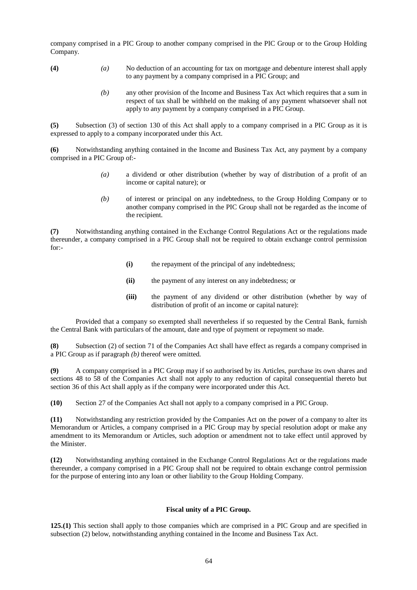company comprised in a PIC Group to another company comprised in the PIC Group or to the Group Holding Company.

- **(4)** *(a)* No deduction of an accounting for tax on mortgage and debenture interest shall apply to any payment by a company comprised in a PIC Group; and
	- *(b)* any other provision of the Income and Business Tax Act which requires that a sum in respect of tax shall be withheld on the making of any payment whatsoever shall not apply to any payment by a company comprised in a PIC Group.

**(5)** Subsection (3) of section 130 of this Act shall apply to a company comprised in a PIC Group as it is expressed to apply to a company incorporated under this Act.

**(6)** Notwithstanding anything contained in the Income and Business Tax Act, any payment by a company comprised in a PIC Group of:-

- *(a)* a dividend or other distribution (whether by way of distribution of a profit of an income or capital nature); or
- *(b)* of interest or principal on any indebtedness, to the Group Holding Company or to another company comprised in the PIC Group shall not be regarded as the income of the recipient.

**(7)** Notwithstanding anything contained in the Exchange Control Regulations Act or the regulations made thereunder, a company comprised in a PIC Group shall not be required to obtain exchange control permission for:-

- **(i)** the repayment of the principal of any indebtedness;
- **(ii)** the payment of any interest on any indebtedness; or
- **(iii)** the payment of any dividend or other distribution (whether by way of distribution of profit of an income or capital nature):

Provided that a company so exempted shall nevertheless if so requested by the Central Bank, furnish the Central Bank with particulars of the amount, date and type of payment or repayment so made.

**(8)** Subsection (2) of section 71 of the Companies Act shall have effect as regards a company comprised in a PIC Group as if paragraph *(b)* thereof were omitted.

**(9)** A company comprised in a PIC Group may if so authorised by its Articles, purchase its own shares and sections 48 to 58 of the Companies Act shall not apply to any reduction of capital consequential thereto but section 36 of this Act shall apply as if the company were incorporated under this Act.

**(10)** Section 27 of the Companies Act shall not apply to a company comprised in a PIC Group.

**(11)** Notwithstanding any restriction provided by the Companies Act on the power of a company to alter its Memorandum or Articles, a company comprised in a PIC Group may by special resolution adopt or make any amendment to its Memorandum or Articles, such adoption or amendment not to take effect until approved by the Minister.

**(12)** Notwithstanding anything contained in the Exchange Control Regulations Act or the regulations made thereunder, a company comprised in a PIC Group shall not be required to obtain exchange control permission for the purpose of entering into any loan or other liability to the Group Holding Company.

# **Fiscal unity of a PIC Group.**

**125.(1)** This section shall apply to those companies which are comprised in a PIC Group and are specified in subsection (2) below, notwithstanding anything contained in the Income and Business Tax Act.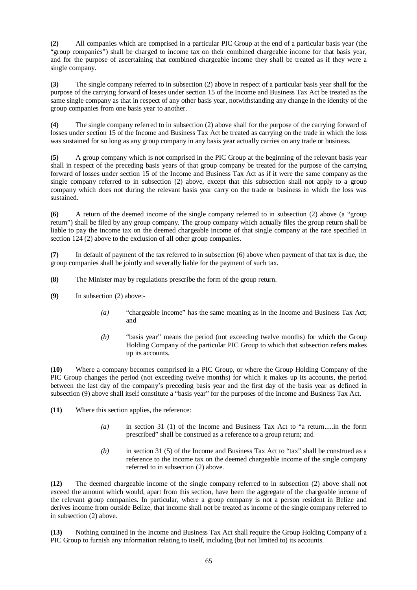**(2)** All companies which are comprised in a particular PIC Group at the end of a particular basis year (the "group companies") shall be charged to income tax on their combined chargeable income for that basis year. and for the purpose of ascertaining that combined chargeable income they shall be treated as if they were a single company.

**(3)** The single company referred to in subsection (2) above in respect of a particular basis year shall for the purpose of the carrying forward of losses under section 15 of the Income and Business Tax Act be treated as the same single company as that in respect of any other basis year, notwithstanding any change in the identity of the group companies from one basis year to another.

**(4)** The single company referred to in subsection (2) above shall for the purpose of the carrying forward of losses under section 15 of the Income and Business Tax Act be treated as carrying on the trade in which the loss was sustained for so long as any group company in any basis year actually carries on any trade or business.

**(5)** A group company which is not comprised in the PIC Group at the beginning of the relevant basis year shall in respect of the preceding basis years of that group company be treated for the purpose of the carrying forward of losses under section 15 of the Income and Business Tax Act as if it were the same company as the single company referred to in subsection (2) above, except that this subsection shall not apply to a group company which does not during the relevant basis year carry on the trade or business in which the loss was sustained.

**(6)** A return of the deemed income of the single company referred to in subsection (2) above (a "group return") shall be filed by any group company. The group company which actually files the group return shall be liable to pay the income tax on the deemed chargeable income of that single company at the rate specified in section 124 (2) above to the exclusion of all other group companies.

**(7)** In default of payment of the tax referred to in subsection (6) above when payment of that tax is due, the group companies shall be jointly and severally liable for the payment of such tax.

- **(8)** The Minister may by regulations prescribe the form of the group return.
- **(9)** In subsection (2) above:-
	- *(a)* "chargeable income" has the same meaning as in the Income and Business Tax Act; and
	- *(b)* "basis year" means the period (not exceeding twelve months) for which the Group Holding Company of the particular PIC Group to which that subsection refers makes up its accounts.

**(10)** Where a company becomes comprised in a PIC Group, or where the Group Holding Company of the PIC Group changes the period (not exceeding twelve months) for which it makes up its accounts, the period between the last day of the company's preceding basis year and the first day of the basis year as defined in subsection (9) above shall itself constitute a "basis year" for the purposes of the Income and Business Tax Act.

**(11)** Where this section applies, the reference:

- *(a)* in section 31 (1) of the Income and Business Tax Act to "a return.....in the form prescribed" shall be construed as a reference to a group return; and
- *(b)* in section 31 (5) of the Income and Business Tax Act to "tax" shall be construed as a reference to the income tax on the deemed chargeable income of the single company referred to in subsection (2) above.

**(12)** The deemed chargeable income of the single company referred to in subsection (2) above shall not exceed the amount which would, apart from this section, have been the aggregate of the chargeable income of the relevant group companies. In particular, where a group company is not a person resident in Belize and derives income from outside Belize, that income shall not be treated as income of the single company referred to in subsection (2) above.

**(13)** Nothing contained in the Income and Business Tax Act shall require the Group Holding Company of a PIC Group to furnish any information relating to itself, including (but not limited to) its accounts.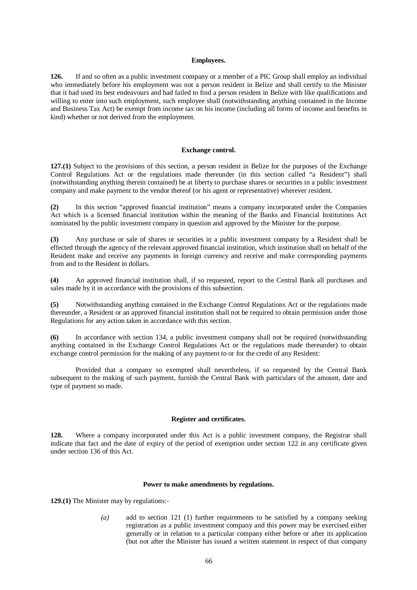#### **Employees.**

**126.** If and so often as a public investment company or a member of a PIC Group shall employ an individual who immediately before his employment was not a person resident in Belize and shall certify to the Minister that it had used its best endeavours and had failed to find a person resident in Belize with like qualifications and willing to enter into such employment, such employee shall (notwithstanding anything contained in the Income and Business Tax Act) be exempt from income tax on his income (including all forms of income and benefits in kind) whether or not derived from the employment.

## **Exchange control.**

**127.(1)** Subject to the provisions of this section, a person resident in Belize for the purposes of the Exchange Control Regulations Act or the regulations made thereunder (in this section called "a Resident") shall (notwithstanding anything therein contained) be at liberty to purchase shares or securities in a public investment company and make payment to the vendor thereof (or his agent or representative) wherever resident.

**(2)** In this section "approved financial institution" means a company incorporated under the Companies Act which is a licensed financial institution within the meaning of the Banks and Financial Institutions Act nominated by the public investment company in question and approved by the Minister for the purpose.

**(3)** Any purchase or sale of shares or securities in a public investment company by a Resident shall be effected through the agency of the relevant approved financial institution, which institution shall on behalf of the Resident make and receive any payments in foreign currency and receive and make corresponding payments from and to the Resident in dollars.

**(4)** An approved financial institution shall, if so requested, report to the Central Bank all purchases and sales made by it in accordance with the provisions of this subsection.

**(5)** Notwithstanding anything contained in the Exchange Control Regulations Act or the regulations made thereunder, a Resident or an approved financial institution shall not be required to obtain permission under those Regulations for any action taken in accordance with this section.

**(6)** In accordance with section 134, a public investment company shall not be required (notwithstanding anything contained in the Exchange Control Regulations Act or the regulations made thereunder) to obtain exchange control permission for the making of any payment to or for the credit of any Resident:

Provided that a company so exempted shall nevertheless, if so requested by the Central Bank subsequent to the making of such payment, furnish the Central Bank with particulars of the amount, date and type of payment so made.

## **Register and certificates.**

**128.** Where a company incorporated under this Act is a public investment company, the Registrar shall indicate that fact and the date of expiry of the period of exemption under section 122 in any certificate given under section 136 of this Act.

#### **Power to make amendments by regulations.**

**129.(1)** The Minister may by regulations:-

*(a)* add to section 121 (1) further requirements to be satisfied by a company seeking registration as a public investment company and this power may be exercised either generally or in relation to a particular company either before or after its application (but not after the Minister has issued a written statement in respect of that company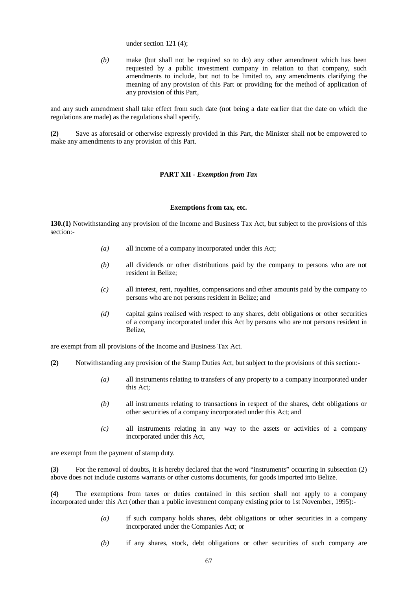under section 121 (4);

*(b)* make (but shall not be required so to do) any other amendment which has been requested by a public investment company in relation to that company, such amendments to include, but not to be limited to, any amendments clarifying the meaning of any provision of this Part or providing for the method of application of any provision of this Part,

and any such amendment shall take effect from such date (not being a date earlier that the date on which the regulations are made) as the regulations shall specify.

**(2)** Save as aforesaid or otherwise expressly provided in this Part, the Minister shall not be empowered to make any amendments to any provision of this Part.

## **PART XII -** *Exemption from Tax*

#### **Exemptions from tax, etc.**

**130.(1)** Notwithstanding any provision of the Income and Business Tax Act, but subject to the provisions of this section:-

- *(a)* all income of a company incorporated under this Act;
- *(b)* all dividends or other distributions paid by the company to persons who are not resident in Belize;
- *(c)* all interest, rent, royalties, compensations and other amounts paid by the company to persons who are not persons resident in Belize; and
- *(d)* capital gains realised with respect to any shares, debt obligations or other securities of a company incorporated under this Act by persons who are not persons resident in Belize,

are exempt from all provisions of the Income and Business Tax Act.

- **(2)** Notwithstanding any provision of the Stamp Duties Act, but subject to the provisions of this section:-
	- *(a)* all instruments relating to transfers of any property to a company incorporated under this Act;
	- *(b)* all instruments relating to transactions in respect of the shares, debt obligations or other securities of a company incorporated under this Act; and
	- *(c)* all instruments relating in any way to the assets or activities of a company incorporated under this Act,

are exempt from the payment of stamp duty.

**(3)** For the removal of doubts, it is hereby declared that the word "instruments" occurring in subsection (2) above does not include customs warrants or other customs documents, for goods imported into Belize.

**(4)** The exemptions from taxes or duties contained in this section shall not apply to a company incorporated under this Act (other than a public investment company existing prior to 1st November, 1995):-

- *(a)* if such company holds shares, debt obligations or other securities in a company incorporated under the Companies Act; or
- *(b)* if any shares, stock, debt obligations or other securities of such company are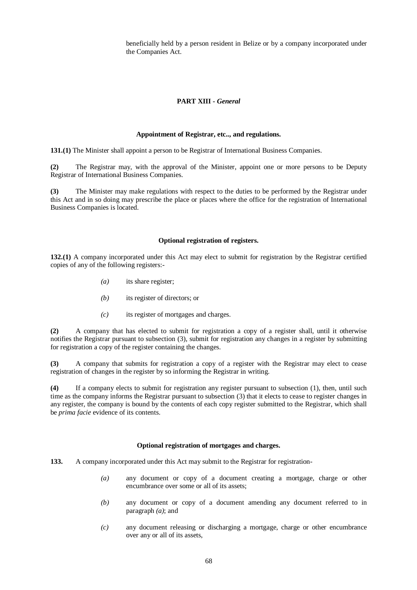beneficially held by a person resident in Belize or by a company incorporated under the Companies Act.

# **PART XIII -** *General*

## **Appointment of Registrar, etc.., and regulations.**

**131.(1)** The Minister shall appoint a person to be Registrar of International Business Companies.

**(2)** The Registrar may, with the approval of the Minister, appoint one or more persons to be Deputy Registrar of International Business Companies.

**(3)** The Minister may make regulations with respect to the duties to be performed by the Registrar under this Act and in so doing may prescribe the place or places where the office for the registration of International Business Companies is located.

## **Optional registration of registers.**

**132.(1)** A company incorporated under this Act may elect to submit for registration by the Registrar certified copies of any of the following registers:-

- *(a)* its share register;
- *(b)* its register of directors; or
- *(c)* its register of mortgages and charges.

**(2)** A company that has elected to submit for registration a copy of a register shall, until it otherwise notifies the Registrar pursuant to subsection (3), submit for registration any changes in a register by submitting for registration a copy of the register containing the changes.

**(3)** A company that submits for registration a copy of a register with the Registrar may elect to cease registration of changes in the register by so informing the Registrar in writing.

**(4)** If a company elects to submit for registration any register pursuant to subsection (1), then, until such time as the company informs the Registrar pursuant to subsection (3) that it elects to cease to register changes in any register, the company is bound by the contents of each copy register submitted to the Registrar, which shall be *prima facie* evidence of its contents.

#### **Optional registration of mortgages and charges.**

**133.** A company incorporated under this Act may submit to the Registrar for registration-

- *(a)* any document or copy of a document creating a mortgage, charge or other encumbrance over some or all of its assets;
- *(b)* any document or copy of a document amending any document referred to in paragraph *(a)*; and
- *(c)* any document releasing or discharging a mortgage, charge or other encumbrance over any or all of its assets,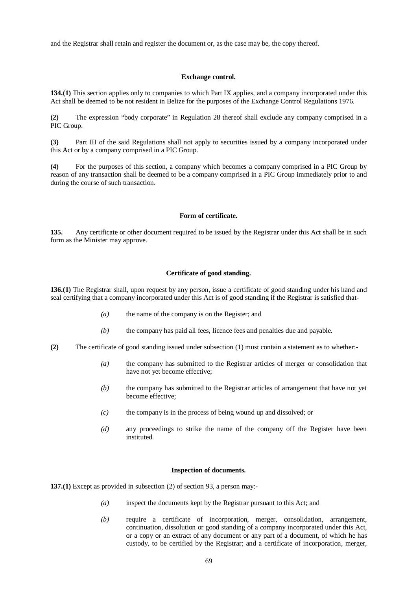and the Registrar shall retain and register the document or, as the case may be, the copy thereof.

#### **Exchange control.**

**134.(1)** This section applies only to companies to which Part IX applies, and a company incorporated under this Act shall be deemed to be not resident in Belize for the purposes of the Exchange Control Regulations 1976.

**(2)** The expression "body corporate" in Regulation 28 thereof shall exclude any company comprised in a PIC Group.

**(3)** Part III of the said Regulations shall not apply to securities issued by a company incorporated under this Act or by a company comprised in a PIC Group.

**(4)** For the purposes of this section, a company which becomes a company comprised in a PIC Group by reason of any transaction shall be deemed to be a company comprised in a PIC Group immediately prior to and during the course of such transaction.

## **Form of certificate.**

**135.** Any certificate or other document required to be issued by the Registrar under this Act shall be in such form as the Minister may approve.

## **Certificate of good standing.**

**136.(1)** The Registrar shall, upon request by any person, issue a certificate of good standing under his hand and seal certifying that a company incorporated under this Act is of good standing if the Registrar is satisfied that-

- *(a)* the name of the company is on the Register; and
- *(b)* the company has paid all fees, licence fees and penalties due and payable.
- **(2)** The certificate of good standing issued under subsection (1) must contain a statement as to whether:-
	- *(a)* the company has submitted to the Registrar articles of merger or consolidation that have not yet become effective;
	- *(b)* the company has submitted to the Registrar articles of arrangement that have not yet become effective;
	- *(c)* the company is in the process of being wound up and dissolved; or
	- *(d)* any proceedings to strike the name of the company off the Register have been instituted.

#### **Inspection of documents.**

**137.(1)** Except as provided in subsection (2) of section 93, a person may:-

- *(a)* inspect the documents kept by the Registrar pursuant to this Act; and
- *(b)* require a certificate of incorporation, merger, consolidation, arrangement, continuation, dissolution or good standing of a company incorporated under this Act, or a copy or an extract of any document or any part of a document, of which he has custody, to be certified by the Registrar; and a certificate of incorporation, merger,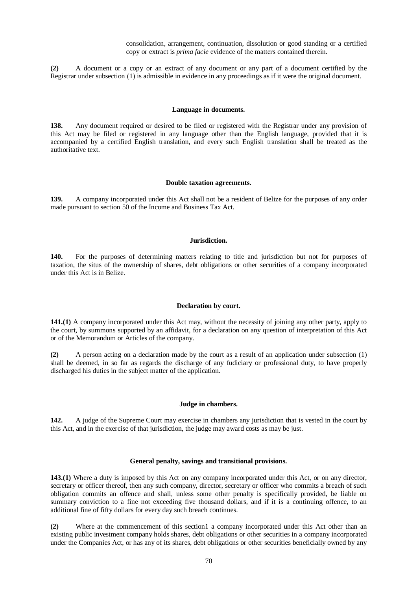consolidation, arrangement, continuation, dissolution or good standing or a certified copy or extract is *prima facie* evidence of the matters contained therein.

**(2)** A document or a copy or an extract of any document or any part of a document certified by the Registrar under subsection (1) is admissible in evidence in any proceedings as if it were the original document.

#### **Language in documents.**

**138.** Any document required or desired to be filed or registered with the Registrar under any provision of this Act may be filed or registered in any language other than the English language, provided that it is accompanied by a certified English translation, and every such English translation shall be treated as the authoritative text.

#### **Double taxation agreements.**

**139.** A company incorporated under this Act shall not be a resident of Belize for the purposes of any order made pursuant to section 50 of the Income and Business Tax Act.

## **Jurisdiction.**

**140.** For the purposes of determining matters relating to title and jurisdiction but not for purposes of taxation, the situs of the ownership of shares, debt obligations or other securities of a company incorporated under this Act is in Belize.

#### **Declaration by court.**

**141.(1)** A company incorporated under this Act may, without the necessity of joining any other party, apply to the court, by summons supported by an affidavit, for a declaration on any question of interpretation of this Act or of the Memorandum or Articles of the company.

**(2)** A person acting on a declaration made by the court as a result of an application under subsection (1) shall be deemed, in so far as regards the discharge of any fudiciary or professional duty, to have properly discharged his duties in the subject matter of the application.

## **Judge in chambers.**

**142.** A judge of the Supreme Court may exercise in chambers any jurisdiction that is vested in the court by this Act, and in the exercise of that jurisdiction, the judge may award costs as may be just.

#### **General penalty, savings and transitional provisions.**

**143.(1)** Where a duty is imposed by this Act on any company incorporated under this Act, or on any director, secretary or officer thereof, then any such company, director, secretary or officer who commits a breach of such obligation commits an offence and shall, unless some other penalty is specifically provided, be liable on summary conviction to a fine not exceeding five thousand dollars, and if it is a continuing offence, to an additional fine of fifty dollars for every day such breach continues.

**(2)** Where at the commencement of this section1 a company incorporated under this Act other than an existing public investment company holds shares, debt obligations or other securities in a company incorporated under the Companies Act, or has any of its shares, debt obligations or other securities beneficially owned by any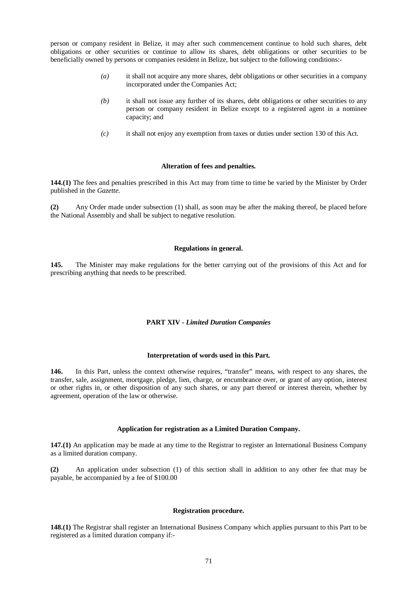person or company resident in Belize, it may after such commencement continue to hold such shares, debt obligations or other securities or continue to allow its shares, debt obligations or other securities to be beneficially owned by persons or companies resident in Belize, but subject to the following conditions:-

- *(a)* it shall not acquire any more shares, debt obligations or other securities in a company incorporated under the Companies Act;
- *(b)* it shall not issue any further of its shares, debt obligations or other securities to any person or company resident in Belize except to a registered agent in a nominee capacity; and
- *(c)* it shall not enjoy any exemption from taxes or duties under section 130 of this Act.

## **Alteration of fees and penalties.**

**144.(1)** The fees and penalties prescribed in this Act may from time to time be varied by the Minister by Order published in the *Gazette*.

**(2)** Any Order made under subsection (1) shall, as soon may be after the making thereof, be placed before the National Assembly and shall be subject to negative resolution.

## **Regulations in general.**

**145.** The Minister may make regulations for the better carrying out of the provisions of this Act and for prescribing anything that needs to be prescribed.

# **PART XIV -** *Limited Duration Companies*

# **Interpretation of words used in this Part.**

**146.** In this Part, unless the context otherwise requires, "transfer" means, with respect to any shares, the transfer, sale, assignment, mortgage, pledge, lien, charge, or encumbrance over, or grant of any option, interest or other rights in, or other disposition of any such shares, or any part thereof or interest therein, whether by agreement, operation of the law or otherwise.

# **Application for registration as a Limited Duration Company.**

**147.(1)** An application may be made at any time to the Registrar to register an International Business Company as a limited duration company.

**(2)** An application under subsection (1) of this section shall in addition to any other fee that may be payable, be accompanied by a fee of \$100.00

#### **Registration procedure.**

**148.(1)** The Registrar shall register an International Business Company which applies pursuant to this Part to be registered as a limited duration company if:-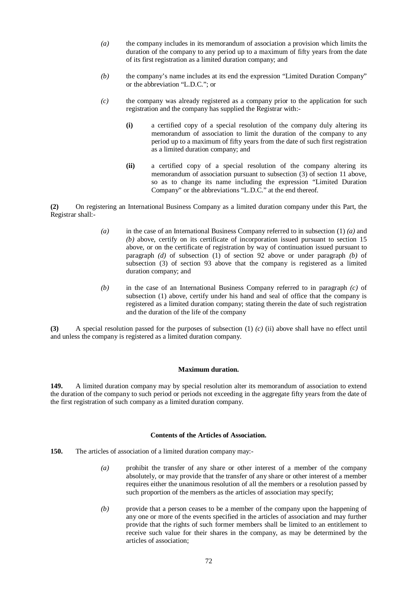- *(a)* the company includes in its memorandum of association a provision which limits the duration of the company to any period up to a maximum of fifty years from the date of its first registration as a limited duration company; and
- *(b)* the company's name includes at its end the expression "Limited Duration Company" or the abbreviation "L.D.C."; or
- *(c)* the company was already registered as a company prior to the application for such registration and the company has supplied the Registrar with:-
	- **(i)** a certified copy of a special resolution of the company duly altering its memorandum of association to limit the duration of the company to any period up to a maximum of fifty years from the date of such first registration as a limited duration company; and
	- **(ii)** a certified copy of a special resolution of the company altering its memorandum of association pursuant to subsection (3) of section 11 above, so as to change its name including the expression "Limited Duration Company" or the abbreviations "L.D.C." at the end thereof.

**(2)** On registering an International Business Company as a limited duration company under this Part, the Registrar shall:-

- *(a)* in the case of an International Business Company referred to in subsection (1) *(a)* and *(b)* above, certify on its certificate of incorporation issued pursuant to section 15 above, or on the certificate of registration by way of continuation issued pursuant to paragraph *(d)* of subsection (1) of section 92 above or under paragraph *(b)* of subsection (3) of section 93 above that the company is registered as a limited duration company; and
- *(b)* in the case of an International Business Company referred to in paragraph *(c)* of subsection (1) above, certify under his hand and seal of office that the company is registered as a limited duration company; stating therein the date of such registration and the duration of the life of the company

**(3)** A special resolution passed for the purposes of subsection (1) *(c)* (ii) above shall have no effect until and unless the company is registered as a limited duration company.

#### **Maximum duration.**

**149.** A limited duration company may by special resolution alter its memorandum of association to extend the duration of the company to such period or periods not exceeding in the aggregate fifty years from the date of the first registration of such company as a limited duration company.

# **Contents of the Articles of Association.**

- **150.** The articles of association of a limited duration company may:-
	- *(a)* prohibit the transfer of any share or other interest of a member of the company absolutely, or may provide that the transfer of any share or other interest of a member requires either the unanimous resolution of all the members or a resolution passed by such proportion of the members as the articles of association may specify;
	- *(b)* provide that a person ceases to be a member of the company upon the happening of any one or more of the events specified in the articles of association and may further provide that the rights of such former members shall be limited to an entitlement to receive such value for their shares in the company, as may be determined by the articles of association;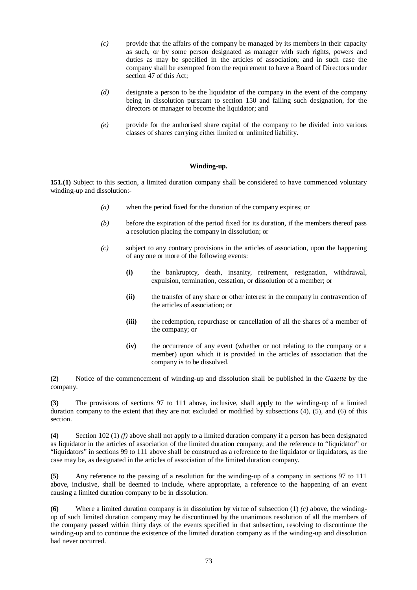- *(c)* provide that the affairs of the company be managed by its members in their capacity as such, or by some person designated as manager with such rights, powers and duties as may be specified in the articles of association; and in such case the company shall be exempted from the requirement to have a Board of Directors under section 47 of this Act;
- *(d)* designate a person to be the liquidator of the company in the event of the company being in dissolution pursuant to section 150 and failing such designation, for the directors or manager to become the liquidator; and
- *(e)* provide for the authorised share capital of the company to be divided into various classes of shares carrying either limited or unlimited liability.

## **Winding-up.**

**151.(1)** Subject to this section, a limited duration company shall be considered to have commenced voluntary winding-up and dissolution:-

- *(a)* when the period fixed for the duration of the company expires; or
- *(b)* before the expiration of the period fixed for its duration, if the members thereof pass a resolution placing the company in dissolution; or
- *(c)* subject to any contrary provisions in the articles of association, upon the happening of any one or more of the following events:
	- **(i)** the bankruptcy, death, insanity, retirement, resignation, withdrawal, expulsion, termination, cessation, or dissolution of a member; or
	- **(ii)** the transfer of any share or other interest in the company in contravention of the articles of association; or
	- **(iii)** the redemption, repurchase or cancellation of all the shares of a member of the company; or
	- **(iv)** the occurrence of any event (whether or not relating to the company or a member) upon which it is provided in the articles of association that the company is to be dissolved.

**(2)** Notice of the commencement of winding-up and dissolution shall be published in the *Gazette* by the company.

**(3)** The provisions of sections 97 to 111 above, inclusive, shall apply to the winding-up of a limited duration company to the extent that they are not excluded or modified by subsections (4), (5), and (6) of this section.

**(4)** Section 102 (1) *(f)* above shall not apply to a limited duration company if a person has been designated as liquidator in the articles of association of the limited duration company; and the reference to "liquidator" or "liquidators" in sections 99 to 111 above shall be construed as a reference to the liquidator or liquidators, as the case may be, as designated in the articles of association of the limited duration company.

**(5)** Any reference to the passing of a resolution for the winding-up of a company in sections 97 to 111 above, inclusive, shall be deemed to include, where appropriate, a reference to the happening of an event causing a limited duration company to be in dissolution.

**(6)** Where a limited duration company is in dissolution by virtue of subsection (1) *(c)* above, the windingup of such limited duration company may be discontinued by the unanimous resolution of all the members of the company passed within thirty days of the events specified in that subsection, resolving to discontinue the winding-up and to continue the existence of the limited duration company as if the winding-up and dissolution had never occurred.